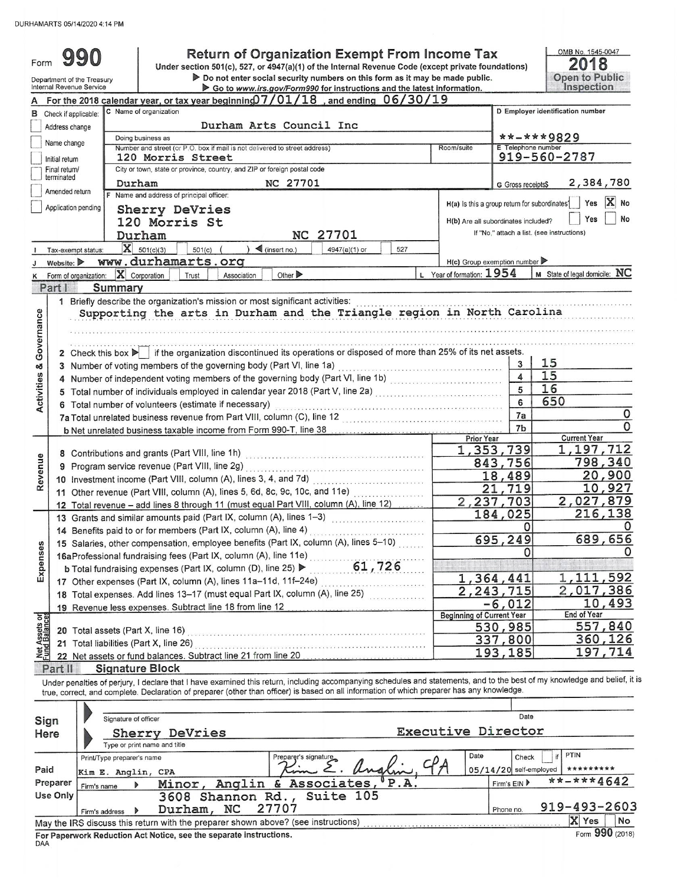DURHAMARTS 05/14/2020 4:14 PM

| Form                    | Department of the Treasury<br>Internal Revenue Service           |                                 | Under section 501(c), 527, or 4947(a)(1) of the Internal Revenue Code (except private foundations)                                                                                                                                                                                                                       | So to www.irs.gov/Form990 for instructions and the latest information. |                             |               |        |      | <b>Return of Organization Exempt From Income Tax</b><br>Do not enter social security numbers on this form as it may be made public. |                                  |                                            | OMB No. 1545-0047<br>2018<br>Open to Public<br>Inspection |  |  |  |
|-------------------------|------------------------------------------------------------------|---------------------------------|--------------------------------------------------------------------------------------------------------------------------------------------------------------------------------------------------------------------------------------------------------------------------------------------------------------------------|------------------------------------------------------------------------|-----------------------------|---------------|--------|------|-------------------------------------------------------------------------------------------------------------------------------------|----------------------------------|--------------------------------------------|-----------------------------------------------------------|--|--|--|
|                         |                                                                  |                                 | For the 2018 calendar year, or tax year beginning $07/01/18$ , and ending $06/30/19$                                                                                                                                                                                                                                     |                                                                        |                             |               |        |      |                                                                                                                                     |                                  |                                            |                                                           |  |  |  |
|                         | <b>B</b> Check if applicable:                                    | C Name of organization          |                                                                                                                                                                                                                                                                                                                          |                                                                        |                             |               |        |      |                                                                                                                                     | D Employer identification number |                                            |                                                           |  |  |  |
|                         | Address change                                                   |                                 |                                                                                                                                                                                                                                                                                                                          | Durham Arts Council Inc                                                |                             |               |        |      |                                                                                                                                     |                                  |                                            |                                                           |  |  |  |
|                         |                                                                  | Doing business as               |                                                                                                                                                                                                                                                                                                                          |                                                                        |                             |               |        |      |                                                                                                                                     |                                  | **-***9829                                 |                                                           |  |  |  |
|                         | Name change                                                      |                                 | Number and street (or P.O. box if mail is not delivered to street address)                                                                                                                                                                                                                                               |                                                                        |                             |               |        |      | Room/suite                                                                                                                          | E Telephone number               |                                            |                                                           |  |  |  |
|                         | Initial return                                                   |                                 | 120 Morris Street                                                                                                                                                                                                                                                                                                        |                                                                        |                             |               |        |      |                                                                                                                                     |                                  | 919-560-2787                               |                                                           |  |  |  |
|                         | Final return/<br>terminated                                      |                                 | City or town, state or province, country, and ZIP or foreign postal code                                                                                                                                                                                                                                                 |                                                                        |                             |               |        |      |                                                                                                                                     |                                  |                                            |                                                           |  |  |  |
|                         |                                                                  | Durham                          |                                                                                                                                                                                                                                                                                                                          |                                                                        | NC 27701                    |               |        |      |                                                                                                                                     | G Gross receipts\$               |                                            | 2,384,780                                                 |  |  |  |
|                         | Amended return                                                   |                                 | F Name and address of principal officer:                                                                                                                                                                                                                                                                                 |                                                                        |                             |               |        |      |                                                                                                                                     |                                  |                                            | X No                                                      |  |  |  |
|                         | Application pending                                              |                                 | Sherry DeVries                                                                                                                                                                                                                                                                                                           |                                                                        |                             |               |        |      | H(a) Is this a group return for subordinates?                                                                                       |                                  |                                            | Yes                                                       |  |  |  |
|                         |                                                                  |                                 | 120 Morris St                                                                                                                                                                                                                                                                                                            |                                                                        |                             |               |        |      | H(b) Are all subordinates included?                                                                                                 |                                  |                                            | No<br>Yes                                                 |  |  |  |
|                         |                                                                  | Durham                          |                                                                                                                                                                                                                                                                                                                          |                                                                        |                             | NC 27701      |        |      |                                                                                                                                     |                                  | If "No," attach a list. (see instructions) |                                                           |  |  |  |
|                         | Tax-exempt status:                                               | $X = 501(c)(3)$                 | $501(c)$ (                                                                                                                                                                                                                                                                                                               | $\int$ (insert no.)                                                    |                             | 4947(a)(1) or |        | 527  |                                                                                                                                     |                                  |                                            |                                                           |  |  |  |
|                         | Website: $\blacktriangleright$                                   |                                 | www.durhamarts.org                                                                                                                                                                                                                                                                                                       |                                                                        |                             |               |        |      | $H(c)$ Group exemption number                                                                                                       |                                  |                                            |                                                           |  |  |  |
| κ                       | Form of organization:                                            | $\mathbf{X}$ Corporation        | Trust                                                                                                                                                                                                                                                                                                                    | Association                                                            | Other $\blacktriangleright$ |               |        |      | L Year of formation: 1954                                                                                                           |                                  | M State of legal domicile: NC              |                                                           |  |  |  |
|                         | Part I                                                           | Summary                         |                                                                                                                                                                                                                                                                                                                          |                                                                        |                             |               |        |      |                                                                                                                                     |                                  |                                            |                                                           |  |  |  |
|                         |                                                                  |                                 | 1 Briefly describe the organization's mission or most significant activities:                                                                                                                                                                                                                                            |                                                                        |                             |               |        |      |                                                                                                                                     |                                  |                                            |                                                           |  |  |  |
| Governance              |                                                                  |                                 | Supporting the arts in Durham and the Triangle region in North Carolina<br>2 Check this box $\blacktriangleright$ if the organization discontinued its operations or disposed of more than 25% of its net assets.<br>3 Number of voting members of the governing body (Part VI, line 1a)                                 |                                                                        |                             |               |        |      |                                                                                                                                     | 3                                | 15                                         |                                                           |  |  |  |
|                         |                                                                  |                                 | 4 Number of independent voting members of the governing body (Part VI, line 1b)                                                                                                                                                                                                                                          |                                                                        |                             |               |        |      |                                                                                                                                     | $\blacktriangle$                 | 15                                         |                                                           |  |  |  |
| <b>Activities &amp;</b> |                                                                  |                                 | 5 Total number of individuals employed in calendar year 2018 (Part V, line 2a)                                                                                                                                                                                                                                           |                                                                        |                             |               |        |      |                                                                                                                                     | 5                                | 16                                         |                                                           |  |  |  |
|                         |                                                                  |                                 | 6 Total number of volunteers (estimate if necessary)                                                                                                                                                                                                                                                                     |                                                                        |                             |               |        |      |                                                                                                                                     | 6                                | 650                                        |                                                           |  |  |  |
|                         |                                                                  |                                 | 7a Total unrelated business revenue from Part VIII, column (C), line 12                                                                                                                                                                                                                                                  |                                                                        |                             |               |        |      |                                                                                                                                     | 7a                               |                                            | 0                                                         |  |  |  |
|                         |                                                                  |                                 |                                                                                                                                                                                                                                                                                                                          |                                                                        |                             |               |        |      |                                                                                                                                     | 7b                               |                                            |                                                           |  |  |  |
|                         |                                                                  |                                 | b Net unrelated business taxable income from Form 990-T, line 38 [11] [20] Net unrelated business taxable income from Form 990-T, line 38                                                                                                                                                                                |                                                                        |                             |               |        |      | <b>Prior Year</b>                                                                                                                   |                                  | <b>Current Year</b>                        |                                                           |  |  |  |
|                         |                                                                  |                                 |                                                                                                                                                                                                                                                                                                                          |                                                                        |                             |               |        |      |                                                                                                                                     | 1,353,739                        |                                            | 1,197,712                                                 |  |  |  |
| Revenue                 |                                                                  |                                 |                                                                                                                                                                                                                                                                                                                          |                                                                        |                             |               |        |      | 843,756                                                                                                                             |                                  | 798,340                                    |                                                           |  |  |  |
|                         | 10 Investment income (Part VIII, column (A), lines 3, 4, and 7d) |                                 |                                                                                                                                                                                                                                                                                                                          |                                                                        |                             |               |        |      |                                                                                                                                     | 18,489                           |                                            | 20,900                                                    |  |  |  |
|                         |                                                                  |                                 |                                                                                                                                                                                                                                                                                                                          |                                                                        |                             |               |        |      | 21                                                                                                                                  | 719                              |                                            | 10,927                                                    |  |  |  |
|                         |                                                                  |                                 | 11 Other revenue (Part VIII, column (A), lines 5, 6d, 8c, 9c, 10c, and 11e)                                                                                                                                                                                                                                              |                                                                        |                             |               |        |      |                                                                                                                                     | 2,237,703                        |                                            | 2,027,879                                                 |  |  |  |
|                         |                                                                  |                                 | 12 Total revenue - add lines 8 through 11 (must equal Part VIII, column (A), line 12)                                                                                                                                                                                                                                    |                                                                        |                             |               |        |      |                                                                                                                                     | 184,025                          |                                            | 216,138                                                   |  |  |  |
|                         |                                                                  |                                 | 13 Grants and similar amounts paid (Part IX, column (A), lines 1-3)                                                                                                                                                                                                                                                      |                                                                        |                             |               |        |      |                                                                                                                                     | 0                                |                                            | 0                                                         |  |  |  |
|                         |                                                                  |                                 | 14 Benefits paid to or for members (Part IX, column (A), line 4)                                                                                                                                                                                                                                                         |                                                                        |                             |               |        |      |                                                                                                                                     | 695, 249                         |                                            | 689,656                                                   |  |  |  |
| Expenses                |                                                                  |                                 | 15 Salaries, other compensation, employee benefits (Part IX, column (A), lines 5–10)                                                                                                                                                                                                                                     |                                                                        |                             |               |        |      |                                                                                                                                     |                                  |                                            |                                                           |  |  |  |
|                         |                                                                  |                                 | 16aProfessional fundraising fees (Part IX, column (A), line 11e)                                                                                                                                                                                                                                                         |                                                                        |                             |               | 61,726 |      |                                                                                                                                     |                                  |                                            |                                                           |  |  |  |
|                         |                                                                  |                                 | <b>b</b> Total fundraising expenses (Part IX, column (D), line 25) ▶                                                                                                                                                                                                                                                     |                                                                        |                             |               |        |      |                                                                                                                                     | 1,364,441                        |                                            | 1,111,592                                                 |  |  |  |
|                         |                                                                  |                                 | 17 Other expenses (Part IX, column (A), lines 11a-11d, 11f-24e)                                                                                                                                                                                                                                                          |                                                                        |                             |               |        |      |                                                                                                                                     | 2,243,715                        |                                            | 2,017,386                                                 |  |  |  |
|                         |                                                                  |                                 | 18 Total expenses. Add lines 13-17 (must equal Part IX, column (A), line 25)                                                                                                                                                                                                                                             |                                                                        |                             |               |        |      |                                                                                                                                     |                                  |                                            | 10,493                                                    |  |  |  |
|                         |                                                                  |                                 | 19 Revenue less expenses. Subtract line 18 from line 12                                                                                                                                                                                                                                                                  |                                                                        |                             |               |        |      | <b>Beginning of Current Year</b>                                                                                                    | $-6,012$                         | End of Year                                |                                                           |  |  |  |
| let Assets or           |                                                                  |                                 |                                                                                                                                                                                                                                                                                                                          |                                                                        |                             |               |        |      |                                                                                                                                     | 530,985                          |                                            | 557,840                                                   |  |  |  |
|                         |                                                                  |                                 | 20 Total assets (Part X, line 16) [2010] The Contract of Total assets (Part X, line 16)                                                                                                                                                                                                                                  |                                                                        |                             |               |        |      |                                                                                                                                     | 337,800                          |                                            | 360,126                                                   |  |  |  |
|                         |                                                                  |                                 | 21 Total liabilities (Part X, line 26)                                                                                                                                                                                                                                                                                   |                                                                        |                             |               |        |      |                                                                                                                                     | 193,185                          |                                            | 197,714                                                   |  |  |  |
|                         |                                                                  |                                 | 22 Net assets or fund balances. Subtract line 21 from line 20                                                                                                                                                                                                                                                            |                                                                        |                             |               |        |      |                                                                                                                                     |                                  |                                            |                                                           |  |  |  |
|                         | Part II                                                          | <b>Signature Block</b>          |                                                                                                                                                                                                                                                                                                                          |                                                                        |                             |               |        |      |                                                                                                                                     |                                  |                                            |                                                           |  |  |  |
|                         |                                                                  |                                 | Under penalties of perjury, I declare that I have examined this return, including accompanying schedules and statements, and to the best of my knowledge and belief, it is<br>true, correct, and complete. Declaration of preparer (other than officer) is based on all information of which preparer has any knowledge. |                                                                        |                             |               |        |      |                                                                                                                                     |                                  |                                            |                                                           |  |  |  |
|                         |                                                                  | Signature of officer            |                                                                                                                                                                                                                                                                                                                          |                                                                        |                             |               |        |      |                                                                                                                                     | Date                             |                                            |                                                           |  |  |  |
| Sign                    |                                                                  |                                 |                                                                                                                                                                                                                                                                                                                          |                                                                        |                             |               |        |      | Executive Director                                                                                                                  |                                  |                                            |                                                           |  |  |  |
| Here                    |                                                                  |                                 | Sherry DeVries                                                                                                                                                                                                                                                                                                           |                                                                        |                             |               |        |      |                                                                                                                                     |                                  |                                            |                                                           |  |  |  |
|                         |                                                                  | Type or print name and title    |                                                                                                                                                                                                                                                                                                                          |                                                                        |                             |               |        |      | Date                                                                                                                                |                                  | PTIN                                       |                                                           |  |  |  |
|                         |                                                                  | Print/Type preparer's name      |                                                                                                                                                                                                                                                                                                                          |                                                                        | Preparer's signature        |               |        |      |                                                                                                                                     | Check                            | if                                         |                                                           |  |  |  |
| Paid                    |                                                                  | Kim E. Anglin, CPA              |                                                                                                                                                                                                                                                                                                                          |                                                                        |                             |               |        |      |                                                                                                                                     | $05/14/20$ self-employed         |                                            | *********                                                 |  |  |  |
|                         | Preparer<br>Firm's name                                          |                                 | Minor,                                                                                                                                                                                                                                                                                                                   | Anglin & Associates,                                                   |                             |               |        | P.A. |                                                                                                                                     | Firm's EIN                       |                                            | **-***4642                                                |  |  |  |
|                         | Use Only                                                         |                                 |                                                                                                                                                                                                                                                                                                                          | 3608 Shannon Rd.,                                                      |                             | Suite 105     |        |      |                                                                                                                                     |                                  |                                            |                                                           |  |  |  |
|                         |                                                                  | $\rightarrow$<br>Firm's address | Durham, NC                                                                                                                                                                                                                                                                                                               |                                                                        | 27707                       |               |        |      |                                                                                                                                     | Phone no.                        |                                            | 919-493-2603                                              |  |  |  |
|                         |                                                                  |                                 | May the IRS discuss this return with the preparer shown above? (see instructions)                                                                                                                                                                                                                                        |                                                                        |                             |               |        |      |                                                                                                                                     |                                  | X Yes                                      | No                                                        |  |  |  |
| DAA                     |                                                                  |                                 | For Paperwork Reduction Act Notice, see the separate instructions.                                                                                                                                                                                                                                                       |                                                                        |                             |               |        |      |                                                                                                                                     |                                  |                                            | Form 990 (2018)                                           |  |  |  |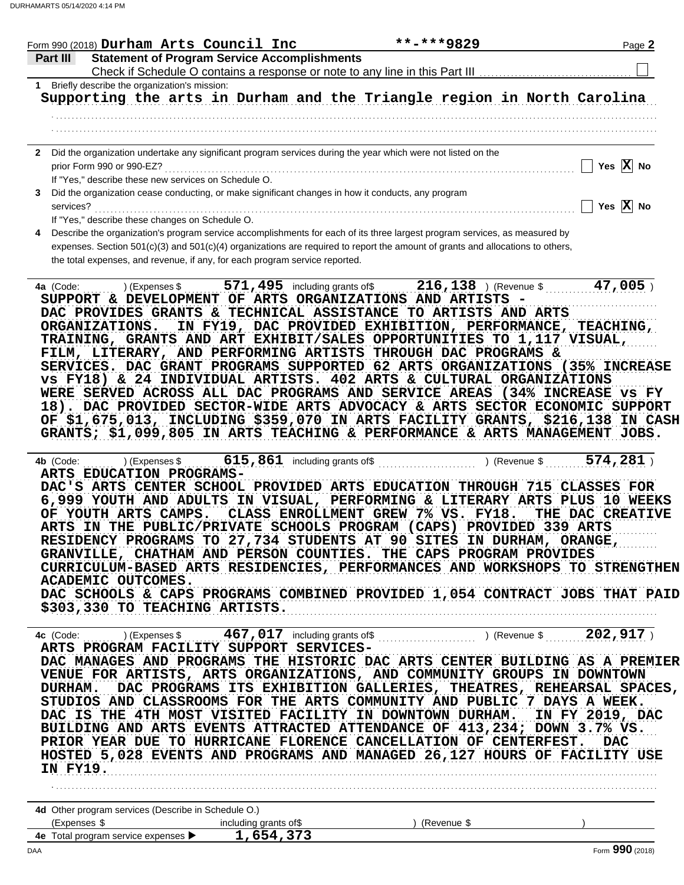| Form 990 (2018) Durham Arts Council Inc                                                                        |                       | **-***9829                                                                                                                                                                                                                                                   | Page 2                                                  |
|----------------------------------------------------------------------------------------------------------------|-----------------------|--------------------------------------------------------------------------------------------------------------------------------------------------------------------------------------------------------------------------------------------------------------|---------------------------------------------------------|
| <b>Statement of Program Service Accomplishments</b><br><b>Part II</b>                                          |                       |                                                                                                                                                                                                                                                              |                                                         |
| 1 Briefly describe the organization's mission:                                                                 |                       |                                                                                                                                                                                                                                                              |                                                         |
|                                                                                                                |                       | Supporting the arts in Durham and the Triangle region in North Carolina                                                                                                                                                                                      |                                                         |
|                                                                                                                |                       |                                                                                                                                                                                                                                                              |                                                         |
|                                                                                                                |                       |                                                                                                                                                                                                                                                              |                                                         |
| 2 Did the organization undertake any significant program services during the year which were not listed on the |                       |                                                                                                                                                                                                                                                              |                                                         |
| prior Form 990 or 990-EZ?                                                                                      |                       |                                                                                                                                                                                                                                                              | $\overline{\phantom{a}}$ Yes $\overline{\textbf{X}}$ No |
| If "Yes," describe these new services on Schedule O.                                                           |                       |                                                                                                                                                                                                                                                              |                                                         |
| Did the organization cease conducting, or make significant changes in how it conducts, any program<br>3        |                       |                                                                                                                                                                                                                                                              |                                                         |
| services?                                                                                                      |                       |                                                                                                                                                                                                                                                              | Yes $\overline{X}$ No                                   |
| If "Yes," describe these changes on Schedule O.                                                                |                       |                                                                                                                                                                                                                                                              |                                                         |
| the total expenses, and revenue, if any, for each program service reported.                                    |                       | Describe the organization's program service accomplishments for each of its three largest program services, as measured by<br>expenses. Section 501(c)(3) and 501(c)(4) organizations are required to report the amount of grants and allocations to others, |                                                         |
| 4a (Code:                                                                                                      |                       |                                                                                                                                                                                                                                                              | $47,005$ )                                              |
|                                                                                                                |                       | SUPPORT & DEVELOPMENT OF ARTS ORGANIZATIONS AND ARTISTS -                                                                                                                                                                                                    |                                                         |
|                                                                                                                |                       | DAC PROVIDES GRANTS & TECHNICAL ASSISTANCE TO ARTISTS AND ARTS                                                                                                                                                                                               |                                                         |
| ORGANIZATIONS.                                                                                                 |                       | IN FY19, DAC PROVIDED EXHIBITION, PERFORMANCE, TEACHING,                                                                                                                                                                                                     |                                                         |
|                                                                                                                |                       | TRAINING, GRANTS AND ART EXHIBIT/SALES OPPORTUNITIES TO 1,117 VISUAL,                                                                                                                                                                                        |                                                         |
|                                                                                                                |                       | FILM, LITERARY, AND PERFORMING ARTISTS THROUGH DAC PROGRAMS &                                                                                                                                                                                                |                                                         |
|                                                                                                                |                       | SERVICES. DAC GRANT PROGRAMS SUPPORTED 62 ARTS ORGANIZATIONS (35% INCREASE                                                                                                                                                                                   |                                                         |
|                                                                                                                |                       | vs FY18) & 24 INDIVIDUAL ARTISTS. 402 ARTS & CULTURAL ORGANIZATIONS<br>WERE SERVED ACROSS ALL DAC PROGRAMS AND SERVICE AREAS (34% INCREASE VS FY                                                                                                             |                                                         |
|                                                                                                                |                       | 18). DAC PROVIDED SECTOR-WIDE ARTS ADVOCACY & ARTS SECTOR ECONOMIC SUPPORT                                                                                                                                                                                   |                                                         |
|                                                                                                                |                       | OF \$1,675,013, INCLUDING \$359,070 IN ARTS FACILITY GRANTS, \$216,138 IN CASH                                                                                                                                                                               |                                                         |
|                                                                                                                |                       | GRANTS; \$1,099,805 IN ARTS TEACHING & PERFORMANCE & ARTS MANAGEMENT JOBS.                                                                                                                                                                                   |                                                         |
|                                                                                                                |                       |                                                                                                                                                                                                                                                              |                                                         |
| 4b (Code:                                                                                                      |                       | ) (Expenses $\frac{15,861}{1000}$ including grants of $\frac{15,861}{1000}$ (Revenue $\frac{1574,281}{1000}$ )                                                                                                                                               |                                                         |
| ARTS EDUCATION PROGRAMS-                                                                                       |                       |                                                                                                                                                                                                                                                              |                                                         |
|                                                                                                                |                       | DAC'S ARTS CENTER SCHOOL PROVIDED ARTS EDUCATION THROUGH 715 CLASSES FOR                                                                                                                                                                                     |                                                         |
| OF YOUTH ARTS CAMPS.                                                                                           |                       | 6,999 YOUTH AND ADULTS IN VISUAL, PERFORMING & LITERARY ARTS PLUS 10 WEEKS<br>CLASS ENROLLMENT GREW 7% VS. FY18.                                                                                                                                             | THE DAC CREATIVE                                        |
|                                                                                                                |                       | ARTS IN THE PUBLIC/PRIVATE SCHOOLS PROGRAM (CAPS) PROVIDED 339 ARTS                                                                                                                                                                                          |                                                         |
|                                                                                                                |                       | RESIDENCY PROGRAMS TO 27,734 STUDENTS AT 90 SITES IN DURHAM, ORANGE,                                                                                                                                                                                         |                                                         |
|                                                                                                                |                       | GRANVILLE, CHATHAM AND PERSON COUNTIES. THE CAPS PROGRAM PROVIDES                                                                                                                                                                                            |                                                         |
|                                                                                                                |                       | CURRICULUM-BASED ARTS RESIDENCIES, PERFORMANCES AND WORKSHOPS TO STRENGTHEN                                                                                                                                                                                  |                                                         |
| ACADEMIC OUTCOMES.                                                                                             |                       |                                                                                                                                                                                                                                                              |                                                         |
|                                                                                                                |                       | DAC SCHOOLS & CAPS PROGRAMS COMBINED PROVIDED 1,054 CONTRACT JOBS THAT PAID                                                                                                                                                                                  |                                                         |
| \$303,330 TO TEACHING ARTISTS.                                                                                 |                       |                                                                                                                                                                                                                                                              |                                                         |
|                                                                                                                |                       |                                                                                                                                                                                                                                                              |                                                         |
| ARTS PROGRAM FACILITY SUPPORT SERVICES-                                                                        |                       | 467,017 including grants of Content Covenue \$ 102,917 ) (Revenue \$ 202,917 )                                                                                                                                                                               |                                                         |
|                                                                                                                |                       | DAC MANAGES AND PROGRAMS THE HISTORIC DAC ARTS CENTER BUILDING AS A PREMIER                                                                                                                                                                                  |                                                         |
|                                                                                                                |                       | VENUE FOR ARTISTS, ARTS ORGANIZATIONS, AND COMMUNITY GROUPS IN DOWNTOWN                                                                                                                                                                                      |                                                         |
| <b>DURHAM.</b>                                                                                                 |                       | DAC PROGRAMS ITS EXHIBITION GALLERIES, THEATRES, REHEARSAL SPACES,                                                                                                                                                                                           |                                                         |
|                                                                                                                |                       | STUDIOS AND CLASSROOMS FOR THE ARTS COMMUNITY AND PUBLIC 7 DAYS A WEEK.                                                                                                                                                                                      |                                                         |
|                                                                                                                |                       | DAC IS THE 4TH MOST VISITED FACILITY IN DOWNTOWN DURHAM. IN FY 2019, DAC                                                                                                                                                                                     |                                                         |
|                                                                                                                |                       | BUILDING AND ARTS EVENTS ATTRACTED ATTENDANCE OF 413,234; DOWN 3.7% VS.                                                                                                                                                                                      |                                                         |
|                                                                                                                |                       | PRIOR YEAR DUE TO HURRICANE FLORENCE CANCELLATION OF CENTERFEST.                                                                                                                                                                                             | <b>DAC</b>                                              |
| IN FY19.                                                                                                       |                       | HOSTED 5,028 EVENTS AND PROGRAMS AND MANAGED 26,127 HOURS OF FACILITY USE                                                                                                                                                                                    |                                                         |
|                                                                                                                |                       |                                                                                                                                                                                                                                                              |                                                         |
| 4d Other program services (Describe in Schedule O.)                                                            |                       |                                                                                                                                                                                                                                                              |                                                         |
| (Expenses \$                                                                                                   | including grants of\$ | ) (Revenue \$                                                                                                                                                                                                                                                |                                                         |
| 4e Total program service expenses $\blacktriangleright$ 1,654,373                                              |                       |                                                                                                                                                                                                                                                              |                                                         |
| DAA                                                                                                            |                       |                                                                                                                                                                                                                                                              | Form 990 (2018)                                         |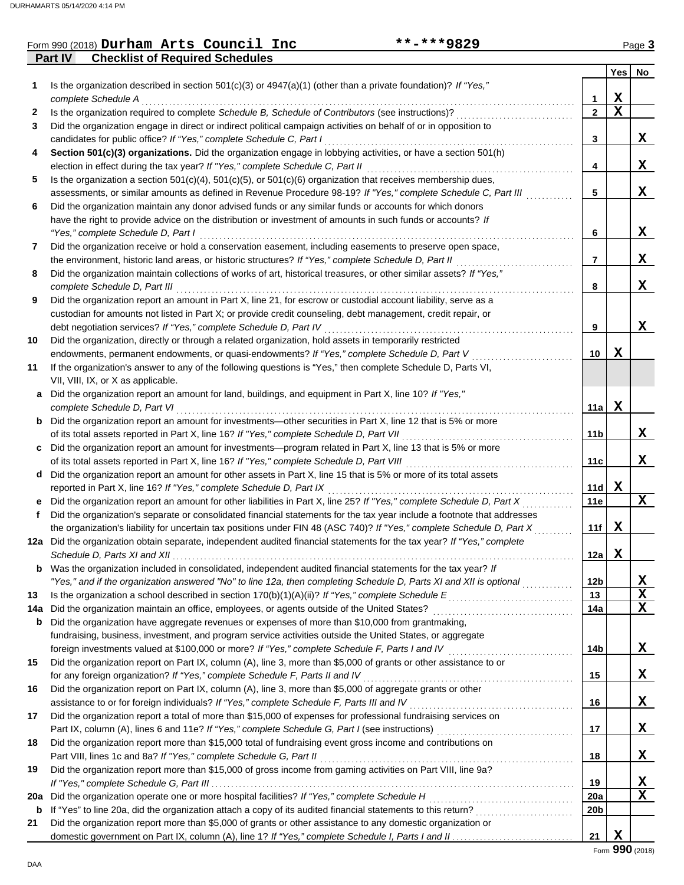## Form 990 (2018) Page **3 Durham Arts Council Inc \*\*-\*\*\*9829**

**Part IV Checklist of Required Schedules**

|     |                                                                                                                                        |                | <b>Yes</b>  | No     |
|-----|----------------------------------------------------------------------------------------------------------------------------------------|----------------|-------------|--------|
| 1   | Is the organization described in section $501(c)(3)$ or $4947(a)(1)$ (other than a private foundation)? If "Yes,"                      |                |             |        |
|     | complete Schedule A                                                                                                                    | 1              | х           |        |
| 2   | Is the organization required to complete Schedule B, Schedule of Contributors (see instructions)?                                      | $\mathbf{2}$   | $\mathbf x$ |        |
| 3   | Did the organization engage in direct or indirect political campaign activities on behalf of or in opposition to                       |                |             |        |
|     | candidates for public office? If "Yes," complete Schedule C, Part I                                                                    | 3              |             | X.     |
| 4   | Section 501(c)(3) organizations. Did the organization engage in lobbying activities, or have a section 501(h)                          |                |             |        |
|     | election in effect during the tax year? If "Yes," complete Schedule C, Part II                                                         | 4              |             | x      |
| 5   | Is the organization a section $501(c)(4)$ , $501(c)(5)$ , or $501(c)(6)$ organization that receives membership dues,                   |                |             |        |
|     | assessments, or similar amounts as defined in Revenue Procedure 98-19? If "Yes," complete Schedule C, Part III                         | 5              |             | X      |
| 6   | Did the organization maintain any donor advised funds or any similar funds or accounts for which donors                                |                |             |        |
|     | have the right to provide advice on the distribution or investment of amounts in such funds or accounts? If                            |                |             |        |
|     | "Yes," complete Schedule D, Part I                                                                                                     | 6              |             | X.     |
| 7   | Did the organization receive or hold a conservation easement, including easements to preserve open space,                              |                |             |        |
|     | the environment, historic land areas, or historic structures? If "Yes," complete Schedule D, Part II                                   | $\overline{7}$ |             | X.     |
| 8   | Did the organization maintain collections of works of art, historical treasures, or other similar assets? If "Yes,"                    |                |             |        |
|     | complete Schedule D, Part III                                                                                                          | 8              |             | X      |
| 9   | Did the organization report an amount in Part X, line 21, for escrow or custodial account liability, serve as a                        |                |             |        |
|     | custodian for amounts not listed in Part X; or provide credit counseling, debt management, credit repair, or                           |                |             |        |
|     | debt negotiation services? If "Yes," complete Schedule D, Part IV                                                                      | 9              |             | X.     |
| 10  | Did the organization, directly or through a related organization, hold assets in temporarily restricted                                |                |             |        |
|     | endowments, permanent endowments, or quasi-endowments? If "Yes," complete Schedule D, Part V                                           | 10             | х           |        |
| 11  | If the organization's answer to any of the following questions is "Yes," then complete Schedule D, Parts VI,                           |                |             |        |
|     | VII, VIII, IX, or X as applicable.                                                                                                     |                |             |        |
| a   | Did the organization report an amount for land, buildings, and equipment in Part X, line 10? If "Yes,"<br>complete Schedule D, Part VI | 11a l          | х           |        |
|     | <b>b</b> Did the organization report an amount for investments—other securities in Part X, line 12 that is 5% or more                  |                |             |        |
|     | of its total assets reported in Part X, line 16? If "Yes," complete Schedule D, Part VII                                               | 11b            |             | X.     |
|     | Did the organization report an amount for investments—program related in Part X, line 13 that is 5% or more                            |                |             |        |
|     |                                                                                                                                        | 11c            |             | X      |
| d   | Did the organization report an amount for other assets in Part X, line 15 that is 5% or more of its total assets                       |                |             |        |
|     | reported in Part X, line 16? If "Yes," complete Schedule D, Part IX                                                                    | 11d            | X           |        |
| е   | Did the organization report an amount for other liabilities in Part X, line 25? If "Yes," complete Schedule D, Part X                  | 11e            |             | X      |
| f   | Did the organization's separate or consolidated financial statements for the tax year include a footnote that addresses                |                |             |        |
|     | the organization's liability for uncertain tax positions under FIN 48 (ASC 740)? If "Yes," complete Schedule D, Part X                 | 11f            | X           |        |
|     | 12a Did the organization obtain separate, independent audited financial statements for the tax year? If "Yes," complete                |                |             |        |
|     |                                                                                                                                        | 12a            | X           |        |
| b   | Was the organization included in consolidated, independent audited financial statements for the tax year? If                           |                |             |        |
|     | "Yes," and if the organization answered "No" to line 12a, then completing Schedule D, Parts XI and XII is optional                     | 12b            |             | X      |
| 13  |                                                                                                                                        | 13             |             | X      |
| 14a | Did the organization maintain an office, employees, or agents outside of the United States?                                            | 14a            |             | х      |
| b   | Did the organization have aggregate revenues or expenses of more than \$10,000 from grantmaking,                                       |                |             |        |
|     | fundraising, business, investment, and program service activities outside the United States, or aggregate                              |                |             |        |
|     | foreign investments valued at \$100,000 or more? If "Yes," complete Schedule F, Parts I and IV [[[[[[[[[[[[[[[                         | 14b            |             | X.     |
| 15  | Did the organization report on Part IX, column (A), line 3, more than \$5,000 of grants or other assistance to or                      |                |             |        |
|     | for any foreign organization? If "Yes," complete Schedule F, Parts II and IV                                                           | 15             |             | X.     |
| 16  | Did the organization report on Part IX, column (A), line 3, more than \$5,000 of aggregate grants or other                             |                |             |        |
|     |                                                                                                                                        | 16             |             | X.     |
| 17  | Did the organization report a total of more than \$15,000 of expenses for professional fundraising services on                         |                |             |        |
|     |                                                                                                                                        | 17             |             | X.     |
| 18  | Did the organization report more than \$15,000 total of fundraising event gross income and contributions on                            |                |             |        |
|     | Part VIII, lines 1c and 8a? If "Yes," complete Schedule G, Part II                                                                     | 18             |             | X.     |
| 19  | Did the organization report more than \$15,000 of gross income from gaming activities on Part VIII, line 9a?                           |                |             |        |
|     |                                                                                                                                        | 19             |             | X<br>X |
| 20a |                                                                                                                                        | <b>20a</b>     |             |        |
| b   | Did the organization report more than \$5,000 of grants or other assistance to any domestic organization or                            | 20b            |             |        |
| 21  |                                                                                                                                        | 21             | X           |        |
|     |                                                                                                                                        |                |             |        |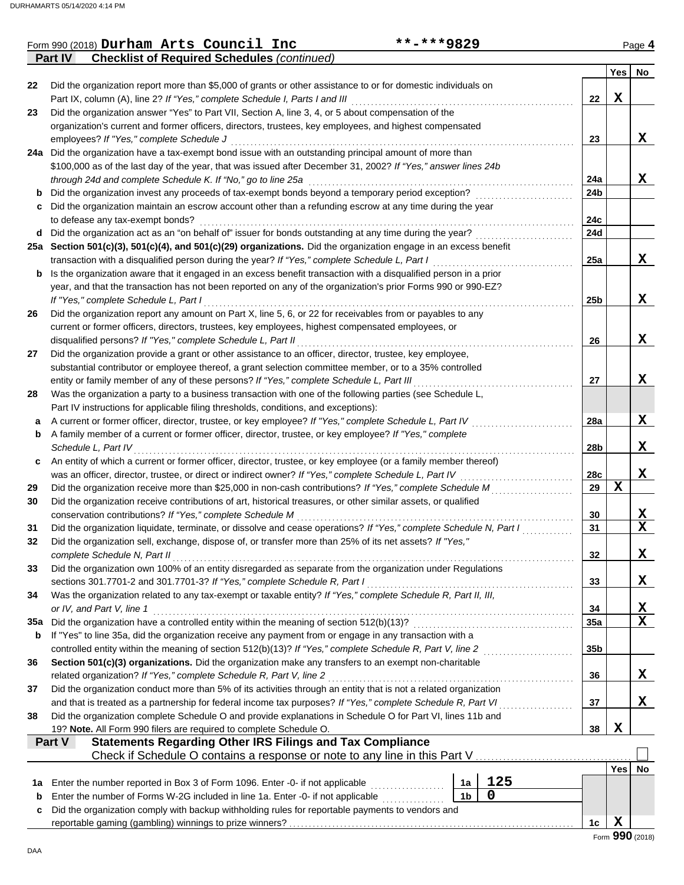|     | Part IV<br><b>Checklist of Required Schedules (continued)</b>                                                                                                               |                 |             |                 |
|-----|-----------------------------------------------------------------------------------------------------------------------------------------------------------------------------|-----------------|-------------|-----------------|
|     |                                                                                                                                                                             |                 | Yes         | No              |
| 22  | Did the organization report more than \$5,000 of grants or other assistance to or for domestic individuals on                                                               |                 |             |                 |
|     | Part IX, column (A), line 2? If "Yes," complete Schedule I, Parts I and III                                                                                                 | 22              | X           |                 |
| 23  | Did the organization answer "Yes" to Part VII, Section A, line 3, 4, or 5 about compensation of the                                                                         |                 |             |                 |
|     | organization's current and former officers, directors, trustees, key employees, and highest compensated                                                                     |                 |             |                 |
|     | employees? If "Yes," complete Schedule J                                                                                                                                    | 23              |             | X               |
|     | 24a Did the organization have a tax-exempt bond issue with an outstanding principal amount of more than                                                                     |                 |             |                 |
|     | \$100,000 as of the last day of the year, that was issued after December 31, 2002? If "Yes," answer lines 24b                                                               |                 |             |                 |
|     | through 24d and complete Schedule K. If "No," go to line 25a                                                                                                                | 24a             |             | X               |
| b   | Did the organization invest any proceeds of tax-exempt bonds beyond a temporary period exception?                                                                           | 24b             |             |                 |
|     | Did the organization maintain an escrow account other than a refunding escrow at any time during the year                                                                   |                 |             |                 |
|     | to defease any tax-exempt bonds?                                                                                                                                            | 24c             |             |                 |
| d   | Did the organization act as an "on behalf of" issuer for bonds outstanding at any time during the year?                                                                     | 24d             |             |                 |
|     | 25a Section 501(c)(3), 501(c)(4), and 501(c)(29) organizations. Did the organization engage in an excess benefit                                                            |                 |             |                 |
|     | transaction with a disqualified person during the year? If "Yes," complete Schedule L, Part I                                                                               | 25a             |             | X               |
| b   | Is the organization aware that it engaged in an excess benefit transaction with a disqualified person in a prior                                                            |                 |             |                 |
|     | year, and that the transaction has not been reported on any of the organization's prior Forms 990 or 990-EZ?                                                                |                 |             |                 |
|     | If "Yes," complete Schedule L, Part I                                                                                                                                       | 25 <sub>b</sub> |             | X               |
| 26  | Did the organization report any amount on Part X, line 5, 6, or 22 for receivables from or payables to any                                                                  |                 |             |                 |
|     | current or former officers, directors, trustees, key employees, highest compensated employees, or                                                                           |                 |             |                 |
|     | disqualified persons? If "Yes," complete Schedule L, Part II                                                                                                                | 26              |             | X               |
| 27  | Did the organization provide a grant or other assistance to an officer, director, trustee, key employee,                                                                    |                 |             |                 |
|     | substantial contributor or employee thereof, a grant selection committee member, or to a 35% controlled                                                                     |                 |             |                 |
|     | entity or family member of any of these persons? If "Yes," complete Schedule L, Part III                                                                                    | 27              |             | X               |
| 28  | Was the organization a party to a business transaction with one of the following parties (see Schedule L,                                                                   |                 |             |                 |
|     | Part IV instructions for applicable filing thresholds, conditions, and exceptions):                                                                                         |                 |             |                 |
| а   | A current or former officer, director, trustee, or key employee? If "Yes," complete Schedule L, Part IV                                                                     | 28a             |             | X               |
| b   | A family member of a current or former officer, director, trustee, or key employee? If "Yes," complete                                                                      |                 |             |                 |
|     | Schedule L, Part IV                                                                                                                                                         | 28b             |             | X               |
| c   | An entity of which a current or former officer, director, trustee, or key employee (or a family member thereof)                                                             |                 |             |                 |
|     | was an officer, director, trustee, or direct or indirect owner? If "Yes," complete Schedule L, Part IV                                                                      | 28c             | $\mathbf X$ | X               |
| 29  | Did the organization receive more than \$25,000 in non-cash contributions? If "Yes," complete Schedule M                                                                    | 29              |             |                 |
| 30  | Did the organization receive contributions of art, historical treasures, or other similar assets, or qualified<br>conservation contributions? If "Yes," complete Schedule M | 30              |             | X               |
| 31  | Did the organization liquidate, terminate, or dissolve and cease operations? If "Yes," complete Schedule N, Part I                                                          | 31              |             | X               |
| 32  | Did the organization sell, exchange, dispose of, or transfer more than 25% of its net assets? If "Yes,"                                                                     |                 |             |                 |
|     | complete Schedule N, Part II                                                                                                                                                | 32              |             | Y               |
| 33  | Did the organization own 100% of an entity disregarded as separate from the organization under Regulations                                                                  |                 |             | 47              |
|     | sections 301.7701-2 and 301.7701-3? If "Yes," complete Schedule R, Part I                                                                                                   | 33              |             | X               |
| 34  | Was the organization related to any tax-exempt or taxable entity? If "Yes," complete Schedule R, Part II, III,                                                              |                 |             |                 |
|     | or IV, and Part V, line 1                                                                                                                                                   | 34              |             | X               |
| 35a | Did the organization have a controlled entity within the meaning of section 512(b)(13)?                                                                                     | 35a             |             | $\mathbf x$     |
| b   | If "Yes" to line 35a, did the organization receive any payment from or engage in any transaction with a                                                                     |                 |             |                 |
|     | controlled entity within the meaning of section 512(b)(13)? If "Yes," complete Schedule R, Part V, line 2                                                                   | 35b             |             |                 |
| 36  | Section 501(c)(3) organizations. Did the organization make any transfers to an exempt non-charitable                                                                        |                 |             |                 |
|     | related organization? If "Yes," complete Schedule R, Part V, line 2                                                                                                         | 36              |             | X               |
| 37  | Did the organization conduct more than 5% of its activities through an entity that is not a related organization                                                            |                 |             |                 |
|     | and that is treated as a partnership for federal income tax purposes? If "Yes," complete Schedule R, Part VI                                                                | 37              |             | X.              |
| 38  | Did the organization complete Schedule O and provide explanations in Schedule O for Part VI, lines 11b and                                                                  |                 |             |                 |
|     | 19? Note. All Form 990 filers are required to complete Schedule O.                                                                                                          | 38              | X           |                 |
|     | <b>Statements Regarding Other IRS Filings and Tax Compliance</b><br>Part V                                                                                                  |                 |             |                 |
|     | Check if Schedule O contains a response or note to any line in this Part V                                                                                                  |                 |             |                 |
|     |                                                                                                                                                                             |                 | Yesl        | No              |
| 1a  | 125<br>Enter the number reported in Box 3 of Form 1096. Enter -0- if not applicable<br>1a                                                                                   |                 |             |                 |
| b   | $\mathbf 0$<br>1 <sub>b</sub><br>Enter the number of Forms W-2G included in line 1a. Enter -0- if not applicable                                                            |                 |             |                 |
| c   | Did the organization comply with backup withholding rules for reportable payments to vendors and                                                                            |                 |             |                 |
|     |                                                                                                                                                                             | 1c              | X           |                 |
|     |                                                                                                                                                                             |                 |             | Form 990 (2018) |

Form 990 (2018) Page **4 Durham Arts Council Inc \*\*-\*\*\*9829**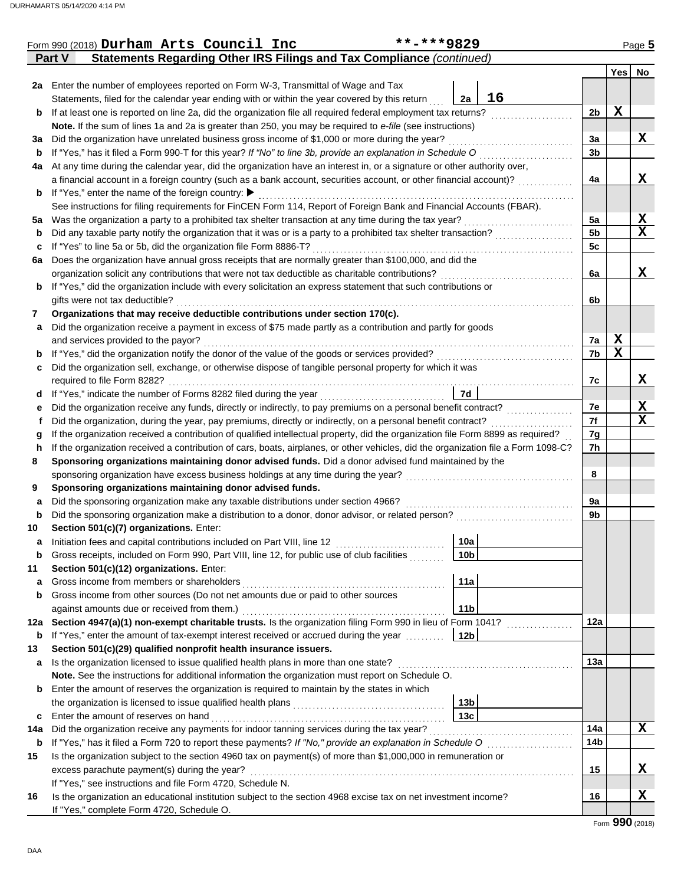|        | Form 990 (2018) Durham Arts Council Inc                                                                                                                                                                                   | **-***9829      |                |             | Page 5      |  |  |  |  |  |  |
|--------|---------------------------------------------------------------------------------------------------------------------------------------------------------------------------------------------------------------------------|-----------------|----------------|-------------|-------------|--|--|--|--|--|--|
|        | Statements Regarding Other IRS Filings and Tax Compliance (continued)<br>Part V                                                                                                                                           |                 |                |             |             |  |  |  |  |  |  |
|        |                                                                                                                                                                                                                           |                 |                |             | Yes No      |  |  |  |  |  |  |
|        | 2a Enter the number of employees reported on Form W-3, Transmittal of Wage and Tax                                                                                                                                        |                 |                |             |             |  |  |  |  |  |  |
|        | Statements, filed for the calendar year ending with or within the year covered by this return                                                                                                                             | 16<br>2a        |                |             |             |  |  |  |  |  |  |
| b      | If at least one is reported on line 2a, did the organization file all required federal employment tax returns?                                                                                                            |                 | 2b             | $\mathbf x$ |             |  |  |  |  |  |  |
|        | Note. If the sum of lines 1a and 2a is greater than 250, you may be required to e-file (see instructions)                                                                                                                 |                 |                |             |             |  |  |  |  |  |  |
| За     | Did the organization have unrelated business gross income of \$1,000 or more during the year?                                                                                                                             |                 | 3a             |             | X           |  |  |  |  |  |  |
| b      | If "Yes," has it filed a Form 990-T for this year? If "No" to line 3b, provide an explanation in Schedule O                                                                                                               |                 | 3 <sub>b</sub> |             |             |  |  |  |  |  |  |
| 4a     | At any time during the calendar year, did the organization have an interest in, or a signature or other authority over,                                                                                                   |                 |                |             |             |  |  |  |  |  |  |
|        | a financial account in a foreign country (such as a bank account, securities account, or other financial account)?                                                                                                        |                 | 4a             |             | X           |  |  |  |  |  |  |
|        | <b>b</b> If "Yes," enter the name of the foreign country:                                                                                                                                                                 |                 |                |             |             |  |  |  |  |  |  |
|        | See instructions for filing requirements for FinCEN Form 114, Report of Foreign Bank and Financial Accounts (FBAR).                                                                                                       |                 |                |             |             |  |  |  |  |  |  |
| 5a     | Was the organization a party to a prohibited tax shelter transaction at any time during the tax year?<br>Did any taxable party notify the organization that it was or is a party to a prohibited tax shelter transaction? |                 |                |             |             |  |  |  |  |  |  |
| b      |                                                                                                                                                                                                                           |                 | 5b             |             | $\mathbf x$ |  |  |  |  |  |  |
| c      | If "Yes" to line 5a or 5b, did the organization file Form 8886-T?                                                                                                                                                         |                 | 5c             |             |             |  |  |  |  |  |  |
| 6а     | Does the organization have annual gross receipts that are normally greater than \$100,000, and did the<br>organization solicit any contributions that were not tax deductible as charitable contributions?                |                 | 6a             |             | X           |  |  |  |  |  |  |
|        | If "Yes," did the organization include with every solicitation an express statement that such contributions or                                                                                                            |                 |                |             |             |  |  |  |  |  |  |
| b      | gifts were not tax deductible?                                                                                                                                                                                            |                 | 6b             |             |             |  |  |  |  |  |  |
| 7      | Organizations that may receive deductible contributions under section 170(c).                                                                                                                                             |                 |                |             |             |  |  |  |  |  |  |
| a      | Did the organization receive a payment in excess of \$75 made partly as a contribution and partly for goods                                                                                                               |                 |                |             |             |  |  |  |  |  |  |
|        | and services provided to the payor?                                                                                                                                                                                       |                 | 7a             | $\mathbf X$ |             |  |  |  |  |  |  |
| b      | If "Yes," did the organization notify the donor of the value of the goods or services provided?                                                                                                                           |                 | 7b             | $\mathbf x$ |             |  |  |  |  |  |  |
| c      | Did the organization sell, exchange, or otherwise dispose of tangible personal property for which it was                                                                                                                  |                 |                |             |             |  |  |  |  |  |  |
|        | required to file Form 8282?                                                                                                                                                                                               |                 | 7c             |             | X           |  |  |  |  |  |  |
| d      |                                                                                                                                                                                                                           | 7d              |                |             |             |  |  |  |  |  |  |
| е      | Did the organization receive any funds, directly or indirectly, to pay premiums on a personal benefit contract?                                                                                                           |                 |                |             |             |  |  |  |  |  |  |
| f      | Did the organization, during the year, pay premiums, directly or indirectly, on a personal benefit contract?                                                                                                              |                 |                |             |             |  |  |  |  |  |  |
| g      | If the organization received a contribution of qualified intellectual property, did the organization file Form 8899 as required?                                                                                          |                 |                |             |             |  |  |  |  |  |  |
| h      | If the organization received a contribution of cars, boats, airplanes, or other vehicles, did the organization file a Form 1098-C?                                                                                        |                 | 7h             |             |             |  |  |  |  |  |  |
| 8      | Sponsoring organizations maintaining donor advised funds. Did a donor advised fund maintained by the                                                                                                                      |                 |                |             |             |  |  |  |  |  |  |
|        | sponsoring organization have excess business holdings at any time during the year?                                                                                                                                        |                 | 8              |             |             |  |  |  |  |  |  |
| 9      | Sponsoring organizations maintaining donor advised funds.                                                                                                                                                                 |                 |                |             |             |  |  |  |  |  |  |
| a      | Did the sponsoring organization make any taxable distributions under section 4966?                                                                                                                                        |                 | 9a             |             |             |  |  |  |  |  |  |
| b      | Did the sponsoring organization make a distribution to a donor, donor advisor, or related person?                                                                                                                         |                 | 9b             |             |             |  |  |  |  |  |  |
| 10     | Section 501(c)(7) organizations. Enter:                                                                                                                                                                                   |                 |                |             |             |  |  |  |  |  |  |
|        | Initiation fees and capital contributions included on Part VIII, line 12 [10] [10] [10] [10] [10] [10] [11] [1                                                                                                            | 10a             |                |             |             |  |  |  |  |  |  |
| b      | Gross receipts, included on Form 990, Part VIII, line 12, for public use of club facilities                                                                                                                               | 10 <sub>b</sub> |                |             |             |  |  |  |  |  |  |
| 11     | Section 501(c)(12) organizations. Enter:                                                                                                                                                                                  | 11a             |                |             |             |  |  |  |  |  |  |
| a<br>b | Gross income from members or shareholders<br>Gross income from other sources (Do not net amounts due or paid to other sources                                                                                             |                 |                |             |             |  |  |  |  |  |  |
|        | against amounts due or received from them.)                                                                                                                                                                               | 11 <sub>b</sub> |                |             |             |  |  |  |  |  |  |
|        | 12a Section 4947(a)(1) non-exempt charitable trusts. Is the organization filing Form 990 in lieu of Form 1041?                                                                                                            |                 | 12a            |             |             |  |  |  |  |  |  |
| b      | If "Yes," enter the amount of tax-exempt interest received or accrued during the year                                                                                                                                     | 12b             |                |             |             |  |  |  |  |  |  |
| 13     | Section 501(c)(29) qualified nonprofit health insurance issuers.                                                                                                                                                          |                 |                |             |             |  |  |  |  |  |  |
| a      | Is the organization licensed to issue qualified health plans in more than one state?                                                                                                                                      |                 | 13a            |             |             |  |  |  |  |  |  |
|        | Note. See the instructions for additional information the organization must report on Schedule O.                                                                                                                         |                 |                |             |             |  |  |  |  |  |  |
| b      | Enter the amount of reserves the organization is required to maintain by the states in which                                                                                                                              |                 |                |             |             |  |  |  |  |  |  |
|        |                                                                                                                                                                                                                           | 13 <sub>b</sub> |                |             |             |  |  |  |  |  |  |
| c      | Enter the amount of reserves on hand                                                                                                                                                                                      | 13c             |                |             |             |  |  |  |  |  |  |
| 14a    | Did the organization receive any payments for indoor tanning services during the tax year?                                                                                                                                |                 | 14a            |             | X           |  |  |  |  |  |  |
| b      | If "Yes," has it filed a Form 720 to report these payments? If "No," provide an explanation in Schedule O                                                                                                                 |                 | 14b            |             |             |  |  |  |  |  |  |
| 15     | Is the organization subject to the section 4960 tax on payment(s) of more than \$1,000,000 in remuneration or                                                                                                             |                 |                |             |             |  |  |  |  |  |  |
|        | excess parachute payment(s) during the year?                                                                                                                                                                              |                 | 15             |             | X           |  |  |  |  |  |  |
|        | If "Yes," see instructions and file Form 4720, Schedule N.                                                                                                                                                                |                 |                |             |             |  |  |  |  |  |  |
| 16     | Is the organization an educational institution subject to the section 4968 excise tax on net investment income?                                                                                                           |                 | 16             |             | X           |  |  |  |  |  |  |
|        | If "Yes," complete Form 4720, Schedule O.                                                                                                                                                                                 |                 |                |             |             |  |  |  |  |  |  |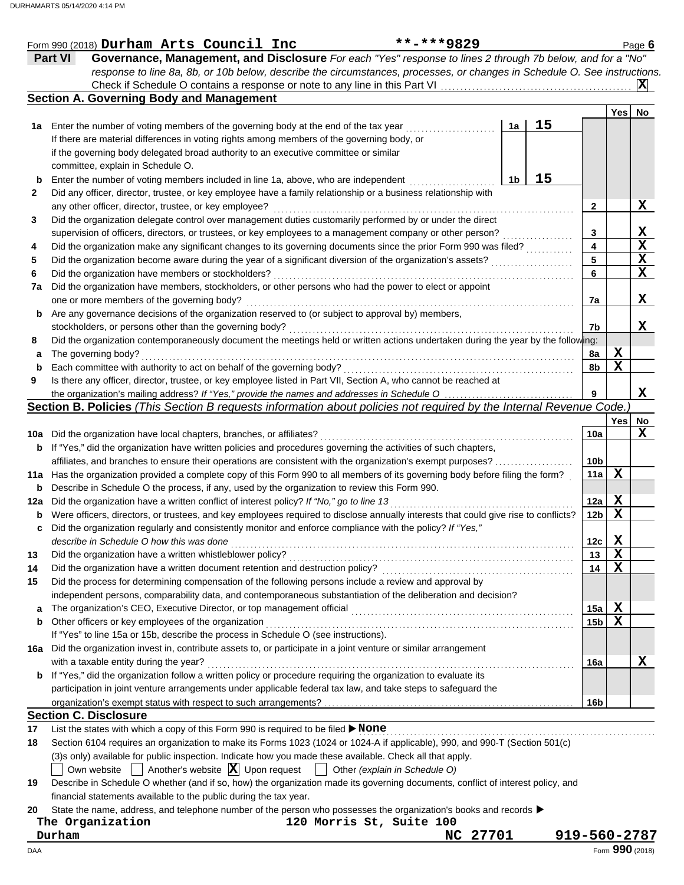|     | **-***9829<br>Form 990 (2018) Durham Arts Council Inc                                                                                                            |                 |             | Page 6         |
|-----|------------------------------------------------------------------------------------------------------------------------------------------------------------------|-----------------|-------------|----------------|
|     | Governance, Management, and Disclosure For each "Yes" response to lines 2 through 7b below, and for a "No"<br><b>Part VI</b>                                     |                 |             |                |
|     | response to line 8a, 8b, or 10b below, describe the circumstances, processes, or changes in Schedule O. See instructions.                                        |                 |             |                |
|     |                                                                                                                                                                  |                 |             | $ \mathbf{X} $ |
|     | <b>Section A. Governing Body and Management</b>                                                                                                                  |                 |             |                |
|     |                                                                                                                                                                  |                 | Yes         | <b>No</b>      |
| 1а  | 15<br>Enter the number of voting members of the governing body at the end of the tax year<br>1a                                                                  |                 |             |                |
|     | If there are material differences in voting rights among members of the governing body, or                                                                       |                 |             |                |
|     | if the governing body delegated broad authority to an executive committee or similar                                                                             |                 |             |                |
|     | committee, explain in Schedule O.                                                                                                                                |                 |             |                |
| b   | 15<br>Enter the number of voting members included in line 1a, above, who are independent<br>1b                                                                   |                 |             |                |
| 2   | Did any officer, director, trustee, or key employee have a family relationship or a business relationship with                                                   |                 |             |                |
|     | any other officer, director, trustee, or key employee?                                                                                                           | 2               |             | X              |
| 3   | Did the organization delegate control over management duties customarily performed by or under the direct                                                        |                 |             |                |
|     | supervision of officers, directors, or trustees, or key employees to a management company or other person?                                                       | 3               |             |                |
| 4   | Did the organization make any significant changes to its governing documents since the prior Form 990 was filed?                                                 | 4               |             | $\frac{X}{X}$  |
| 5   | Did the organization become aware during the year of a significant diversion of the organization's assets?                                                       | 5               |             |                |
| 6   | Did the organization have members or stockholders?                                                                                                               | 6               |             |                |
| 7a  | Did the organization have members, stockholders, or other persons who had the power to elect or appoint                                                          |                 |             |                |
|     | one or more members of the governing body?                                                                                                                       | 7a              |             | X.             |
| b   | Are any governance decisions of the organization reserved to (or subject to approval by) members,                                                                |                 |             |                |
|     | stockholders, or persons other than the governing body?                                                                                                          | 7b              |             | X.             |
| 8   | Did the organization contemporaneously document the meetings held or written actions undertaken during the year by the following:                                |                 |             |                |
| a   | The governing body?                                                                                                                                              | 8a              | X           |                |
| b   | Each committee with authority to act on behalf of the governing body?                                                                                            | 8b              | $\mathbf X$ |                |
| 9   | Is there any officer, director, trustee, or key employee listed in Part VII, Section A, who cannot be reached at                                                 |                 |             |                |
|     |                                                                                                                                                                  | 9               |             | X              |
|     | Section B. Policies (This Section B requests information about policies not required by the Internal Revenue Code.                                               |                 |             |                |
|     |                                                                                                                                                                  |                 | Yes         | No             |
| 10a | Did the organization have local chapters, branches, or affiliates?                                                                                               | 10a             |             | X              |
| b   | If "Yes," did the organization have written policies and procedures governing the activities of such chapters,                                                   |                 |             |                |
|     | affiliates, and branches to ensure their operations are consistent with the organization's exempt purposes?                                                      | 10 <sub>b</sub> |             |                |
|     | 11a Has the organization provided a complete copy of this Form 990 to all members of its governing body before filing the form?                                  | 11a             | X           |                |
| b   | Describe in Schedule O the process, if any, used by the organization to review this Form 990.                                                                    |                 |             |                |
| 12a | Did the organization have a written conflict of interest policy? If "No," go to line 13                                                                          | 12a             | X           |                |
| b   | Were officers, directors, or trustees, and key employees required to disclose annually interests that could give rise to conflicts?                              | 12 <sub>b</sub> | $\mathbf X$ |                |
| c   | Did the organization regularly and consistently monitor and enforce compliance with the policy? If "Yes,"                                                        |                 |             |                |
|     | describe in Schedule O how this was done                                                                                                                         | 12c             | Х           |                |
| 13  | Did the organization have a written whistleblower policy?                                                                                                        | 13              | $\mathbf X$ |                |
| 14  | Did the organization have a written document retention and destruction policy?                                                                                   | 14              | $\mathbf x$ |                |
| 15  | Did the process for determining compensation of the following persons include a review and approval by                                                           |                 |             |                |
|     | independent persons, comparability data, and contemporaneous substantiation of the deliberation and decision?                                                    |                 |             |                |
| a   |                                                                                                                                                                  | 15a             | X           |                |
| b   | Other officers or key employees of the organization                                                                                                              | 15 <sub>b</sub> | $\mathbf X$ |                |
|     | If "Yes" to line 15a or 15b, describe the process in Schedule O (see instructions).                                                                              |                 |             |                |
| 16a | Did the organization invest in, contribute assets to, or participate in a joint venture or similar arrangement                                                   |                 |             |                |
|     | with a taxable entity during the year?                                                                                                                           | 16a             |             | X              |
| b   | If "Yes," did the organization follow a written policy or procedure requiring the organization to evaluate its                                                   |                 |             |                |
|     | participation in joint venture arrangements under applicable federal tax law, and take steps to safeguard the                                                    |                 |             |                |
|     |                                                                                                                                                                  | 16b             |             |                |
|     | <b>Section C. Disclosure</b>                                                                                                                                     |                 |             |                |
| 17  | List the states with which a copy of this Form 990 is required to be filed > None                                                                                |                 |             |                |
| 18  | Section 6104 requires an organization to make its Forms 1023 (1024 or 1024-A if applicable), 990, and 990-T (Section 501(c)                                      |                 |             |                |
|     | (3)s only) available for public inspection. Indicate how you made these available. Check all that apply.                                                         |                 |             |                |
|     | Another's website $ \mathbf{X} $ Upon request<br>Other (explain in Schedule O)<br>Own website                                                                    |                 |             |                |
| 19  | Describe in Schedule O whether (and if so, how) the organization made its governing documents, conflict of interest policy, and                                  |                 |             |                |
|     | financial statements available to the public during the tax year.                                                                                                |                 |             |                |
| 20  | State the name, address, and telephone number of the person who possesses the organization's books and records $\blacktriangleright$<br>120 Morris St, Suite 100 |                 |             |                |
|     | The Organization<br>Durham<br>NC 27701                                                                                                                           | 919-560-2787    |             |                |
|     |                                                                                                                                                                  |                 |             |                |

| ----<br>v<br>×           | -- | $\sim$ | --- |
|--------------------------|----|--------|-----|
| - - -<br>. .<br>--<br>v. |    |        |     |

**Durham NC 27701 919-560-2787**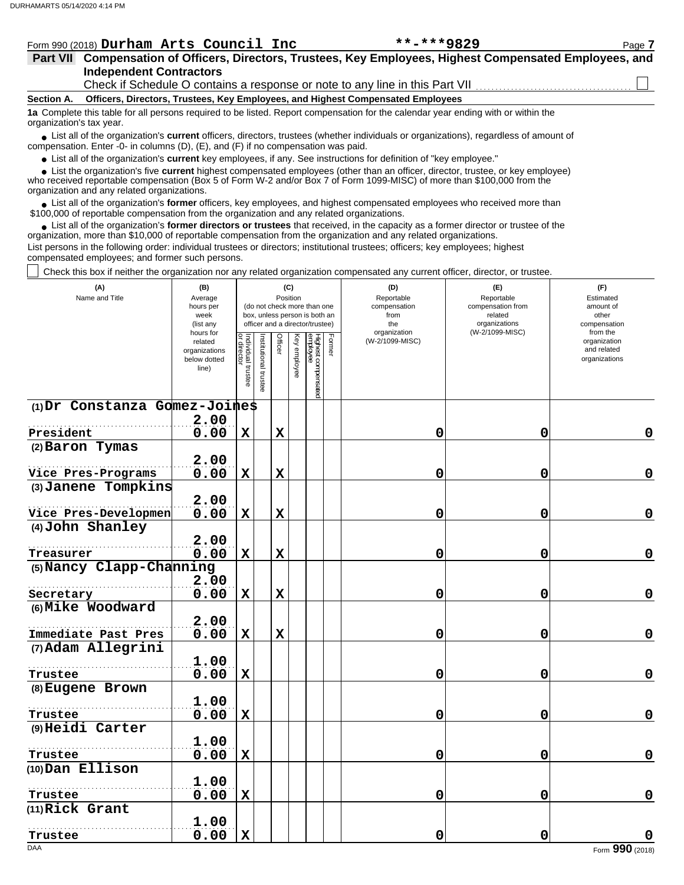|                          | Form 990 (2018) Durham Arts Council Inc                                                                                                       | $***$ $***$ 9829 | Page 7 |  |  |  |  |  |  |  |  |  |  |
|--------------------------|-----------------------------------------------------------------------------------------------------------------------------------------------|------------------|--------|--|--|--|--|--|--|--|--|--|--|
|                          | Part VII Compensation of Officers, Directors, Trustees, Key Employees, Highest Compensated Employees, and                                     |                  |        |  |  |  |  |  |  |  |  |  |  |
|                          | <b>Independent Contractors</b>                                                                                                                |                  |        |  |  |  |  |  |  |  |  |  |  |
|                          | Check if Schedule O contains a response or note to any line in this Part VII                                                                  |                  |        |  |  |  |  |  |  |  |  |  |  |
| <b>Section A.</b>        | Officers, Directors, Trustees, Key Employees, and Highest Compensated Employees                                                               |                  |        |  |  |  |  |  |  |  |  |  |  |
| organization's tax year. | 1a Complete this table for all persons required to be listed. Report compensation for the calendar year ending with or within the             |                  |        |  |  |  |  |  |  |  |  |  |  |
|                          | • List all of the organization's <b>current</b> officers, directors, trustees (whether individuals or organizations), regardless of amount of |                  |        |  |  |  |  |  |  |  |  |  |  |

● List all of the organization's **current** officers, directors, trustees (whether indicompensation. Enter -0- in columns (D), (E), and (F) if no compensation was paid.

● List all of the organization's **current** key employees, if any. See instructions for definition of "key employee."

who received reportable compensation (Box 5 of Form W-2 and/or Box 7 of Form 1099-MISC) of more than \$100,000 from the organization and any related organizations.  $\bullet$  List the organization's five **current** highest compensated employees (other than an officer, director, trustee, or key employee)<br>a received reportable compensation (Box 5 of Form  $M-2$  and/or Box 7 of Form 1000-MISC)

● List all of the organization's **former** officers, key employees, and highest compensated employees who received more than<br>00,000 of reportable compensation from the erganization and any related erganizations. \$100,000 of reportable compensation from the organization and any related organizations.

• List all of the organization's **former directors or trustees** that received, in the capacity as a former director or trustee of the organization, more than \$10,000 of reportable compensation from the organization and any related organizations. List persons in the following order: individual trustees or directors; institutional trustees; officers; key employees; highest compensated employees; and former such persons.

Check this box if neither the organization nor any related organization compensated any current officer, director, or trustee.

| (A)<br>Name and Title           | (B)<br>Average<br>hours per<br>week<br>(list any               |                                   |                       |             | (C)<br>Position | (do not check more than one<br>box, unless person is both an<br>officer and a director/trustee) |        | (D)<br>Reportable<br>compensation<br>from<br>the | (E)<br>Reportable<br>compensation from<br>related<br>organizations | (F)<br>Estimated<br>amount of<br>other<br>compensation   |  |
|---------------------------------|----------------------------------------------------------------|-----------------------------------|-----------------------|-------------|-----------------|-------------------------------------------------------------------------------------------------|--------|--------------------------------------------------|--------------------------------------------------------------------|----------------------------------------------------------|--|
|                                 | hours for<br>related<br>organizations<br>below dotted<br>line) | Individual trustee<br>or director | Institutional trustee | Officer     | Key employee    | Highest compensated<br>employee                                                                 | Former | organization<br>(W-2/1099-MISC)                  | (W-2/1099-MISC)                                                    | from the<br>organization<br>and related<br>organizations |  |
| $(1)$ Dr Constanza Gomez-Joines |                                                                |                                   |                       |             |                 |                                                                                                 |        |                                                  |                                                                    |                                                          |  |
| President                       | 2.00<br>0.00                                                   | $\mathbf X$                       |                       | $\mathbf x$ |                 |                                                                                                 |        | 0                                                | 0                                                                  | 0                                                        |  |
| (2) Baron Tymas                 |                                                                |                                   |                       |             |                 |                                                                                                 |        |                                                  |                                                                    |                                                          |  |
|                                 | 2.00                                                           |                                   |                       |             |                 |                                                                                                 |        |                                                  |                                                                    |                                                          |  |
| Vice Pres-Programs              | 0.00                                                           | $\mathbf X$                       |                       | $\mathbf x$ |                 |                                                                                                 |        | 0                                                | 0                                                                  | $\mathbf 0$                                              |  |
| (3) Janene Tompkins             |                                                                |                                   |                       |             |                 |                                                                                                 |        |                                                  |                                                                    |                                                          |  |
|                                 | 2.00                                                           |                                   |                       |             |                 |                                                                                                 |        |                                                  |                                                                    |                                                          |  |
| Vice Pres-Developmen            | 0.00                                                           | $\mathbf X$                       |                       | $\mathbf x$ |                 |                                                                                                 |        | 0                                                | 0                                                                  | $\mathbf 0$                                              |  |
| (4) John Shanley                |                                                                |                                   |                       |             |                 |                                                                                                 |        |                                                  |                                                                    |                                                          |  |
| Treasurer                       | 2.00<br>0.00                                                   | $\mathbf X$                       |                       | $\mathbf x$ |                 |                                                                                                 |        | 0                                                | 0                                                                  | 0                                                        |  |
| (5) Nancy Clapp-Channing        |                                                                |                                   |                       |             |                 |                                                                                                 |        |                                                  |                                                                    |                                                          |  |
|                                 | 2.00                                                           |                                   |                       |             |                 |                                                                                                 |        |                                                  |                                                                    |                                                          |  |
| Secretary                       | 0.00                                                           | $\mathbf X$                       |                       | $\mathbf x$ |                 |                                                                                                 |        | 0                                                | 0                                                                  | $\mathbf 0$                                              |  |
| (6) Mike Woodward               |                                                                |                                   |                       |             |                 |                                                                                                 |        |                                                  |                                                                    |                                                          |  |
|                                 | 2.00                                                           |                                   |                       |             |                 |                                                                                                 |        |                                                  |                                                                    |                                                          |  |
| Immediate Past Pres             | 0.00                                                           | $\mathbf X$                       |                       | $\mathbf x$ |                 |                                                                                                 |        | 0                                                | 0                                                                  | $\mathbf 0$                                              |  |
| (7) Adam Allegrini              |                                                                |                                   |                       |             |                 |                                                                                                 |        |                                                  |                                                                    |                                                          |  |
|                                 | 1.00                                                           |                                   |                       |             |                 |                                                                                                 |        |                                                  |                                                                    | 0                                                        |  |
| Trustee<br>(8) Eugene Brown     | 0.00                                                           | $\mathbf X$                       |                       |             |                 |                                                                                                 |        | 0                                                | 0                                                                  |                                                          |  |
|                                 | 1.00                                                           |                                   |                       |             |                 |                                                                                                 |        |                                                  |                                                                    |                                                          |  |
| Trustee                         | 0.00                                                           | $\mathbf X$                       |                       |             |                 |                                                                                                 |        | 0                                                | 0                                                                  | $\mathbf 0$                                              |  |
| (9) Heidi Carter                |                                                                |                                   |                       |             |                 |                                                                                                 |        |                                                  |                                                                    |                                                          |  |
|                                 | 1.00                                                           |                                   |                       |             |                 |                                                                                                 |        |                                                  |                                                                    |                                                          |  |
| Trustee                         | 0.00                                                           | $\mathbf x$                       |                       |             |                 |                                                                                                 |        | 0                                                | 0                                                                  | 0                                                        |  |
| (10) Dan Ellison                |                                                                |                                   |                       |             |                 |                                                                                                 |        |                                                  |                                                                    |                                                          |  |
|                                 | 1.00                                                           |                                   |                       |             |                 |                                                                                                 |        |                                                  |                                                                    |                                                          |  |
| Trustee                         | 0.00                                                           | $\mathbf X$                       |                       |             |                 |                                                                                                 |        | 0                                                | 0                                                                  | 0                                                        |  |
| (11) Rick Grant                 | 1.00                                                           |                                   |                       |             |                 |                                                                                                 |        |                                                  |                                                                    |                                                          |  |
| Trustee                         | 0.00                                                           | $\mathbf X$                       |                       |             |                 |                                                                                                 |        | 0                                                | 0                                                                  | $\mathbf 0$                                              |  |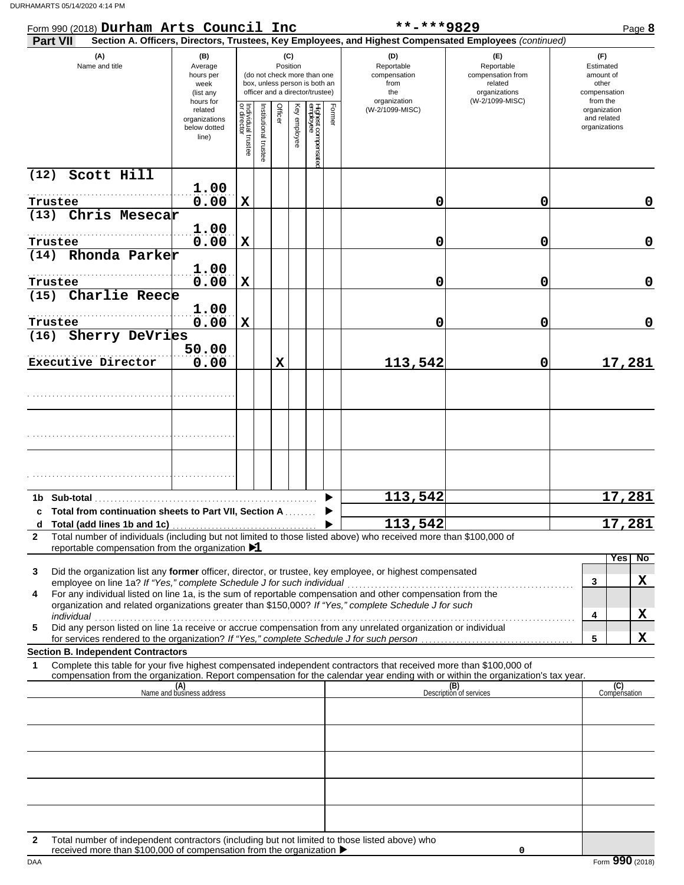| Form 990 (2018) Durham Arts Council Inc                                                                                                                                                                                                                     |                                                   |                                                                                                              |                       |         |              |                                |        | **-***9829                                                                                             |                                                                                       |                                                                    | Page 8              |
|-------------------------------------------------------------------------------------------------------------------------------------------------------------------------------------------------------------------------------------------------------------|---------------------------------------------------|--------------------------------------------------------------------------------------------------------------|-----------------------|---------|--------------|--------------------------------|--------|--------------------------------------------------------------------------------------------------------|---------------------------------------------------------------------------------------|--------------------------------------------------------------------|---------------------|
| <b>Part VII</b>                                                                                                                                                                                                                                             |                                                   |                                                                                                              |                       |         |              |                                |        | Section A. Officers, Directors, Trustees, Key Employees, and Highest Compensated Employees (continued) |                                                                                       |                                                                    |                     |
| (A)<br>Name and title                                                                                                                                                                                                                                       | (B)<br>Average<br>hours per<br>week<br>(list any  | (do not check more than one<br>box, unless person is both an<br>officer and a director/trustee)<br>hours for |                       |         |              |                                |        | (D)<br>Reportable<br>compensation<br>from<br>the<br>organization                                       | (E)<br>Reportable<br>compensation from<br>related<br>organizations<br>(W-2/1099-MISC) | (F)<br>Estimated<br>amount of<br>other<br>compensation<br>from the |                     |
|                                                                                                                                                                                                                                                             | related<br>organizations<br>below dotted<br>line) | Individual trustee<br>or director                                                                            | Institutional trustee | Officer | Key employee | Highest compensate<br>employee | Former | (W-2/1099-MISC)                                                                                        |                                                                                       | organization<br>and related<br>organizations                       |                     |
| Scott Hill<br>(12)                                                                                                                                                                                                                                          | 1.00                                              |                                                                                                              |                       |         |              |                                |        |                                                                                                        |                                                                                       |                                                                    |                     |
| Trustee                                                                                                                                                                                                                                                     | 0.00                                              | $\mathbf X$                                                                                                  |                       |         |              |                                |        | 0                                                                                                      | 0                                                                                     |                                                                    | 0                   |
| (13) Chris Mesecar                                                                                                                                                                                                                                          |                                                   |                                                                                                              |                       |         |              |                                |        |                                                                                                        |                                                                                       |                                                                    |                     |
|                                                                                                                                                                                                                                                             | 1.00                                              |                                                                                                              |                       |         |              |                                |        |                                                                                                        |                                                                                       |                                                                    |                     |
| Trustee<br>(14) Rhonda Parker                                                                                                                                                                                                                               | 0.00                                              | $\mathbf X$                                                                                                  |                       |         |              |                                |        | 0                                                                                                      | 0                                                                                     |                                                                    | $\mathbf 0$         |
| Trustee                                                                                                                                                                                                                                                     | 1.00<br>0.00                                      | $\mathbf X$                                                                                                  |                       |         |              |                                |        | 0                                                                                                      | 0                                                                                     |                                                                    | $\mathbf 0$         |
| (15) Charlie Reece                                                                                                                                                                                                                                          |                                                   |                                                                                                              |                       |         |              |                                |        |                                                                                                        |                                                                                       |                                                                    |                     |
| Trustee                                                                                                                                                                                                                                                     | 1.00<br>0.00                                      | $\mathbf X$                                                                                                  |                       |         |              |                                |        | 0                                                                                                      | 0                                                                                     |                                                                    | $\mathbf 0$         |
| Sherry DeVries<br>(16)                                                                                                                                                                                                                                      |                                                   |                                                                                                              |                       |         |              |                                |        |                                                                                                        |                                                                                       |                                                                    |                     |
| Executive Director                                                                                                                                                                                                                                          | 50.00<br>0.00                                     |                                                                                                              |                       | х       |              |                                |        | 113,542                                                                                                | 0                                                                                     |                                                                    | 17,281              |
|                                                                                                                                                                                                                                                             |                                                   |                                                                                                              |                       |         |              |                                |        |                                                                                                        |                                                                                       |                                                                    |                     |
|                                                                                                                                                                                                                                                             |                                                   |                                                                                                              |                       |         |              |                                |        |                                                                                                        |                                                                                       |                                                                    |                     |
|                                                                                                                                                                                                                                                             |                                                   |                                                                                                              |                       |         |              |                                |        |                                                                                                        |                                                                                       |                                                                    |                     |
|                                                                                                                                                                                                                                                             |                                                   |                                                                                                              |                       |         |              |                                |        | 113,542                                                                                                |                                                                                       |                                                                    | 17,281              |
| c Total from continuation sheets to Part VII, Section A                                                                                                                                                                                                     |                                                   |                                                                                                              |                       |         |              |                                |        | 113,542                                                                                                |                                                                                       | 17                                                                 | 281                 |
| Total number of individuals (including but not limited to those listed above) who received more than \$100,000 of<br>$\mathbf{2}$                                                                                                                           |                                                   |                                                                                                              |                       |         |              |                                |        |                                                                                                        |                                                                                       |                                                                    |                     |
| reportable compensation from the organization $\blacktriangleright$ 1                                                                                                                                                                                       |                                                   |                                                                                                              |                       |         |              |                                |        |                                                                                                        |                                                                                       |                                                                    | Yes<br>No           |
| Did the organization list any former officer, director, or trustee, key employee, or highest compensated<br>3                                                                                                                                               |                                                   |                                                                                                              |                       |         |              |                                |        |                                                                                                        |                                                                                       |                                                                    |                     |
| employee on line 1a? If "Yes," complete Schedule J for such individual                                                                                                                                                                                      |                                                   |                                                                                                              |                       |         |              |                                |        |                                                                                                        |                                                                                       | 3                                                                  | X                   |
| For any individual listed on line 1a, is the sum of reportable compensation and other compensation from the<br>4<br>organization and related organizations greater than \$150,000? If "Yes," complete Schedule J for such                                   |                                                   |                                                                                                              |                       |         |              |                                |        |                                                                                                        |                                                                                       |                                                                    |                     |
| individual<br>marviquar<br>Did any person listed on line 1a receive or accrue compensation from any unrelated organization or individual                                                                                                                    |                                                   |                                                                                                              |                       |         |              |                                |        |                                                                                                        |                                                                                       | 4                                                                  | X                   |
| 5<br>for services rendered to the organization? If "Yes," complete Schedule J for such person.                                                                                                                                                              |                                                   |                                                                                                              |                       |         |              |                                |        |                                                                                                        |                                                                                       | 5                                                                  | X                   |
| <b>Section B. Independent Contractors</b>                                                                                                                                                                                                                   |                                                   |                                                                                                              |                       |         |              |                                |        |                                                                                                        |                                                                                       |                                                                    |                     |
| Complete this table for your five highest compensated independent contractors that received more than \$100,000 of<br>1<br>compensation from the organization. Report compensation for the calendar year ending with or within the organization's tax year. |                                                   |                                                                                                              |                       |         |              |                                |        |                                                                                                        |                                                                                       |                                                                    |                     |
|                                                                                                                                                                                                                                                             | (A)<br>Name and business address                  |                                                                                                              |                       |         |              |                                |        |                                                                                                        | (B)<br>Description of services                                                        |                                                                    | (C)<br>Compensation |
|                                                                                                                                                                                                                                                             |                                                   |                                                                                                              |                       |         |              |                                |        |                                                                                                        |                                                                                       |                                                                    |                     |
|                                                                                                                                                                                                                                                             |                                                   |                                                                                                              |                       |         |              |                                |        |                                                                                                        |                                                                                       |                                                                    |                     |
|                                                                                                                                                                                                                                                             |                                                   |                                                                                                              |                       |         |              |                                |        |                                                                                                        |                                                                                       |                                                                    |                     |
|                                                                                                                                                                                                                                                             |                                                   |                                                                                                              |                       |         |              |                                |        |                                                                                                        |                                                                                       |                                                                    |                     |
|                                                                                                                                                                                                                                                             |                                                   |                                                                                                              |                       |         |              |                                |        |                                                                                                        |                                                                                       |                                                                    |                     |
| Total number of independent contractors (including but not limited to those listed above) who<br>2<br>received more than \$100,000 of compensation from the organization ▶                                                                                  |                                                   |                                                                                                              |                       |         |              |                                |        |                                                                                                        | $\Omega$                                                                              |                                                                    |                     |

DAA Form **990** (2018) received more than \$100,000 of compensation from the organization  $\blacktriangleright$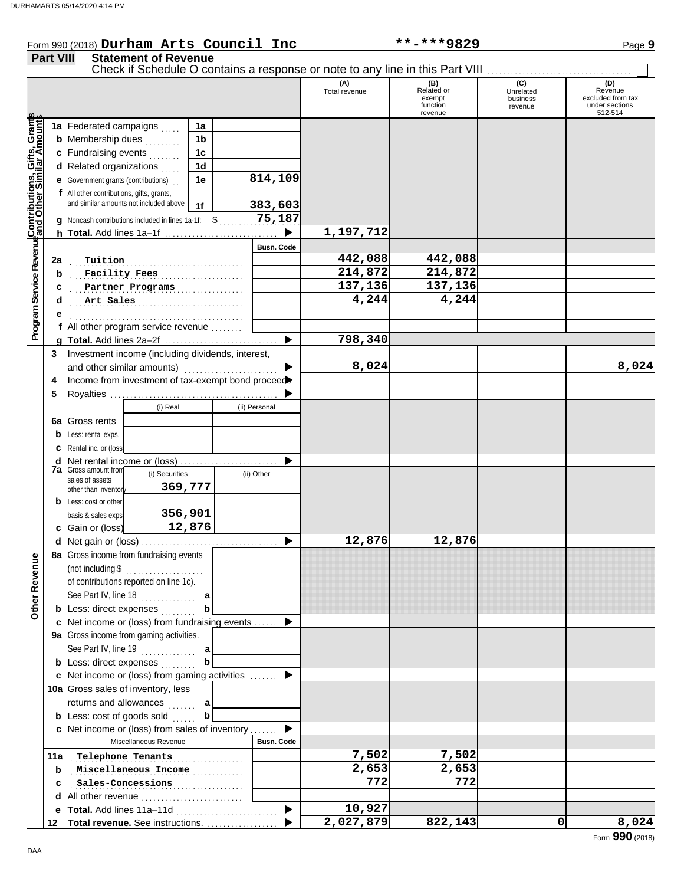## Form 990 (2018) Page **9 Durham Arts Council Inc \*\*-\*\*\*9829 Part VIII Statement of Revenue** Check if Schedule O contains a response or note to any line in this Part VIII . . . . . . . . . . . . . . . . . . . . . . . . . . . . . . . . . . . . .

|                                                                        |    |                                                      |                       |                |               |                   |                      | Check if Schedule O contains a response or note to any line in this Part VIII |                                         |                                                           |
|------------------------------------------------------------------------|----|------------------------------------------------------|-----------------------|----------------|---------------|-------------------|----------------------|-------------------------------------------------------------------------------|-----------------------------------------|-----------------------------------------------------------|
|                                                                        |    |                                                      |                       |                |               |                   | (A)<br>Total revenue | (B)<br>Related or<br>exempt<br>function<br>revenue                            | (C)<br>Unrelated<br>business<br>revenue | Revenue<br>excluded from tax<br>under sections<br>512-514 |
| Contributions, Gifts, Gran <del>ts</del><br>Iand Other Similar Amounts |    | 1a Federated campaigns                               |                       | 1a             |               |                   |                      |                                                                               |                                         |                                                           |
|                                                                        |    | <b>b</b> Membership dues                             |                       | 1 <sub>b</sub> |               |                   |                      |                                                                               |                                         |                                                           |
|                                                                        |    | c Fundraising events                                 |                       | 1 <sub>c</sub> |               |                   |                      |                                                                               |                                         |                                                           |
|                                                                        |    | d Related organizations                              |                       | 1d             |               |                   |                      |                                                                               |                                         |                                                           |
|                                                                        |    | <b>e</b> Government grants (contributions)           |                       | 1e             |               | 814,109           |                      |                                                                               |                                         |                                                           |
|                                                                        |    | f All other contributions, gifts, grants,            |                       |                |               |                   |                      |                                                                               |                                         |                                                           |
|                                                                        |    | and similar amounts not included above               |                       | 1f             |               | 383,603           |                      |                                                                               |                                         |                                                           |
|                                                                        |    | g Noncash contributions included in lines 1a-1f: \$  |                       |                |               | 75,187            |                      |                                                                               |                                         |                                                           |
|                                                                        |    | h Total. Add lines 1a-1f                             |                       |                |               | ▶                 | 1,197,712            |                                                                               |                                         |                                                           |
|                                                                        |    |                                                      |                       |                |               | Busn. Code        |                      |                                                                               |                                         |                                                           |
|                                                                        |    |                                                      |                       |                |               |                   | 442,088              | 442,088                                                                       |                                         |                                                           |
|                                                                        | 2a | Tuition                                              |                       |                |               |                   | 214,872              | 214,872                                                                       |                                         |                                                           |
|                                                                        | b  | Facility Fees                                        |                       |                |               |                   | 137,136              | 137,136                                                                       |                                         |                                                           |
|                                                                        | с  | Partner Programs                                     |                       |                |               |                   | 4,244                | 4,244                                                                         |                                         |                                                           |
|                                                                        | d  | Art Sales                                            |                       |                |               |                   |                      |                                                                               |                                         |                                                           |
|                                                                        |    |                                                      |                       |                |               |                   |                      |                                                                               |                                         |                                                           |
| Program Service Revenue                                                |    | f All other program service revenue                  |                       |                |               |                   | 798,340              |                                                                               |                                         |                                                           |
|                                                                        |    |                                                      |                       |                |               | ▶                 |                      |                                                                               |                                         |                                                           |
| 3                                                                      |    | Investment income (including dividends, interest,    |                       |                |               |                   |                      |                                                                               |                                         |                                                           |
|                                                                        |    | and other similar amounts)                           |                       |                |               |                   | 8,024                |                                                                               |                                         | 8,024                                                     |
| 4                                                                      |    | Income from investment of tax-exempt bond proceed    |                       |                |               |                   |                      |                                                                               |                                         |                                                           |
| 5                                                                      |    |                                                      |                       |                |               |                   |                      |                                                                               |                                         |                                                           |
|                                                                        |    |                                                      | (i) Real              |                | (ii) Personal |                   |                      |                                                                               |                                         |                                                           |
|                                                                        |    | 6a Gross rents                                       |                       |                |               |                   |                      |                                                                               |                                         |                                                           |
|                                                                        | b  | Less: rental exps.                                   |                       |                |               |                   |                      |                                                                               |                                         |                                                           |
|                                                                        | c  | Rental inc. or (loss)                                |                       |                |               |                   |                      |                                                                               |                                         |                                                           |
|                                                                        | d  | Net rental income or (loss)                          |                       |                |               |                   |                      |                                                                               |                                         |                                                           |
|                                                                        |    | <b>7a</b> Gross amount from<br>sales of assets       | (i) Securities        |                | (ii) Other    |                   |                      |                                                                               |                                         |                                                           |
|                                                                        |    | other than inventor                                  | 369,777               |                |               |                   |                      |                                                                               |                                         |                                                           |
|                                                                        |    | <b>b</b> Less: cost or other                         |                       |                |               |                   |                      |                                                                               |                                         |                                                           |
|                                                                        |    | basis & sales exps                                   | 356,901               |                |               |                   |                      |                                                                               |                                         |                                                           |
|                                                                        |    | c Gain or (loss)                                     | 12,876                |                |               |                   |                      |                                                                               |                                         |                                                           |
|                                                                        |    |                                                      |                       |                |               |                   | 12,876               | 12,876                                                                        |                                         |                                                           |
| g                                                                      |    | 8a Gross income from fundraising events              |                       |                |               |                   |                      |                                                                               |                                         |                                                           |
|                                                                        |    | (not including \$                                    |                       |                |               |                   |                      |                                                                               |                                         |                                                           |
| Other Reven                                                            |    | of contributions reported on line 1c).               |                       |                |               |                   |                      |                                                                               |                                         |                                                           |
|                                                                        |    | See Part IV, line 18                                 |                       |                |               |                   |                      |                                                                               |                                         |                                                           |
|                                                                        |    | <b>b</b> Less: direct expenses                       |                       |                |               |                   |                      |                                                                               |                                         |                                                           |
|                                                                        |    | c Net income or (loss) from fundraising events       |                       |                |               |                   |                      |                                                                               |                                         |                                                           |
|                                                                        |    | 9a Gross income from gaming activities.              |                       |                |               |                   |                      |                                                                               |                                         |                                                           |
|                                                                        |    | See Part IV, line 19                                 |                       | a              |               |                   |                      |                                                                               |                                         |                                                           |
|                                                                        |    | <b>b</b> Less: direct expenses                       |                       | b              |               |                   |                      |                                                                               |                                         |                                                           |
|                                                                        |    | <b>c</b> Net income or (loss) from gaming activities |                       |                |               |                   |                      |                                                                               |                                         |                                                           |
|                                                                        |    | 10a Gross sales of inventory, less                   |                       |                |               |                   |                      |                                                                               |                                         |                                                           |
|                                                                        |    | returns and allowances                               | aaaaan                | a              |               |                   |                      |                                                                               |                                         |                                                           |
|                                                                        |    | <b>b</b> Less: cost of goods sold                    |                       | b              |               |                   |                      |                                                                               |                                         |                                                           |
|                                                                        |    | c Net income or (loss) from sales of inventory       |                       |                |               |                   |                      |                                                                               |                                         |                                                           |
|                                                                        |    |                                                      | Miscellaneous Revenue |                |               | <b>Busn. Code</b> |                      |                                                                               |                                         |                                                           |
| 11a                                                                    |    | Telephone Tenants                                    |                       |                |               |                   | 7,502                | 7,502                                                                         |                                         |                                                           |
|                                                                        | b  |                                                      | Miscellaneous Income  |                |               |                   | 2,653                | 2,653                                                                         |                                         |                                                           |
|                                                                        |    |                                                      |                       |                |               |                   | 772                  | 772                                                                           |                                         |                                                           |
|                                                                        | c  | Sales-Concessions                                    |                       | .              |               |                   |                      |                                                                               |                                         |                                                           |
|                                                                        |    | d All other revenue                                  |                       |                |               |                   | 10,927               |                                                                               |                                         |                                                           |
|                                                                        |    | e Total. Add lines 11a-11d                           |                       |                |               |                   | 2,027,879            | 822,143                                                                       |                                         | 8,024<br>0                                                |
| 12                                                                     |    | Total revenue. See instructions.                     |                       |                |               |                   |                      |                                                                               |                                         |                                                           |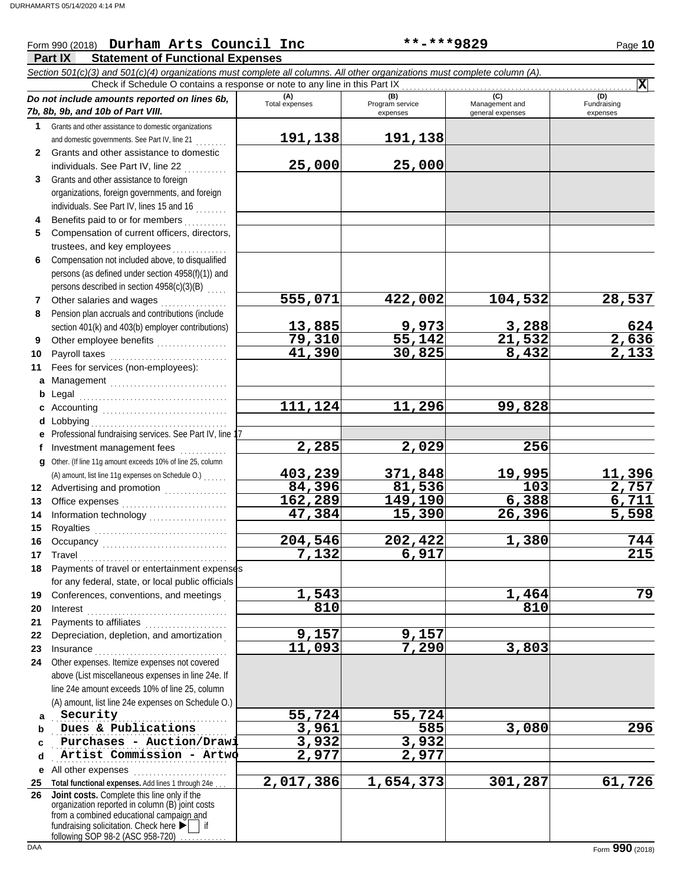### Form 990 (2018) Page **10 Durham Arts Council Inc \*\*-\*\*\*9829**

#### **Part IX Statement of Functional Expenses**

|              | Section 501(c)(3) and 501(c)(4) organizations must complete all columns. All other organizations must complete column (A).                                                                                                                                                                                                                                                                    |                       |                             |                                    |                         |
|--------------|-----------------------------------------------------------------------------------------------------------------------------------------------------------------------------------------------------------------------------------------------------------------------------------------------------------------------------------------------------------------------------------------------|-----------------------|-----------------------------|------------------------------------|-------------------------|
|              | Check if Schedule O contains a response or note to any line in this Part IX                                                                                                                                                                                                                                                                                                                   |                       | (B)                         | (C)                                | $ \mathbf{X} $<br>(D)   |
|              | Do not include amounts reported on lines 6b,<br>7b, 8b, 9b, and 10b of Part VIII.                                                                                                                                                                                                                                                                                                             | (A)<br>Total expenses | Program service<br>expenses | Management and<br>general expenses | Fundraising<br>expenses |
| 1            | Grants and other assistance to domestic organizations                                                                                                                                                                                                                                                                                                                                         |                       |                             |                                    |                         |
|              | and domestic governments. See Part IV, line 21                                                                                                                                                                                                                                                                                                                                                | 191,138               | 191,138                     |                                    |                         |
| $\mathbf{2}$ | Grants and other assistance to domestic<br>individuals. See Part IV, line 22                                                                                                                                                                                                                                                                                                                  | 25,000                | 25,000                      |                                    |                         |
| 3            | Grants and other assistance to foreign                                                                                                                                                                                                                                                                                                                                                        |                       |                             |                                    |                         |
|              | organizations, foreign governments, and foreign                                                                                                                                                                                                                                                                                                                                               |                       |                             |                                    |                         |
|              | individuals. See Part IV, lines 15 and 16                                                                                                                                                                                                                                                                                                                                                     |                       |                             |                                    |                         |
|              | Benefits paid to or for members                                                                                                                                                                                                                                                                                                                                                               |                       |                             |                                    |                         |
| 5            | Compensation of current officers, directors,                                                                                                                                                                                                                                                                                                                                                  |                       |                             |                                    |                         |
|              | trustees, and key employees                                                                                                                                                                                                                                                                                                                                                                   |                       |                             |                                    |                         |
| 6            | Compensation not included above, to disqualified                                                                                                                                                                                                                                                                                                                                              |                       |                             |                                    |                         |
|              | persons (as defined under section 4958(f)(1)) and                                                                                                                                                                                                                                                                                                                                             |                       |                             |                                    |                         |
|              | persons described in section 4958(c)(3)(B)                                                                                                                                                                                                                                                                                                                                                    |                       |                             |                                    |                         |
| 7            | Other salaries and wages                                                                                                                                                                                                                                                                                                                                                                      | 555,071               | 422,002                     | 104,532                            | 28,537                  |
| 8            | Pension plan accruals and contributions (include                                                                                                                                                                                                                                                                                                                                              |                       |                             |                                    |                         |
|              | section 401(k) and 403(b) employer contributions)                                                                                                                                                                                                                                                                                                                                             | 13,885                | 9,973                       | 3,288                              | 624                     |
| 9            | Other employee benefits                                                                                                                                                                                                                                                                                                                                                                       | 79,310                | 55,142                      | 21,532                             | $\frac{2,636}{2,133}$   |
| 10           | Payroll taxes                                                                                                                                                                                                                                                                                                                                                                                 | $\overline{41,390}$   | 30,825                      | 8,432                              |                         |
| 11           | Fees for services (non-employees):                                                                                                                                                                                                                                                                                                                                                            |                       |                             |                                    |                         |
| a            | Management                                                                                                                                                                                                                                                                                                                                                                                    |                       |                             |                                    |                         |
| b            |                                                                                                                                                                                                                                                                                                                                                                                               |                       |                             |                                    |                         |
|              |                                                                                                                                                                                                                                                                                                                                                                                               | 111,124               | 11,296                      | 99,828                             |                         |
| d            | Lobbying                                                                                                                                                                                                                                                                                                                                                                                      |                       |                             |                                    |                         |
|              | Professional fundraising services. See Part IV, line 17                                                                                                                                                                                                                                                                                                                                       |                       |                             |                                    |                         |
| f            | Investment management fees                                                                                                                                                                                                                                                                                                                                                                    | 2,285                 | 2,029                       | 256                                |                         |
| q            | Other. (If line 11g amount exceeds 10% of line 25, column                                                                                                                                                                                                                                                                                                                                     | 403,239               | 371,848                     | 19,995                             | 11,396                  |
|              | (A) amount, list line 11g expenses on Schedule O.)                                                                                                                                                                                                                                                                                                                                            | 84,396                | 81,536                      | 103                                | 2,757                   |
| 12<br>13     | Advertising and promotion                                                                                                                                                                                                                                                                                                                                                                     | 162,289               | 149,190                     | 6,388                              | 6,711                   |
| 14           | Information technology<br>                                                                                                                                                                                                                                                                                                                                                                    | 47,384                | 15,390                      | 26,396                             | 5,598                   |
| 15           |                                                                                                                                                                                                                                                                                                                                                                                               |                       |                             |                                    |                         |
| 16           |                                                                                                                                                                                                                                                                                                                                                                                               | 204,546               | 202,422                     | 1,380                              | 744                     |
| 17           | Travel                                                                                                                                                                                                                                                                                                                                                                                        | 7,132                 | 6,917                       |                                    | $\overline{215}$        |
| 18           | Payments of travel or entertainment expenses                                                                                                                                                                                                                                                                                                                                                  |                       |                             |                                    |                         |
|              | for any federal, state, or local public officials                                                                                                                                                                                                                                                                                                                                             |                       |                             |                                    |                         |
| 19           | Conferences, conventions, and meetings                                                                                                                                                                                                                                                                                                                                                        | 1,543                 |                             | 1,464                              | 79                      |
| 20           | $\textbf{Interest} \hspace{0.05cm} \textbf{1} \hspace{0.05cm} \textbf{1} \hspace{0.05cm} \textbf{1} \hspace{0.05cm} \textbf{1} \hspace{0.05cm} \textbf{1} \hspace{0.05cm} \textbf{1} \hspace{0.05cm} \textbf{1} \hspace{0.05cm} \textbf{1} \hspace{0.05cm} \textbf{1} \hspace{0.05cm} \textbf{1} \hspace{0.05cm} \textbf{1} \hspace{0.05cm} \textbf{1} \hspace{0.05cm} \textbf{1} \hspace{0.$ | 810                   |                             | 810                                |                         |
| 21           |                                                                                                                                                                                                                                                                                                                                                                                               |                       |                             |                                    |                         |
| 22           | Depreciation, depletion, and amortization                                                                                                                                                                                                                                                                                                                                                     | 9,157                 | 9,157                       |                                    |                         |
| 23           |                                                                                                                                                                                                                                                                                                                                                                                               | 11,093                | 7,290                       | 3,803                              |                         |
| 24           | Other expenses. Itemize expenses not covered                                                                                                                                                                                                                                                                                                                                                  |                       |                             |                                    |                         |
|              | above (List miscellaneous expenses in line 24e. If                                                                                                                                                                                                                                                                                                                                            |                       |                             |                                    |                         |
|              | line 24e amount exceeds 10% of line 25, column                                                                                                                                                                                                                                                                                                                                                |                       |                             |                                    |                         |
|              | (A) amount, list line 24e expenses on Schedule O.)                                                                                                                                                                                                                                                                                                                                            |                       |                             |                                    |                         |
| a            | Security                                                                                                                                                                                                                                                                                                                                                                                      | 55,724                | 55,724                      |                                    |                         |
| b            | Dues & Publications                                                                                                                                                                                                                                                                                                                                                                           | 3,961                 | 585                         | 3,080                              | 296                     |
| c            | Purchases - Auction/Drawi                                                                                                                                                                                                                                                                                                                                                                     | 3,932                 | 3,932                       |                                    |                         |
| d            | Artist Commission - Artwo                                                                                                                                                                                                                                                                                                                                                                     | 2,977                 | 2,977                       |                                    |                         |
| е            | All other expenses                                                                                                                                                                                                                                                                                                                                                                            | 2,017,386             | $\overline{1,654,373}$      | 301,287                            | 61,726                  |
| 25<br>26     | Total functional expenses. Add lines 1 through 24e<br>Joint costs. Complete this line only if the                                                                                                                                                                                                                                                                                             |                       |                             |                                    |                         |
|              | organization reported in column (B) joint costs<br>from a combined educational campaign and<br>fundraising solicitation. Check here ▶<br>if                                                                                                                                                                                                                                                   |                       |                             |                                    |                         |

following SOP 98-2 (ASC 958-720) . . . . . . . . . .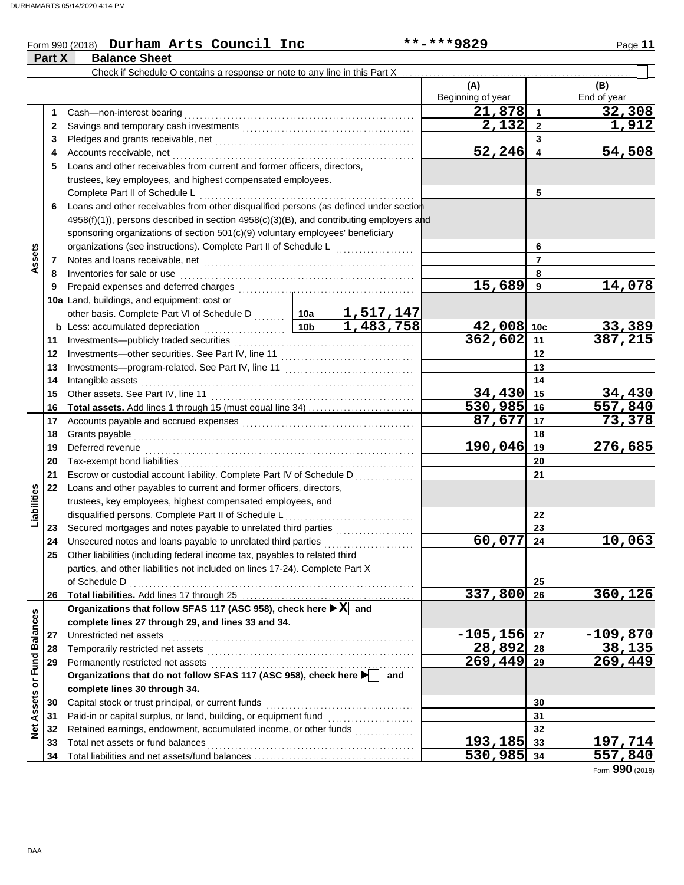**Part X Balance Sheet**

#### Form 990 (2018) Page **11 Durham Arts Council Inc \*\*-\*\*\*9829**

|                         |    | Check if Schedule O contains a response or note to any line in this Part X                                                                                                                                                     |         |        |                          |                |                    |
|-------------------------|----|--------------------------------------------------------------------------------------------------------------------------------------------------------------------------------------------------------------------------------|---------|--------|--------------------------|----------------|--------------------|
|                         |    |                                                                                                                                                                                                                                |         |        | (A)<br>Beginning of year |                | (B)<br>End of year |
|                         | 1  | Cash-non-interest bearing                                                                                                                                                                                                      |         |        | 21,878                   | $\overline{1}$ | 32,308             |
|                         | 2  |                                                                                                                                                                                                                                |         |        | 2,132                    | $\overline{2}$ | 1,912              |
|                         | 3  |                                                                                                                                                                                                                                |         |        |                          | 3              |                    |
|                         | 4  | Accounts receivable, net                                                                                                                                                                                                       |         |        | 52,246                   | 4              | 54,508             |
|                         | 5  | Loans and other receivables from current and former officers, directors,                                                                                                                                                       |         |        |                          |                |                    |
|                         |    | trustees, key employees, and highest compensated employees.                                                                                                                                                                    |         |        |                          |                |                    |
|                         |    | Complete Part II of Schedule L                                                                                                                                                                                                 |         | 5      |                          |                |                    |
|                         | 6  | Loans and other receivables from other disqualified persons (as defined under section                                                                                                                                          |         |        |                          |                |                    |
|                         |    | 4958(f)(1)), persons described in section 4958(c)(3)(B), and contributing employers and                                                                                                                                        |         |        |                          |                |                    |
|                         |    | sponsoring organizations of section 501(c)(9) voluntary employees' beneficiary                                                                                                                                                 |         |        |                          |                |                    |
|                         |    | organizations (see instructions). Complete Part II of Schedule L                                                                                                                                                               |         |        |                          | 6              |                    |
| Assets                  | 7  |                                                                                                                                                                                                                                |         |        |                          | $\overline{7}$ |                    |
|                         | 8  | Inventories for sale or use                                                                                                                                                                                                    |         |        |                          | 8              |                    |
|                         | 9  | Prepaid expenses and deferred charges                                                                                                                                                                                          |         |        | 15,689                   | 9              | 14,078             |
|                         |    | 10a Land, buildings, and equipment: cost or                                                                                                                                                                                    |         |        |                          |                |                    |
|                         |    |                                                                                                                                                                                                                                |         |        |                          |                |                    |
|                         | b  | other basis. Complete Part VI of Schedule D  10a 1,517,147<br>Less: accumulated depreciation 10b 1,483,758<br>Less: accumulated depreciation                                                                                   |         |        | 42,008 10c               |                |                    |
|                         | 11 | .<br>Investments-publicly traded securities                                                                                                                                                                                    |         |        | 362,602                  | 11             | 33,389<br>387,215  |
|                         | 12 |                                                                                                                                                                                                                                |         |        |                          | 12             |                    |
|                         | 13 |                                                                                                                                                                                                                                |         |        | 13                       |                |                    |
|                         | 14 |                                                                                                                                                                                                                                |         |        |                          | 14             |                    |
|                         | 15 | Intangible assets<br>Other assets. See Part IV, line 11                                                                                                                                                                        |         | 34,430 | 15                       | 34,430         |                    |
|                         | 16 | <b>Total assets.</b> Add lines 1 through 15 (must equal line 34)                                                                                                                                                               |         |        | 530,985                  | 16             | 557,840            |
|                         | 17 |                                                                                                                                                                                                                                | 87,677  | 17     | 73,378                   |                |                    |
|                         | 18 | Accounts payable and accrued expenses [[11] [11] Accounts payable and accrued expenses [[11] [11] Accounts are not approximate and accrued to a set of the set of the set of the set of the set of the set of the set of the s |         |        |                          | 18             |                    |
|                         | 19 | Grants payable<br>Deferred revenue                                                                                                                                                                                             | 190,046 | 19     | 276,685                  |                |                    |
|                         | 20 |                                                                                                                                                                                                                                |         |        |                          | 20             |                    |
|                         |    | Tax-exempt bond liabilities                                                                                                                                                                                                    |         |        |                          |                |                    |
|                         | 21 | Escrow or custodial account liability. Complete Part IV of Schedule D                                                                                                                                                          |         |        |                          | 21             |                    |
| Liabilities             | 22 | Loans and other payables to current and former officers, directors,                                                                                                                                                            |         |        |                          |                |                    |
|                         |    | trustees, key employees, highest compensated employees, and                                                                                                                                                                    |         |        |                          |                |                    |
|                         |    | disqualified persons. Complete Part II of Schedule L                                                                                                                                                                           |         |        |                          | 22             |                    |
|                         | 23 | Secured mortgages and notes payable to unrelated third parties [[11, 11, 11, 11, 11, 11, 11, 11]                                                                                                                               |         |        | 60,077                   | 23             |                    |
|                         | 24 | Unsecured notes and loans payable to unrelated third parties                                                                                                                                                                   |         | .      |                          | 24             | 10,063             |
|                         | 25 | Other liabilities (including federal income tax, payables to related third                                                                                                                                                     |         |        |                          |                |                    |
|                         |    | parties, and other liabilities not included on lines 17-24). Complete Part X                                                                                                                                                   |         |        |                          |                |                    |
|                         |    | of Schedule D                                                                                                                                                                                                                  |         |        | 337,800                  | 25             | 360,126            |
|                         | 26 | Organizations that follow SFAS 117 (ASC 958), check here ▶ X and                                                                                                                                                               |         |        |                          | 26             |                    |
|                         |    | complete lines 27 through 29, and lines 33 and 34.                                                                                                                                                                             |         |        |                          |                |                    |
|                         |    |                                                                                                                                                                                                                                |         |        | $-105, 156$              |                |                    |
|                         | 27 | Unrestricted net assets                                                                                                                                                                                                        |         |        | 28,892                   | 27             | <u>-109,870</u>    |
|                         | 28 |                                                                                                                                                                                                                                |         |        | $269, 449$ 29            | 28             | 38,135<br>269,449  |
|                         | 29 |                                                                                                                                                                                                                                |         | and    |                          |                |                    |
|                         |    | Organizations that do not follow SFAS 117 (ASC 958), check here                                                                                                                                                                |         |        |                          |                |                    |
| Assets or Fund Balances |    | complete lines 30 through 34.                                                                                                                                                                                                  |         |        |                          |                |                    |
|                         | 30 | Capital stock or trust principal, or current funds                                                                                                                                                                             |         |        |                          | 30             |                    |
|                         | 31 | Paid-in or capital surplus, or land, building, or equipment fund                                                                                                                                                               |         |        |                          | 31             |                    |
| $\breve{\mathbf{z}}$    | 32 | Retained earnings, endowment, accumulated income, or other funds                                                                                                                                                               |         |        |                          | 32             |                    |
|                         | 33 | Total net assets or fund balances                                                                                                                                                                                              |         |        | $\overline{193,185}$     | 33             | 197,714            |
|                         | 34 |                                                                                                                                                                                                                                |         |        | 530,985 34               |                | 557,840            |

Form **990** (2018)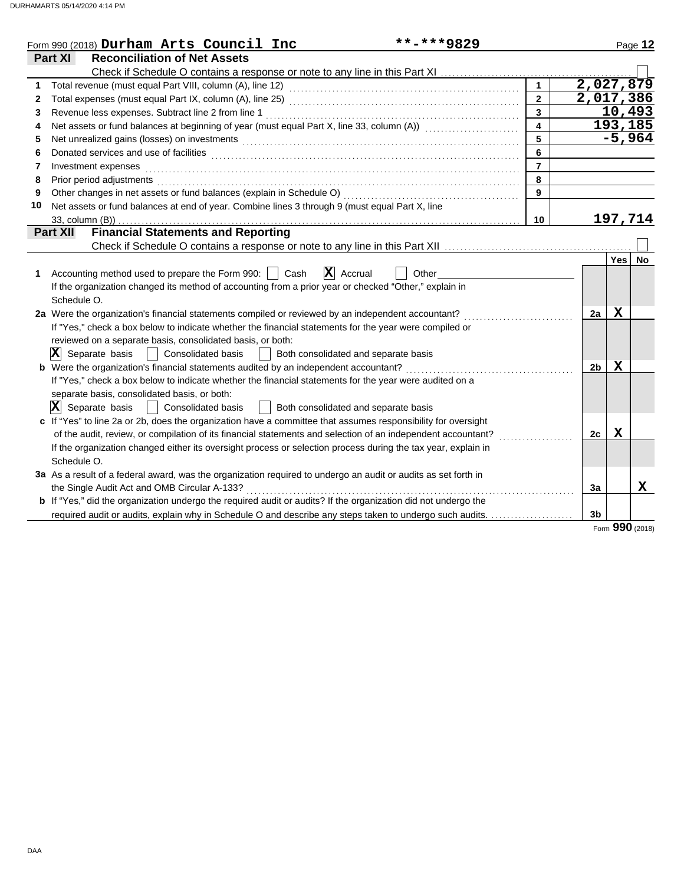| Part XI<br><b>Reconciliation of Net Assets</b><br>2,027,879<br>$\mathbf{1}$<br>1.<br>2,017,386<br>$\overline{2}$<br>2<br>10,493<br>3<br>3<br>193,185<br>Net assets or fund balances at beginning of year (must equal Part X, line 33, column (A)) [[[[[[[[[[[[[[[[[[[<br>4<br>4<br>$-5,964$<br>5<br>5<br>6<br>6<br>$\overline{7}$<br>Investment expenses<br>7<br>8<br>Prior period adjustments entertainments and a series of the series of the series of the series of the series of the series of the series of the series of the series of the series of the series of the series of the series o<br>8<br>9<br>9<br>Net assets or fund balances at end of year. Combine lines 3 through 9 (must equal Part X, line<br>10<br>197,714<br>10<br><b>Financial Statements and Reporting</b><br><b>Part XII</b><br><b>Yes</b><br>No<br>$ \mathbf{X} $ Accrual<br>Accounting method used to prepare the Form 990:     Cash<br>Other<br>1.<br>If the organization changed its method of accounting from a prior year or checked "Other," explain in<br>Schedule O.<br>X<br>2a Were the organization's financial statements compiled or reviewed by an independent accountant?<br>2a<br>If "Yes," check a box below to indicate whether the financial statements for the year were compiled or<br>reviewed on a separate basis, consolidated basis, or both:<br>$ \mathbf{X} $ Separate basis $ \cdot $ Consolidated basis<br>  Both consolidated and separate basis<br>$\mathbf X$<br>b Were the organization's financial statements audited by an independent accountant?<br>2 <sub>b</sub><br>If "Yes," check a box below to indicate whether the financial statements for the year were audited on a<br>separate basis, consolidated basis, or both:<br>$ \mathbf{X} $ Separate basis  <br>Consolidated basis<br>  Both consolidated and separate basis<br>c If "Yes" to line 2a or 2b, does the organization have a committee that assumes responsibility for oversight<br>$\mathbf X$<br>of the audit, review, or compilation of its financial statements and selection of an independent accountant?<br>2c<br>If the organization changed either its oversight process or selection process during the tax year, explain in<br>Schedule O.<br>3a As a result of a federal award, was the organization required to undergo an audit or audits as set forth in<br>$\mathbf X$<br>the Single Audit Act and OMB Circular A-133?<br>3a<br>b If "Yes," did the organization undergo the required audit or audits? If the organization did not undergo the<br>required audit or audits, explain why in Schedule O and describe any steps taken to undergo such audits.<br>3 <sub>b</sub><br><b>nnn</b> | **-***9829<br>Form 990 (2018) Durham Arts Council Inc |  | Page 12 |
|--------------------------------------------------------------------------------------------------------------------------------------------------------------------------------------------------------------------------------------------------------------------------------------------------------------------------------------------------------------------------------------------------------------------------------------------------------------------------------------------------------------------------------------------------------------------------------------------------------------------------------------------------------------------------------------------------------------------------------------------------------------------------------------------------------------------------------------------------------------------------------------------------------------------------------------------------------------------------------------------------------------------------------------------------------------------------------------------------------------------------------------------------------------------------------------------------------------------------------------------------------------------------------------------------------------------------------------------------------------------------------------------------------------------------------------------------------------------------------------------------------------------------------------------------------------------------------------------------------------------------------------------------------------------------------------------------------------------------------------------------------------------------------------------------------------------------------------------------------------------------------------------------------------------------------------------------------------------------------------------------------------------------------------------------------------------------------------------------------------------------------------------------------------------------------------------------------------------------------------------------------------------------------------------------------------------------------------------------------------------------------------------------------------------------------------------------------------------------------------------------------------------------------------------------------------------------------------------------------------------------------------------------------------------------------------------------|-------------------------------------------------------|--|---------|
|                                                                                                                                                                                                                                                                                                                                                                                                                                                                                                                                                                                                                                                                                                                                                                                                                                                                                                                                                                                                                                                                                                                                                                                                                                                                                                                                                                                                                                                                                                                                                                                                                                                                                                                                                                                                                                                                                                                                                                                                                                                                                                                                                                                                                                                                                                                                                                                                                                                                                                                                                                                                                                                                                                  |                                                       |  |         |
|                                                                                                                                                                                                                                                                                                                                                                                                                                                                                                                                                                                                                                                                                                                                                                                                                                                                                                                                                                                                                                                                                                                                                                                                                                                                                                                                                                                                                                                                                                                                                                                                                                                                                                                                                                                                                                                                                                                                                                                                                                                                                                                                                                                                                                                                                                                                                                                                                                                                                                                                                                                                                                                                                                  |                                                       |  |         |
|                                                                                                                                                                                                                                                                                                                                                                                                                                                                                                                                                                                                                                                                                                                                                                                                                                                                                                                                                                                                                                                                                                                                                                                                                                                                                                                                                                                                                                                                                                                                                                                                                                                                                                                                                                                                                                                                                                                                                                                                                                                                                                                                                                                                                                                                                                                                                                                                                                                                                                                                                                                                                                                                                                  |                                                       |  |         |
|                                                                                                                                                                                                                                                                                                                                                                                                                                                                                                                                                                                                                                                                                                                                                                                                                                                                                                                                                                                                                                                                                                                                                                                                                                                                                                                                                                                                                                                                                                                                                                                                                                                                                                                                                                                                                                                                                                                                                                                                                                                                                                                                                                                                                                                                                                                                                                                                                                                                                                                                                                                                                                                                                                  |                                                       |  |         |
|                                                                                                                                                                                                                                                                                                                                                                                                                                                                                                                                                                                                                                                                                                                                                                                                                                                                                                                                                                                                                                                                                                                                                                                                                                                                                                                                                                                                                                                                                                                                                                                                                                                                                                                                                                                                                                                                                                                                                                                                                                                                                                                                                                                                                                                                                                                                                                                                                                                                                                                                                                                                                                                                                                  |                                                       |  |         |
|                                                                                                                                                                                                                                                                                                                                                                                                                                                                                                                                                                                                                                                                                                                                                                                                                                                                                                                                                                                                                                                                                                                                                                                                                                                                                                                                                                                                                                                                                                                                                                                                                                                                                                                                                                                                                                                                                                                                                                                                                                                                                                                                                                                                                                                                                                                                                                                                                                                                                                                                                                                                                                                                                                  |                                                       |  |         |
|                                                                                                                                                                                                                                                                                                                                                                                                                                                                                                                                                                                                                                                                                                                                                                                                                                                                                                                                                                                                                                                                                                                                                                                                                                                                                                                                                                                                                                                                                                                                                                                                                                                                                                                                                                                                                                                                                                                                                                                                                                                                                                                                                                                                                                                                                                                                                                                                                                                                                                                                                                                                                                                                                                  |                                                       |  |         |
|                                                                                                                                                                                                                                                                                                                                                                                                                                                                                                                                                                                                                                                                                                                                                                                                                                                                                                                                                                                                                                                                                                                                                                                                                                                                                                                                                                                                                                                                                                                                                                                                                                                                                                                                                                                                                                                                                                                                                                                                                                                                                                                                                                                                                                                                                                                                                                                                                                                                                                                                                                                                                                                                                                  |                                                       |  |         |
|                                                                                                                                                                                                                                                                                                                                                                                                                                                                                                                                                                                                                                                                                                                                                                                                                                                                                                                                                                                                                                                                                                                                                                                                                                                                                                                                                                                                                                                                                                                                                                                                                                                                                                                                                                                                                                                                                                                                                                                                                                                                                                                                                                                                                                                                                                                                                                                                                                                                                                                                                                                                                                                                                                  |                                                       |  |         |
|                                                                                                                                                                                                                                                                                                                                                                                                                                                                                                                                                                                                                                                                                                                                                                                                                                                                                                                                                                                                                                                                                                                                                                                                                                                                                                                                                                                                                                                                                                                                                                                                                                                                                                                                                                                                                                                                                                                                                                                                                                                                                                                                                                                                                                                                                                                                                                                                                                                                                                                                                                                                                                                                                                  |                                                       |  |         |
|                                                                                                                                                                                                                                                                                                                                                                                                                                                                                                                                                                                                                                                                                                                                                                                                                                                                                                                                                                                                                                                                                                                                                                                                                                                                                                                                                                                                                                                                                                                                                                                                                                                                                                                                                                                                                                                                                                                                                                                                                                                                                                                                                                                                                                                                                                                                                                                                                                                                                                                                                                                                                                                                                                  |                                                       |  |         |
|                                                                                                                                                                                                                                                                                                                                                                                                                                                                                                                                                                                                                                                                                                                                                                                                                                                                                                                                                                                                                                                                                                                                                                                                                                                                                                                                                                                                                                                                                                                                                                                                                                                                                                                                                                                                                                                                                                                                                                                                                                                                                                                                                                                                                                                                                                                                                                                                                                                                                                                                                                                                                                                                                                  |                                                       |  |         |
|                                                                                                                                                                                                                                                                                                                                                                                                                                                                                                                                                                                                                                                                                                                                                                                                                                                                                                                                                                                                                                                                                                                                                                                                                                                                                                                                                                                                                                                                                                                                                                                                                                                                                                                                                                                                                                                                                                                                                                                                                                                                                                                                                                                                                                                                                                                                                                                                                                                                                                                                                                                                                                                                                                  |                                                       |  |         |
|                                                                                                                                                                                                                                                                                                                                                                                                                                                                                                                                                                                                                                                                                                                                                                                                                                                                                                                                                                                                                                                                                                                                                                                                                                                                                                                                                                                                                                                                                                                                                                                                                                                                                                                                                                                                                                                                                                                                                                                                                                                                                                                                                                                                                                                                                                                                                                                                                                                                                                                                                                                                                                                                                                  |                                                       |  |         |
|                                                                                                                                                                                                                                                                                                                                                                                                                                                                                                                                                                                                                                                                                                                                                                                                                                                                                                                                                                                                                                                                                                                                                                                                                                                                                                                                                                                                                                                                                                                                                                                                                                                                                                                                                                                                                                                                                                                                                                                                                                                                                                                                                                                                                                                                                                                                                                                                                                                                                                                                                                                                                                                                                                  |                                                       |  |         |
|                                                                                                                                                                                                                                                                                                                                                                                                                                                                                                                                                                                                                                                                                                                                                                                                                                                                                                                                                                                                                                                                                                                                                                                                                                                                                                                                                                                                                                                                                                                                                                                                                                                                                                                                                                                                                                                                                                                                                                                                                                                                                                                                                                                                                                                                                                                                                                                                                                                                                                                                                                                                                                                                                                  |                                                       |  |         |
|                                                                                                                                                                                                                                                                                                                                                                                                                                                                                                                                                                                                                                                                                                                                                                                                                                                                                                                                                                                                                                                                                                                                                                                                                                                                                                                                                                                                                                                                                                                                                                                                                                                                                                                                                                                                                                                                                                                                                                                                                                                                                                                                                                                                                                                                                                                                                                                                                                                                                                                                                                                                                                                                                                  |                                                       |  |         |
|                                                                                                                                                                                                                                                                                                                                                                                                                                                                                                                                                                                                                                                                                                                                                                                                                                                                                                                                                                                                                                                                                                                                                                                                                                                                                                                                                                                                                                                                                                                                                                                                                                                                                                                                                                                                                                                                                                                                                                                                                                                                                                                                                                                                                                                                                                                                                                                                                                                                                                                                                                                                                                                                                                  |                                                       |  |         |
|                                                                                                                                                                                                                                                                                                                                                                                                                                                                                                                                                                                                                                                                                                                                                                                                                                                                                                                                                                                                                                                                                                                                                                                                                                                                                                                                                                                                                                                                                                                                                                                                                                                                                                                                                                                                                                                                                                                                                                                                                                                                                                                                                                                                                                                                                                                                                                                                                                                                                                                                                                                                                                                                                                  |                                                       |  |         |
|                                                                                                                                                                                                                                                                                                                                                                                                                                                                                                                                                                                                                                                                                                                                                                                                                                                                                                                                                                                                                                                                                                                                                                                                                                                                                                                                                                                                                                                                                                                                                                                                                                                                                                                                                                                                                                                                                                                                                                                                                                                                                                                                                                                                                                                                                                                                                                                                                                                                                                                                                                                                                                                                                                  |                                                       |  |         |
|                                                                                                                                                                                                                                                                                                                                                                                                                                                                                                                                                                                                                                                                                                                                                                                                                                                                                                                                                                                                                                                                                                                                                                                                                                                                                                                                                                                                                                                                                                                                                                                                                                                                                                                                                                                                                                                                                                                                                                                                                                                                                                                                                                                                                                                                                                                                                                                                                                                                                                                                                                                                                                                                                                  |                                                       |  |         |
|                                                                                                                                                                                                                                                                                                                                                                                                                                                                                                                                                                                                                                                                                                                                                                                                                                                                                                                                                                                                                                                                                                                                                                                                                                                                                                                                                                                                                                                                                                                                                                                                                                                                                                                                                                                                                                                                                                                                                                                                                                                                                                                                                                                                                                                                                                                                                                                                                                                                                                                                                                                                                                                                                                  |                                                       |  |         |
|                                                                                                                                                                                                                                                                                                                                                                                                                                                                                                                                                                                                                                                                                                                                                                                                                                                                                                                                                                                                                                                                                                                                                                                                                                                                                                                                                                                                                                                                                                                                                                                                                                                                                                                                                                                                                                                                                                                                                                                                                                                                                                                                                                                                                                                                                                                                                                                                                                                                                                                                                                                                                                                                                                  |                                                       |  |         |
|                                                                                                                                                                                                                                                                                                                                                                                                                                                                                                                                                                                                                                                                                                                                                                                                                                                                                                                                                                                                                                                                                                                                                                                                                                                                                                                                                                                                                                                                                                                                                                                                                                                                                                                                                                                                                                                                                                                                                                                                                                                                                                                                                                                                                                                                                                                                                                                                                                                                                                                                                                                                                                                                                                  |                                                       |  |         |
|                                                                                                                                                                                                                                                                                                                                                                                                                                                                                                                                                                                                                                                                                                                                                                                                                                                                                                                                                                                                                                                                                                                                                                                                                                                                                                                                                                                                                                                                                                                                                                                                                                                                                                                                                                                                                                                                                                                                                                                                                                                                                                                                                                                                                                                                                                                                                                                                                                                                                                                                                                                                                                                                                                  |                                                       |  |         |
|                                                                                                                                                                                                                                                                                                                                                                                                                                                                                                                                                                                                                                                                                                                                                                                                                                                                                                                                                                                                                                                                                                                                                                                                                                                                                                                                                                                                                                                                                                                                                                                                                                                                                                                                                                                                                                                                                                                                                                                                                                                                                                                                                                                                                                                                                                                                                                                                                                                                                                                                                                                                                                                                                                  |                                                       |  |         |
|                                                                                                                                                                                                                                                                                                                                                                                                                                                                                                                                                                                                                                                                                                                                                                                                                                                                                                                                                                                                                                                                                                                                                                                                                                                                                                                                                                                                                                                                                                                                                                                                                                                                                                                                                                                                                                                                                                                                                                                                                                                                                                                                                                                                                                                                                                                                                                                                                                                                                                                                                                                                                                                                                                  |                                                       |  |         |
|                                                                                                                                                                                                                                                                                                                                                                                                                                                                                                                                                                                                                                                                                                                                                                                                                                                                                                                                                                                                                                                                                                                                                                                                                                                                                                                                                                                                                                                                                                                                                                                                                                                                                                                                                                                                                                                                                                                                                                                                                                                                                                                                                                                                                                                                                                                                                                                                                                                                                                                                                                                                                                                                                                  |                                                       |  |         |
|                                                                                                                                                                                                                                                                                                                                                                                                                                                                                                                                                                                                                                                                                                                                                                                                                                                                                                                                                                                                                                                                                                                                                                                                                                                                                                                                                                                                                                                                                                                                                                                                                                                                                                                                                                                                                                                                                                                                                                                                                                                                                                                                                                                                                                                                                                                                                                                                                                                                                                                                                                                                                                                                                                  |                                                       |  |         |
|                                                                                                                                                                                                                                                                                                                                                                                                                                                                                                                                                                                                                                                                                                                                                                                                                                                                                                                                                                                                                                                                                                                                                                                                                                                                                                                                                                                                                                                                                                                                                                                                                                                                                                                                                                                                                                                                                                                                                                                                                                                                                                                                                                                                                                                                                                                                                                                                                                                                                                                                                                                                                                                                                                  |                                                       |  |         |
|                                                                                                                                                                                                                                                                                                                                                                                                                                                                                                                                                                                                                                                                                                                                                                                                                                                                                                                                                                                                                                                                                                                                                                                                                                                                                                                                                                                                                                                                                                                                                                                                                                                                                                                                                                                                                                                                                                                                                                                                                                                                                                                                                                                                                                                                                                                                                                                                                                                                                                                                                                                                                                                                                                  |                                                       |  |         |
|                                                                                                                                                                                                                                                                                                                                                                                                                                                                                                                                                                                                                                                                                                                                                                                                                                                                                                                                                                                                                                                                                                                                                                                                                                                                                                                                                                                                                                                                                                                                                                                                                                                                                                                                                                                                                                                                                                                                                                                                                                                                                                                                                                                                                                                                                                                                                                                                                                                                                                                                                                                                                                                                                                  |                                                       |  |         |
|                                                                                                                                                                                                                                                                                                                                                                                                                                                                                                                                                                                                                                                                                                                                                                                                                                                                                                                                                                                                                                                                                                                                                                                                                                                                                                                                                                                                                                                                                                                                                                                                                                                                                                                                                                                                                                                                                                                                                                                                                                                                                                                                                                                                                                                                                                                                                                                                                                                                                                                                                                                                                                                                                                  |                                                       |  |         |
|                                                                                                                                                                                                                                                                                                                                                                                                                                                                                                                                                                                                                                                                                                                                                                                                                                                                                                                                                                                                                                                                                                                                                                                                                                                                                                                                                                                                                                                                                                                                                                                                                                                                                                                                                                                                                                                                                                                                                                                                                                                                                                                                                                                                                                                                                                                                                                                                                                                                                                                                                                                                                                                                                                  |                                                       |  |         |
|                                                                                                                                                                                                                                                                                                                                                                                                                                                                                                                                                                                                                                                                                                                                                                                                                                                                                                                                                                                                                                                                                                                                                                                                                                                                                                                                                                                                                                                                                                                                                                                                                                                                                                                                                                                                                                                                                                                                                                                                                                                                                                                                                                                                                                                                                                                                                                                                                                                                                                                                                                                                                                                                                                  |                                                       |  |         |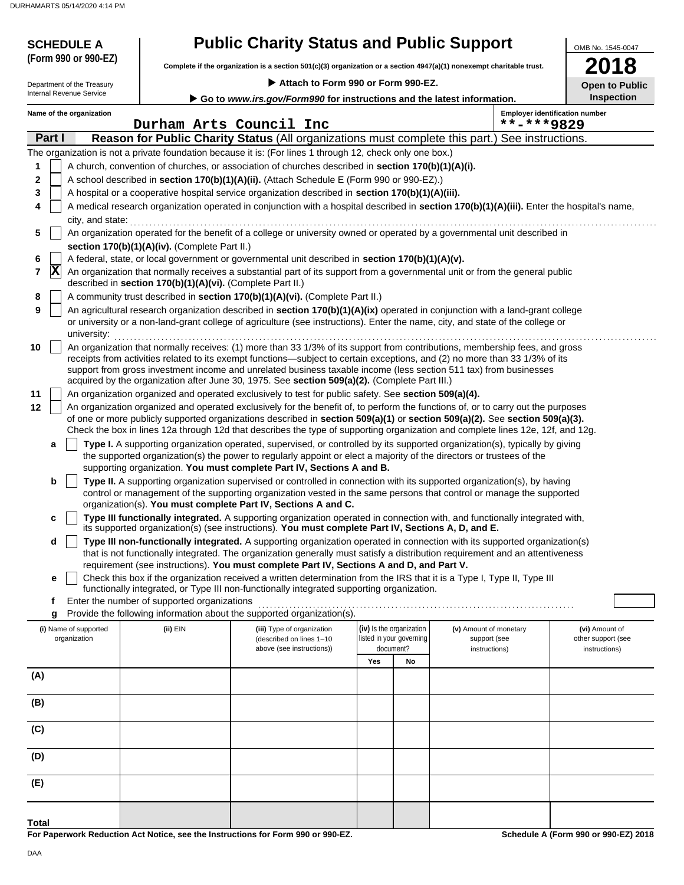| <b>SCHEDULE A</b><br>(Form 990 or 990-EZ)              |                                                            | <b>Public Charity Status and Public Support</b>                                                                                                                                                                 |                          |                                                                                                                                                                                                                                                                 | OMB No. 1545-0047                          |
|--------------------------------------------------------|------------------------------------------------------------|-----------------------------------------------------------------------------------------------------------------------------------------------------------------------------------------------------------------|--------------------------|-----------------------------------------------------------------------------------------------------------------------------------------------------------------------------------------------------------------------------------------------------------------|--------------------------------------------|
|                                                        |                                                            |                                                                                                                                                                                                                 |                          | Complete if the organization is a section 501(c)(3) organization or a section 4947(a)(1) nonexempt charitable trust.                                                                                                                                            |                                            |
| Department of the Treasury<br>Internal Revenue Service |                                                            | Attach to Form 990 or Form 990-EZ.<br>Go to www.irs.gov/Form990 for instructions and the latest information.                                                                                                    |                          |                                                                                                                                                                                                                                                                 | <b>Open to Public</b><br><b>Inspection</b> |
| Name of the organization                               |                                                            |                                                                                                                                                                                                                 |                          |                                                                                                                                                                                                                                                                 | <b>Employer identification number</b>      |
|                                                        |                                                            | Durham Arts Council Inc                                                                                                                                                                                         |                          | **-***9829                                                                                                                                                                                                                                                      |                                            |
| Part I                                                 |                                                            |                                                                                                                                                                                                                 |                          | Reason for Public Charity Status (All organizations must complete this part.) See instructions.                                                                                                                                                                 |                                            |
| 1                                                      |                                                            | The organization is not a private foundation because it is: (For lines 1 through 12, check only one box.)<br>A church, convention of churches, or association of churches described in section 170(b)(1)(A)(i). |                          |                                                                                                                                                                                                                                                                 |                                            |
| 2                                                      |                                                            | A school described in section 170(b)(1)(A)(ii). (Attach Schedule E (Form 990 or 990-EZ).)                                                                                                                       |                          |                                                                                                                                                                                                                                                                 |                                            |
| 3                                                      |                                                            | A hospital or a cooperative hospital service organization described in section 170(b)(1)(A)(iii).                                                                                                               |                          |                                                                                                                                                                                                                                                                 |                                            |
| 4                                                      |                                                            |                                                                                                                                                                                                                 |                          | A medical research organization operated in conjunction with a hospital described in section 170(b)(1)(A)(iii). Enter the hospital's name,                                                                                                                      |                                            |
| city, and state:                                       |                                                            |                                                                                                                                                                                                                 |                          |                                                                                                                                                                                                                                                                 |                                            |
| 5                                                      | section 170(b)(1)(A)(iv). (Complete Part II.)              |                                                                                                                                                                                                                 |                          | An organization operated for the benefit of a college or university owned or operated by a governmental unit described in                                                                                                                                       |                                            |
| 6                                                      |                                                            | A federal, state, or local government or governmental unit described in section 170(b)(1)(A)(v).                                                                                                                |                          |                                                                                                                                                                                                                                                                 |                                            |
| $ {\bf X} $<br>7                                       |                                                            |                                                                                                                                                                                                                 |                          | An organization that normally receives a substantial part of its support from a governmental unit or from the general public                                                                                                                                    |                                            |
|                                                        | described in section 170(b)(1)(A)(vi). (Complete Part II.) |                                                                                                                                                                                                                 |                          |                                                                                                                                                                                                                                                                 |                                            |
| 8<br>9                                                 |                                                            | A community trust described in section 170(b)(1)(A)(vi). (Complete Part II.)                                                                                                                                    |                          | An agricultural research organization described in section 170(b)(1)(A)(ix) operated in conjunction with a land-grant college                                                                                                                                   |                                            |
| university:                                            |                                                            |                                                                                                                                                                                                                 |                          | or university or a non-land-grant college of agriculture (see instructions). Enter the name, city, and state of the college or                                                                                                                                  |                                            |
| 10                                                     |                                                            |                                                                                                                                                                                                                 |                          | An organization that normally receives: (1) more than 33 1/3% of its support from contributions, membership fees, and gross                                                                                                                                     |                                            |
|                                                        |                                                            |                                                                                                                                                                                                                 |                          | receipts from activities related to its exempt functions—subject to certain exceptions, and (2) no more than 33 1/3% of its<br>support from gross investment income and unrelated business taxable income (less section 511 tax) from businesses                |                                            |
|                                                        |                                                            | acquired by the organization after June 30, 1975. See section 509(a)(2). (Complete Part III.)                                                                                                                   |                          |                                                                                                                                                                                                                                                                 |                                            |
| 11                                                     |                                                            | An organization organized and operated exclusively to test for public safety. See section 509(a)(4).                                                                                                            |                          |                                                                                                                                                                                                                                                                 |                                            |
| 12                                                     |                                                            |                                                                                                                                                                                                                 |                          | An organization organized and operated exclusively for the benefit of, to perform the functions of, or to carry out the purposes<br>of one or more publicly supported organizations described in section 509(a)(1) or section 509(a)(2). See section 509(a)(3). |                                            |
|                                                        |                                                            |                                                                                                                                                                                                                 |                          | Check the box in lines 12a through 12d that describes the type of supporting organization and complete lines 12e, 12f, and 12g.                                                                                                                                 |                                            |
| a                                                      |                                                            |                                                                                                                                                                                                                 |                          | Type I. A supporting organization operated, supervised, or controlled by its supported organization(s), typically by giving                                                                                                                                     |                                            |
|                                                        |                                                            | supporting organization. You must complete Part IV, Sections A and B.                                                                                                                                           |                          | the supported organization(s) the power to regularly appoint or elect a majority of the directors or trustees of the                                                                                                                                            |                                            |
| b                                                      |                                                            |                                                                                                                                                                                                                 |                          | Type II. A supporting organization supervised or controlled in connection with its supported organization(s), by having                                                                                                                                         |                                            |
|                                                        |                                                            |                                                                                                                                                                                                                 |                          | control or management of the supporting organization vested in the same persons that control or manage the supported                                                                                                                                            |                                            |
|                                                        |                                                            | organization(s). You must complete Part IV, Sections A and C.                                                                                                                                                   |                          |                                                                                                                                                                                                                                                                 |                                            |
| c                                                      |                                                            | its supported organization(s) (see instructions). You must complete Part IV, Sections A, D, and E.                                                                                                              |                          | Type III functionally integrated. A supporting organization operated in connection with, and functionally integrated with,                                                                                                                                      |                                            |
| d                                                      |                                                            |                                                                                                                                                                                                                 |                          | Type III non-functionally integrated. A supporting organization operated in connection with its supported organization(s)                                                                                                                                       |                                            |
|                                                        |                                                            | requirement (see instructions). You must complete Part IV, Sections A and D, and Part V.                                                                                                                        |                          | that is not functionally integrated. The organization generally must satisfy a distribution requirement and an attentiveness                                                                                                                                    |                                            |
| е                                                      |                                                            |                                                                                                                                                                                                                 |                          | Check this box if the organization received a written determination from the IRS that it is a Type I, Type II, Type III                                                                                                                                         |                                            |
|                                                        |                                                            | functionally integrated, or Type III non-functionally integrated supporting organization.                                                                                                                       |                          |                                                                                                                                                                                                                                                                 |                                            |
| f                                                      | Enter the number of supported organizations                | Provide the following information about the supported organization(s).                                                                                                                                          |                          |                                                                                                                                                                                                                                                                 |                                            |
| g<br>(i) Name of supported                             | (ii) EIN                                                   | (iii) Type of organization                                                                                                                                                                                      | (iv) Is the organization | (v) Amount of monetary                                                                                                                                                                                                                                          | (vi) Amount of                             |
| organization                                           |                                                            | (described on lines 1-10                                                                                                                                                                                        | listed in your governing | support (see                                                                                                                                                                                                                                                    | other support (see                         |
|                                                        |                                                            | above (see instructions))                                                                                                                                                                                       | document?<br>Yes<br>No   | instructions)                                                                                                                                                                                                                                                   | instructions)                              |
| (A)                                                    |                                                            |                                                                                                                                                                                                                 |                          |                                                                                                                                                                                                                                                                 |                                            |
|                                                        |                                                            |                                                                                                                                                                                                                 |                          |                                                                                                                                                                                                                                                                 |                                            |
| (B)                                                    |                                                            |                                                                                                                                                                                                                 |                          |                                                                                                                                                                                                                                                                 |                                            |
|                                                        |                                                            |                                                                                                                                                                                                                 |                          |                                                                                                                                                                                                                                                                 |                                            |
| (C)                                                    |                                                            |                                                                                                                                                                                                                 |                          |                                                                                                                                                                                                                                                                 |                                            |
| (D)                                                    |                                                            |                                                                                                                                                                                                                 |                          |                                                                                                                                                                                                                                                                 |                                            |
|                                                        |                                                            |                                                                                                                                                                                                                 |                          |                                                                                                                                                                                                                                                                 |                                            |
| (E)                                                    |                                                            |                                                                                                                                                                                                                 |                          |                                                                                                                                                                                                                                                                 |                                            |
|                                                        |                                                            |                                                                                                                                                                                                                 |                          |                                                                                                                                                                                                                                                                 |                                            |
|                                                        |                                                            |                                                                                                                                                                                                                 |                          |                                                                                                                                                                                                                                                                 |                                            |

**Total**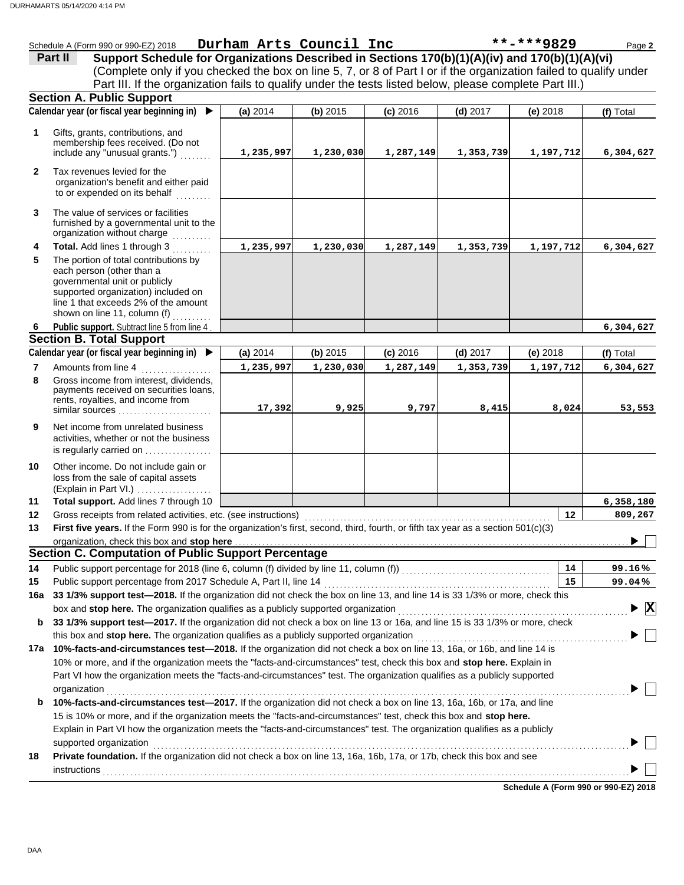|                 | Schedule A (Form 990 or 990-EZ) 2018                                                                                                                                                                               |           | Durham Arts Council Inc |            |            | **-***9829 | Page 2                                      |
|-----------------|--------------------------------------------------------------------------------------------------------------------------------------------------------------------------------------------------------------------|-----------|-------------------------|------------|------------|------------|---------------------------------------------|
|                 | Support Schedule for Organizations Described in Sections 170(b)(1)(A)(iv) and 170(b)(1)(A)(vi)<br>Part II                                                                                                          |           |                         |            |            |            |                                             |
|                 | (Complete only if you checked the box on line 5, 7, or 8 of Part I or if the organization failed to qualify under                                                                                                  |           |                         |            |            |            |                                             |
|                 | Part III. If the organization fails to qualify under the tests listed below, please complete Part III.)                                                                                                            |           |                         |            |            |            |                                             |
|                 | <b>Section A. Public Support</b>                                                                                                                                                                                   |           |                         |            |            |            |                                             |
|                 | Calendar year (or fiscal year beginning in) $\blacktriangleright$                                                                                                                                                  | (a) 2014  | (b) 2015                | $(c)$ 2016 | $(d)$ 2017 | (e) 2018   | (f) Total                                   |
| 1               | Gifts, grants, contributions, and<br>membership fees received. (Do not<br>include any "unusual grants.")                                                                                                           | 1,235,997 | 1,230,030               | 1,287,149  | 1,353,739  | 1,197,712  | 6,304,627                                   |
| $\mathbf{2}$    | Tax revenues levied for the<br>organization's benefit and either paid<br>to or expended on its behalf                                                                                                              |           |                         |            |            |            |                                             |
| 3               | The value of services or facilities<br>furnished by a governmental unit to the<br>organization without charge                                                                                                      |           |                         |            |            |            |                                             |
| 4               | Total. Add lines 1 through 3                                                                                                                                                                                       | 1,235,997 | 1,230,030               | 1,287,149  | 1,353,739  | 1,197,712  | 6,304,627                                   |
| 5               | The portion of total contributions by<br>each person (other than a<br>governmental unit or publicly<br>supported organization) included on<br>line 1 that exceeds 2% of the amount<br>shown on line 11, column (f) |           |                         |            |            |            |                                             |
| 6.              | Public support. Subtract line 5 from line 4                                                                                                                                                                        |           |                         |            |            |            | 6,304,627                                   |
|                 | <b>Section B. Total Support</b>                                                                                                                                                                                    |           |                         |            |            |            |                                             |
|                 | Calendar year (or fiscal year beginning in) $\blacktriangleright$                                                                                                                                                  | (a) 2014  | (b) 2015                | $(c)$ 2016 | $(d)$ 2017 | (e) 2018   | (f) Total                                   |
| $\overline{7}$  | Amounts from line 4                                                                                                                                                                                                | 1,235,997 | 1,230,030               | 1,287,149  | 1,353,739  | 1,197,712  | 6,304,627                                   |
| 8               | Gross income from interest, dividends,<br>payments received on securities loans,<br>rents, royalties, and income from<br>similar sources                                                                           | 17,392    | 9,925                   | 9,797      | 8,415      | 8,024      | 53,553                                      |
| 9               | Net income from unrelated business<br>activities, whether or not the business<br>is regularly carried on                                                                                                           |           |                         |            |            |            |                                             |
| 10              | Other income. Do not include gain or<br>loss from the sale of capital assets<br>(Explain in Part VI.)                                                                                                              |           |                         |            |            |            |                                             |
| 11              | Total support. Add lines 7 through 10                                                                                                                                                                              |           |                         |            |            |            | 6,358,180                                   |
| 12 <sup>°</sup> | Gross receipts from related activities, etc. (see instructions)                                                                                                                                                    |           |                         |            |            | 12         | 809,267                                     |
| 13              | First five years. If the Form 990 is for the organization's first, second, third, fourth, or fifth tax year as a section 501(c)(3)                                                                                 |           |                         |            |            |            |                                             |
|                 | organization, check this box and stop here                                                                                                                                                                         |           |                         |            |            |            | ▶                                           |
|                 | <b>Section C. Computation of Public Support Percentage</b>                                                                                                                                                         |           |                         |            |            |            |                                             |
| 14              | Public support percentage for 2018 (line 6, column (f) divided by line 11, column (f)) [[[[[[[[[[[[[[[[[[[[[[                                                                                                      |           |                         |            |            | 14         | 99.16%                                      |
| 15              | Public support percentage from 2017 Schedule A, Part II, line 14                                                                                                                                                   |           |                         |            |            | 15         | 99.04%                                      |
| 16a             | 33 1/3% support test-2018. If the organization did not check the box on line 13, and line 14 is 33 1/3% or more, check this                                                                                        |           |                         |            |            |            |                                             |
|                 | box and stop here. The organization qualifies as a publicly supported organization                                                                                                                                 |           |                         |            |            |            | $\blacktriangleright \overline{\mathbf{X}}$ |
| b               | 33 1/3% support test-2017. If the organization did not check a box on line 13 or 16a, and line 15 is 33 1/3% or more, check                                                                                        |           |                         |            |            |            |                                             |
|                 | this box and stop here. The organization qualifies as a publicly supported organization<br>10%-facts-and-circumstances test-2018. If the organization did not check a box on line 13, 16a, or 16b, and line 14 is  |           |                         |            |            |            |                                             |
| 17а             | 10% or more, and if the organization meets the "facts-and-circumstances" test, check this box and stop here. Explain in                                                                                            |           |                         |            |            |            |                                             |
|                 | Part VI how the organization meets the "facts-and-circumstances" test. The organization qualifies as a publicly supported                                                                                          |           |                         |            |            |            |                                             |
|                 | organization                                                                                                                                                                                                       |           |                         |            |            |            |                                             |
| b               | 10%-facts-and-circumstances test-2017. If the organization did not check a box on line 13, 16a, 16b, or 17a, and line                                                                                              |           |                         |            |            |            |                                             |
|                 | 15 is 10% or more, and if the organization meets the "facts-and-circumstances" test, check this box and stop here.                                                                                                 |           |                         |            |            |            |                                             |
|                 | Explain in Part VI how the organization meets the "facts-and-circumstances" test. The organization qualifies as a publicly                                                                                         |           |                         |            |            |            |                                             |
|                 | supported organization                                                                                                                                                                                             |           |                         |            |            |            |                                             |
| 18              | Private foundation. If the organization did not check a box on line 13, 16a, 16b, 17a, or 17b, check this box and see                                                                                              |           |                         |            |            |            |                                             |
|                 | instructions                                                                                                                                                                                                       |           |                         |            |            |            |                                             |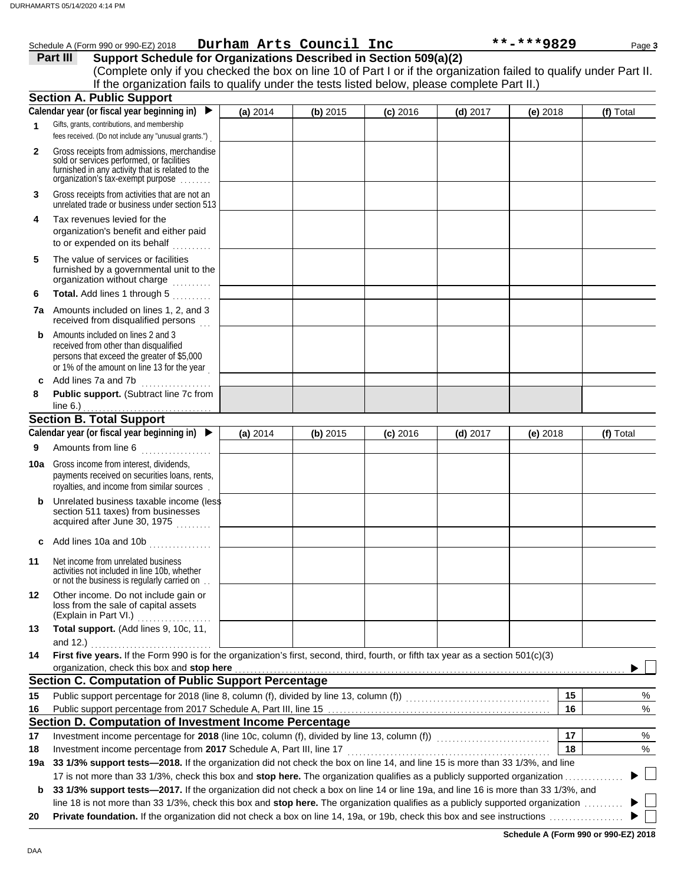|     | Schedule A (Form 990 or 990-EZ) 2018                                                                                                                                                                                                                                                                                                                                      |          | Durham Arts Council Inc |            |            | **-***9829 | Page 3    |  |
|-----|---------------------------------------------------------------------------------------------------------------------------------------------------------------------------------------------------------------------------------------------------------------------------------------------------------------------------------------------------------------------------|----------|-------------------------|------------|------------|------------|-----------|--|
|     | Support Schedule for Organizations Described in Section 509(a)(2)<br>Part III                                                                                                                                                                                                                                                                                             |          |                         |            |            |            |           |  |
|     | (Complete only if you checked the box on line 10 of Part I or if the organization failed to qualify under Part II.                                                                                                                                                                                                                                                        |          |                         |            |            |            |           |  |
|     | If the organization fails to qualify under the tests listed below, please complete Part II.)                                                                                                                                                                                                                                                                              |          |                         |            |            |            |           |  |
|     | <b>Section A. Public Support</b>                                                                                                                                                                                                                                                                                                                                          |          |                         |            |            |            |           |  |
|     | Calendar year (or fiscal year beginning in)                                                                                                                                                                                                                                                                                                                               | (a) 2014 | (b) 2015                | $(c)$ 2016 | $(d)$ 2017 | $(e)$ 2018 | (f) Total |  |
| 1   | Gifts, grants, contributions, and membership<br>fees received. (Do not include any "unusual grants.")                                                                                                                                                                                                                                                                     |          |                         |            |            |            |           |  |
| 2   | Gross receipts from admissions, merchandise<br>sold or services performed, or facilities<br>furnished in any activity that is related to the<br>organization's tax-exempt purpose                                                                                                                                                                                         |          |                         |            |            |            |           |  |
| 3   | Gross receipts from activities that are not an<br>unrelated trade or business under section 513                                                                                                                                                                                                                                                                           |          |                         |            |            |            |           |  |
| 4   | Tax revenues levied for the<br>organization's benefit and either paid<br>to or expended on its behalf<br><u>.</u><br>.                                                                                                                                                                                                                                                    |          |                         |            |            |            |           |  |
| 5   | The value of services or facilities<br>furnished by a governmental unit to the<br>organization without charge                                                                                                                                                                                                                                                             |          |                         |            |            |            |           |  |
| 6   | Total. Add lines 1 through 5                                                                                                                                                                                                                                                                                                                                              |          |                         |            |            |            |           |  |
|     | <b>7a</b> Amounts included on lines 1, 2, and 3<br>received from disqualified persons                                                                                                                                                                                                                                                                                     |          |                         |            |            |            |           |  |
| b   | Amounts included on lines 2 and 3<br>received from other than disqualified<br>persons that exceed the greater of \$5,000<br>or 1% of the amount on line 13 for the year                                                                                                                                                                                                   |          |                         |            |            |            |           |  |
| c   | Add lines 7a and 7b                                                                                                                                                                                                                                                                                                                                                       |          |                         |            |            |            |           |  |
| 8   | Public support. (Subtract line 7c from                                                                                                                                                                                                                                                                                                                                    |          |                         |            |            |            |           |  |
|     | line $6.$ )                                                                                                                                                                                                                                                                                                                                                               |          |                         |            |            |            |           |  |
|     | <b>Section B. Total Support</b>                                                                                                                                                                                                                                                                                                                                           |          |                         |            |            |            |           |  |
|     | Calendar year (or fiscal year beginning in)                                                                                                                                                                                                                                                                                                                               | (a) 2014 | (b) 2015                | $(c)$ 2016 | $(d)$ 2017 | (e) $2018$ | (f) Total |  |
| 9   | Amounts from line 6                                                                                                                                                                                                                                                                                                                                                       |          |                         |            |            |            |           |  |
|     | <b>10a</b> Gross income from interest, dividends,<br>payments received on securities loans, rents,<br>royalties, and income from similar sources                                                                                                                                                                                                                          |          |                         |            |            |            |           |  |
| b   | Unrelated business taxable income (less<br>section 511 taxes) from businesses<br>acquired after June 30, 1975                                                                                                                                                                                                                                                             |          |                         |            |            |            |           |  |
| c   | Add lines 10a and 10b<br>an an Salaman.<br>Bailtean an Salaman                                                                                                                                                                                                                                                                                                            |          |                         |            |            |            |           |  |
| 11  | Net income from unrelated business<br>activities not included in line 10b, whether<br>or not the business is regularly carried on.                                                                                                                                                                                                                                        |          |                         |            |            |            |           |  |
| 12  | Other income. Do not include gain or<br>loss from the sale of capital assets<br>(Explain in Part VI.)                                                                                                                                                                                                                                                                     |          |                         |            |            |            |           |  |
| 13  | Total support. (Add lines 9, 10c, 11,<br>and 12.) $\qquad \qquad$                                                                                                                                                                                                                                                                                                         |          |                         |            |            |            |           |  |
| 14  | First five years. If the Form 990 is for the organization's first, second, third, fourth, or fifth tax year as a section 501(c)(3)<br>organization, check this box and stop here <b>constant and a constant and a constant a</b> constant and a constant and constant and constant and constant and constant and constant and constant and constant and constant and cons |          |                         |            |            |            |           |  |
|     | <b>Section C. Computation of Public Support Percentage</b>                                                                                                                                                                                                                                                                                                                |          |                         |            |            |            |           |  |
| 15  |                                                                                                                                                                                                                                                                                                                                                                           |          |                         |            |            | 15         | %         |  |
| 16  |                                                                                                                                                                                                                                                                                                                                                                           |          |                         |            |            | 16         | %         |  |
|     | Section D. Computation of Investment Income Percentage                                                                                                                                                                                                                                                                                                                    |          |                         |            |            |            |           |  |
| 17  | Investment income percentage for 2018 (line 10c, column (f), divided by line 13, column (f)) [[[[[[[[[[[[[[[[                                                                                                                                                                                                                                                             |          |                         |            |            | 17         | %         |  |
| 18  |                                                                                                                                                                                                                                                                                                                                                                           |          |                         |            |            | 18         | %         |  |
| 19a | 33 1/3% support tests-2018. If the organization did not check the box on line 14, and line 15 is more than 33 1/3%, and line                                                                                                                                                                                                                                              |          |                         |            |            |            |           |  |
|     | 17 is not more than 33 1/3%, check this box and stop here. The organization qualifies as a publicly supported organization                                                                                                                                                                                                                                                |          |                         |            |            |            |           |  |
| b   | 33 1/3% support tests-2017. If the organization did not check a box on line 14 or line 19a, and line 16 is more than 33 1/3%, and                                                                                                                                                                                                                                         |          |                         |            |            |            |           |  |
|     | line 18 is not more than 33 1/3%, check this box and stop here. The organization qualifies as a publicly supported organization                                                                                                                                                                                                                                           |          |                         |            |            |            |           |  |
| 20  |                                                                                                                                                                                                                                                                                                                                                                           |          |                         |            |            |            |           |  |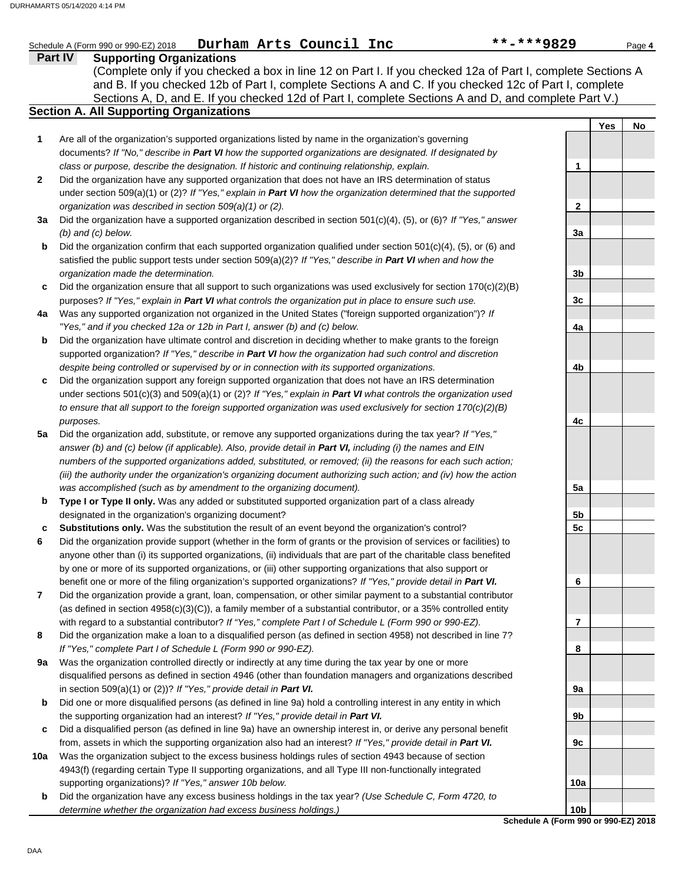|              |                                                                                                                                                                                                         | **-***9829      |     | Page 4 |
|--------------|---------------------------------------------------------------------------------------------------------------------------------------------------------------------------------------------------------|-----------------|-----|--------|
|              | Part IV<br><b>Supporting Organizations</b>                                                                                                                                                              |                 |     |        |
|              | (Complete only if you checked a box in line 12 on Part I. If you checked 12a of Part I, complete Sections A                                                                                             |                 |     |        |
|              | and B. If you checked 12b of Part I, complete Sections A and C. If you checked 12c of Part I, complete                                                                                                  |                 |     |        |
|              | Sections A, D, and E. If you checked 12d of Part I, complete Sections A and D, and complete Part V.)                                                                                                    |                 |     |        |
|              | <b>Section A. All Supporting Organizations</b>                                                                                                                                                          |                 |     |        |
|              |                                                                                                                                                                                                         |                 | Yes | No     |
| 1            | Are all of the organization's supported organizations listed by name in the organization's governing                                                                                                    |                 |     |        |
|              | documents? If "No," describe in Part VI how the supported organizations are designated. If designated by                                                                                                |                 |     |        |
| $\mathbf{2}$ | class or purpose, describe the designation. If historic and continuing relationship, explain.<br>Did the organization have any supported organization that does not have an IRS determination of status | 1               |     |        |
|              | under section 509(a)(1) or (2)? If "Yes," explain in Part VI how the organization determined that the supported                                                                                         |                 |     |        |
|              | organization was described in section 509(a)(1) or (2).                                                                                                                                                 | 2               |     |        |
| За           | Did the organization have a supported organization described in section 501(c)(4), (5), or (6)? If "Yes," answer                                                                                        |                 |     |        |
|              | $(b)$ and $(c)$ below.                                                                                                                                                                                  | 3a              |     |        |
| b            | Did the organization confirm that each supported organization qualified under section $501(c)(4)$ , (5), or (6) and                                                                                     |                 |     |        |
|              | satisfied the public support tests under section $509(a)(2)$ ? If "Yes," describe in Part VI when and how the                                                                                           |                 |     |        |
|              | organization made the determination.                                                                                                                                                                    | 3 <sub>b</sub>  |     |        |
| c            | Did the organization ensure that all support to such organizations was used exclusively for section $170(c)(2)(B)$                                                                                      |                 |     |        |
|              | purposes? If "Yes," explain in Part VI what controls the organization put in place to ensure such use.                                                                                                  | 3 <sub>c</sub>  |     |        |
| 4a           | Was any supported organization not organized in the United States ("foreign supported organization")? If                                                                                                |                 |     |        |
|              | "Yes," and if you checked 12a or 12b in Part I, answer (b) and (c) below.                                                                                                                               | 4a              |     |        |
| b            | Did the organization have ultimate control and discretion in deciding whether to make grants to the foreign                                                                                             |                 |     |        |
|              | supported organization? If "Yes," describe in Part VI how the organization had such control and discretion                                                                                              |                 |     |        |
|              | despite being controlled or supervised by or in connection with its supported organizations.                                                                                                            | 4b              |     |        |
| c            | Did the organization support any foreign supported organization that does not have an IRS determination                                                                                                 |                 |     |        |
|              | under sections 501(c)(3) and 509(a)(1) or (2)? If "Yes," explain in Part VI what controls the organization used                                                                                         |                 |     |        |
|              | to ensure that all support to the foreign supported organization was used exclusively for section $170(c)(2)(B)$                                                                                        |                 |     |        |
|              | purposes.                                                                                                                                                                                               | 4с              |     |        |
| 5a           | Did the organization add, substitute, or remove any supported organizations during the tax year? If "Yes,"                                                                                              |                 |     |        |
|              | answer (b) and (c) below (if applicable). Also, provide detail in Part VI, including (i) the names and EIN                                                                                              |                 |     |        |
|              | numbers of the supported organizations added, substituted, or removed; (ii) the reasons for each such action;                                                                                           |                 |     |        |
|              | (iii) the authority under the organization's organizing document authorizing such action; and (iv) how the action                                                                                       |                 |     |        |
|              | was accomplished (such as by amendment to the organizing document).                                                                                                                                     | 5a              |     |        |
| b            | Type I or Type II only. Was any added or substituted supported organization part of a class already                                                                                                     |                 |     |        |
|              | designated in the organization's organizing document?                                                                                                                                                   | 5b              |     |        |
| c            | Substitutions only. Was the substitution the result of an event beyond the organization's control?                                                                                                      | 5 <sub>c</sub>  |     |        |
|              | Did the organization provide support (whether in the form of grants or the provision of services or facilities) to                                                                                      |                 |     |        |
|              | anyone other than (i) its supported organizations, (ii) individuals that are part of the charitable class benefited                                                                                     |                 |     |        |
|              | by one or more of its supported organizations, or (iii) other supporting organizations that also support or                                                                                             |                 |     |        |
|              | benefit one or more of the filing organization's supported organizations? If "Yes," provide detail in Part VI.                                                                                          | 6               |     |        |
| 7            | Did the organization provide a grant, loan, compensation, or other similar payment to a substantial contributor                                                                                         |                 |     |        |
|              | (as defined in section $4958(c)(3)(C)$ ), a family member of a substantial contributor, or a 35% controlled entity                                                                                      |                 |     |        |
|              | with regard to a substantial contributor? If "Yes," complete Part I of Schedule L (Form 990 or 990-EZ).                                                                                                 | 7               |     |        |
| 8            | Did the organization make a loan to a disqualified person (as defined in section 4958) not described in line 7?                                                                                         |                 |     |        |
|              | If "Yes," complete Part I of Schedule L (Form 990 or 990-EZ).                                                                                                                                           | 8               |     |        |
| 9a           | Was the organization controlled directly or indirectly at any time during the tax year by one or more                                                                                                   |                 |     |        |
|              | disqualified persons as defined in section 4946 (other than foundation managers and organizations described                                                                                             |                 |     |        |
|              | in section 509(a)(1) or (2))? If "Yes," provide detail in Part VI.                                                                                                                                      | 9a              |     |        |
| b            | Did one or more disqualified persons (as defined in line 9a) hold a controlling interest in any entity in which                                                                                         |                 |     |        |
|              | the supporting organization had an interest? If "Yes," provide detail in Part VI.                                                                                                                       | 9b              |     |        |
| c            | Did a disqualified person (as defined in line 9a) have an ownership interest in, or derive any personal benefit                                                                                         |                 |     |        |
|              | from, assets in which the supporting organization also had an interest? If "Yes," provide detail in Part VI.                                                                                            | 9c              |     |        |
| 10a          | Was the organization subject to the excess business holdings rules of section 4943 because of section                                                                                                   |                 |     |        |
|              | 4943(f) (regarding certain Type II supporting organizations, and all Type III non-functionally integrated                                                                                               |                 |     |        |
|              | supporting organizations)? If "Yes," answer 10b below.                                                                                                                                                  | 10a             |     |        |
| b            | Did the organization have any excess business holdings in the tax year? (Use Schedule C, Form 4720, to                                                                                                  |                 |     |        |
|              | determine whether the organization had excess business holdings.)                                                                                                                                       | 10 <sub>b</sub> |     |        |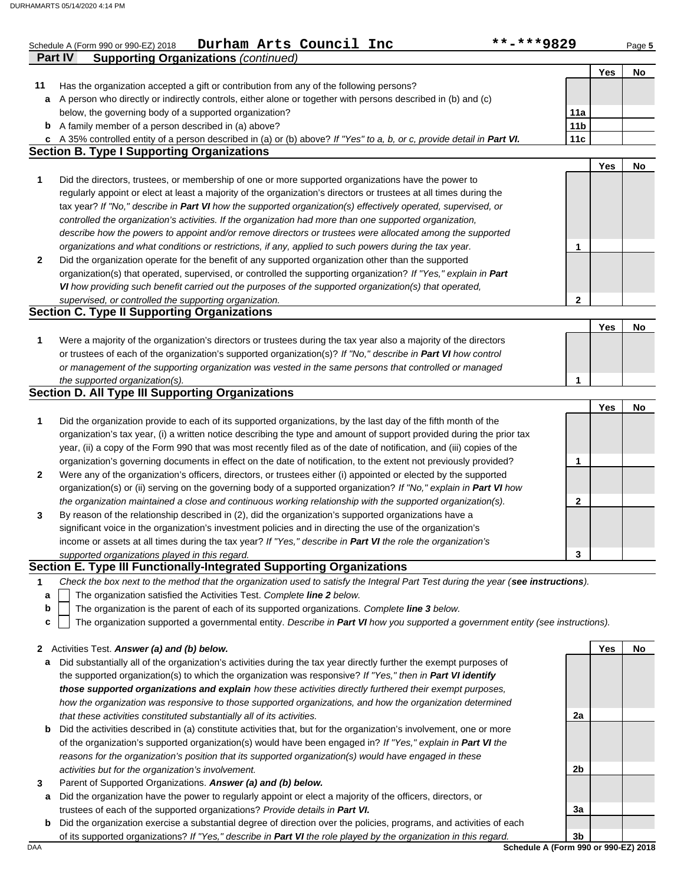|              | Durham Arts Council Inc<br>**-***9829<br>Schedule A (Form 990 or 990-EZ) 2018                                                     |                 |     | Page 5 |
|--------------|-----------------------------------------------------------------------------------------------------------------------------------|-----------------|-----|--------|
|              | <b>Supporting Organizations (continued)</b><br><b>Part IV</b>                                                                     |                 |     |        |
|              |                                                                                                                                   |                 | Yes | No     |
| 11           | Has the organization accepted a gift or contribution from any of the following persons?                                           |                 |     |        |
| a            | A person who directly or indirectly controls, either alone or together with persons described in (b) and (c)                      |                 |     |        |
|              | below, the governing body of a supported organization?                                                                            | 11a             |     |        |
|              | <b>b</b> A family member of a person described in (a) above?                                                                      | 11 <sub>b</sub> |     |        |
| c            | A 35% controlled entity of a person described in (a) or (b) above? If "Yes" to a, b, or c, provide detail in Part VI.             | 11c             |     |        |
|              | <b>Section B. Type I Supporting Organizations</b>                                                                                 |                 |     |        |
|              |                                                                                                                                   |                 | Yes | No     |
| 1            | Did the directors, trustees, or membership of one or more supported organizations have the power to                               |                 |     |        |
|              | regularly appoint or elect at least a majority of the organization's directors or trustees at all times during the                |                 |     |        |
|              | tax year? If "No," describe in Part VI how the supported organization(s) effectively operated, supervised, or                     |                 |     |        |
|              | controlled the organization's activities. If the organization had more than one supported organization,                           |                 |     |        |
|              | describe how the powers to appoint and/or remove directors or trustees were allocated among the supported                         |                 |     |        |
|              | organizations and what conditions or restrictions, if any, applied to such powers during the tax year.                            | 1               |     |        |
| $\mathbf{2}$ | Did the organization operate for the benefit of any supported organization other than the supported                               |                 |     |        |
|              | organization(s) that operated, supervised, or controlled the supporting organization? If "Yes," explain in Part                   |                 |     |        |
|              | VI how providing such benefit carried out the purposes of the supported organization(s) that operated,                            |                 |     |        |
|              | supervised, or controlled the supporting organization.                                                                            | 2               |     |        |
|              | <b>Section C. Type II Supporting Organizations</b>                                                                                |                 |     |        |
|              |                                                                                                                                   |                 | Yes | No     |
|              |                                                                                                                                   |                 |     |        |
| 1            | Were a majority of the organization's directors or trustees during the tax year also a majority of the directors                  |                 |     |        |
|              | or trustees of each of the organization's supported organization(s)? If "No," describe in Part VI how control                     |                 |     |        |
|              | or management of the supporting organization was vested in the same persons that controlled or managed                            |                 |     |        |
|              | the supported organization(s).                                                                                                    | 1               |     |        |
|              | <b>Section D. All Type III Supporting Organizations</b>                                                                           |                 |     |        |
|              |                                                                                                                                   |                 | Yes | No     |
| 1            | Did the organization provide to each of its supported organizations, by the last day of the fifth month of the                    |                 |     |        |
|              | organization's tax year, (i) a written notice describing the type and amount of support provided during the prior tax             |                 |     |        |
|              | year, (ii) a copy of the Form 990 that was most recently filed as of the date of notification, and (iii) copies of the            |                 |     |        |
|              | organization's governing documents in effect on the date of notification, to the extent not previously provided?                  | 1               |     |        |
| $\mathbf{2}$ | Were any of the organization's officers, directors, or trustees either (i) appointed or elected by the supported                  |                 |     |        |
|              | organization(s) or (ii) serving on the governing body of a supported organization? If "No," explain in Part VI how                |                 |     |        |
|              | the organization maintained a close and continuous working relationship with the supported organization(s).                       | 2               |     |        |
| 3            | By reason of the relationship described in (2), did the organization's supported organizations have a                             |                 |     |        |
|              | significant voice in the organization's investment policies and in directing the use of the organization's                        |                 |     |        |
|              | income or assets at all times during the tax year? If "Yes," describe in Part VI the role the organization's                      |                 |     |        |
|              | supported organizations played in this regard.                                                                                    | 3               |     |        |
|              | Section E. Type III Functionally-Integrated Supporting Organizations                                                              |                 |     |        |
| 1            | Check the box next to the method that the organization used to satisfy the Integral Part Test during the year (see instructions). |                 |     |        |
| a            | The organization satisfied the Activities Test. Complete line 2 below.                                                            |                 |     |        |
| b            | The organization is the parent of each of its supported organizations. Complete line 3 below.                                     |                 |     |        |
| c            | The organization supported a governmental entity. Describe in Part VI how you supported a government entity (see instructions).   |                 |     |        |
|              |                                                                                                                                   |                 |     |        |
|              | 2 Activities Test. Answer (a) and (b) below.                                                                                      |                 | Yes | No     |
|              | Did substantially all of the organization's activities during the tay year directly further the exempt purposes of                |                 |     |        |

- **a** Did substantially all of the organization's activities during the tax year directly further the exempt purposes of the supported organization(s) to which the organization was responsive? *If "Yes," then in Part VI identify those supported organizations and explain how these activities directly furthered their exempt purposes, how the organization was responsive to those supported organizations, and how the organization determined that these activities constituted substantially all of its activities.*
- **b** Did the activities described in (a) constitute activities that, but for the organization's involvement, one or more of the organization's supported organization(s) would have been engaged in? *If "Yes," explain in Part VI the reasons for the organization's position that its supported organization(s) would have engaged in these activities but for the organization's involvement.*
- **3** Parent of Supported Organizations. *Answer (a) and (b) below.*
- **a** Did the organization have the power to regularly appoint or elect a majority of the officers, directors, or trustees of each of the supported organizations? *Provide details in Part VI.*
- **b** Did the organization exercise a substantial degree of direction over the policies, programs, and activities of each of its supported organizations? *If "Yes," describe in Part VI the role played by the organization in this regard.*

DAA **Schedule A (Form 990 or 990-EZ) 2018 3b**

**3a**

**2a**

**2b**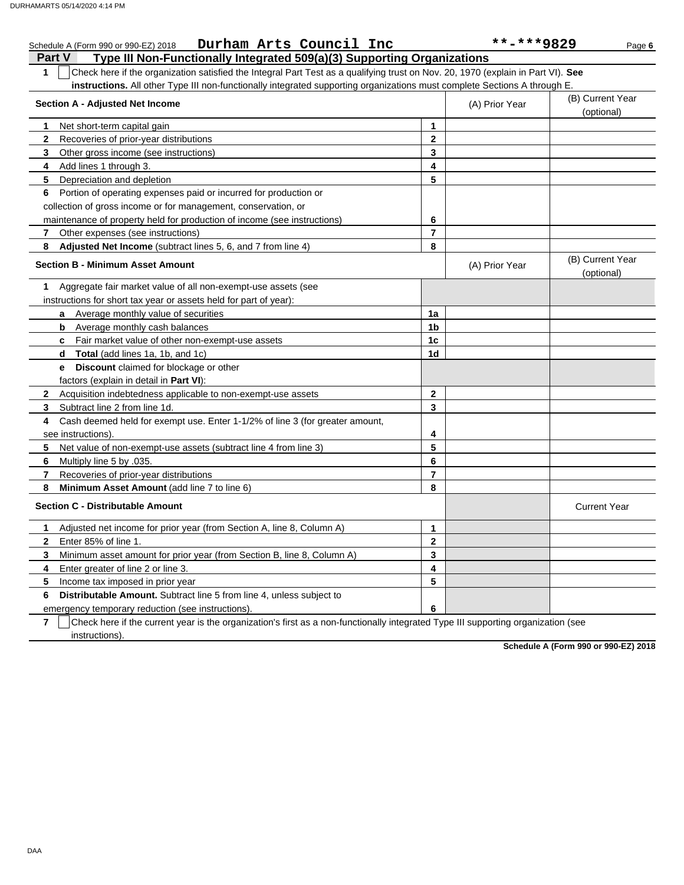|              | Durham Arts Council Inc<br>Schedule A (Form 990 or 990-EZ) 2018                                                                  |                | **-***9829     | Page 6                         |
|--------------|----------------------------------------------------------------------------------------------------------------------------------|----------------|----------------|--------------------------------|
|              | Type III Non-Functionally Integrated 509(a)(3) Supporting Organizations<br><b>Part V</b>                                         |                |                |                                |
| 1            | Check here if the organization satisfied the Integral Part Test as a qualifying trust on Nov. 20, 1970 (explain in Part VI). See |                |                |                                |
|              | instructions. All other Type III non-functionally integrated supporting organizations must complete Sections A through E.        |                |                |                                |
|              | <b>Section A - Adjusted Net Income</b>                                                                                           |                | (A) Prior Year | (B) Current Year               |
|              | (optional)                                                                                                                       |                |                |                                |
| 1            | Net short-term capital gain                                                                                                      | 1              |                |                                |
| $\mathbf{2}$ | Recoveries of prior-year distributions                                                                                           | $\mathbf 2$    |                |                                |
| 3            | Other gross income (see instructions)                                                                                            | $\mathbf{3}$   |                |                                |
| 4            | Add lines 1 through 3.                                                                                                           | 4              |                |                                |
| 5            | Depreciation and depletion                                                                                                       | 5              |                |                                |
| 6            | Portion of operating expenses paid or incurred for production or                                                                 |                |                |                                |
|              | collection of gross income or for management, conservation, or                                                                   |                |                |                                |
|              | maintenance of property held for production of income (see instructions)                                                         | 6              |                |                                |
| 7            | Other expenses (see instructions)                                                                                                | $\overline{7}$ |                |                                |
| 8            | Adjusted Net Income (subtract lines 5, 6, and 7 from line 4)                                                                     | 8              |                |                                |
|              | <b>Section B - Minimum Asset Amount</b>                                                                                          |                | (A) Prior Year | (B) Current Year<br>(optional) |
| 1            | Aggregate fair market value of all non-exempt-use assets (see                                                                    |                |                |                                |
|              | instructions for short tax year or assets held for part of year):                                                                |                |                |                                |
|              | Average monthly value of securities<br>a                                                                                         | 1a             |                |                                |
|              | <b>b</b> Average monthly cash balances                                                                                           | 1b             |                |                                |
|              | <b>c</b> Fair market value of other non-exempt-use assets                                                                        | 1 <sub>c</sub> |                |                                |
|              | Total (add lines 1a, 1b, and 1c)<br>d                                                                                            | 1d             |                |                                |
|              | Discount claimed for blockage or other<br>e                                                                                      |                |                |                                |
|              | factors (explain in detail in Part VI):                                                                                          |                |                |                                |
|              | 2 Acquisition indebtedness applicable to non-exempt-use assets                                                                   | $\overline{2}$ |                |                                |
| 3            | Subtract line 2 from line 1d.                                                                                                    | 3              |                |                                |
| 4            | Cash deemed held for exempt use. Enter 1-1/2% of line 3 (for greater amount,                                                     |                |                |                                |
|              | see instructions)                                                                                                                | 4              |                |                                |
| 5            | Net value of non-exempt-use assets (subtract line 4 from line 3)                                                                 | 5              |                |                                |
| 6            | Multiply line 5 by .035.                                                                                                         | 6              |                |                                |
| 7            | Recoveries of prior-year distributions                                                                                           | $\overline{7}$ |                |                                |
| 8            | Minimum Asset Amount (add line 7 to line 6)                                                                                      | 8              |                |                                |
|              | <b>Section C - Distributable Amount</b>                                                                                          |                |                | <b>Current Year</b>            |
| 1            | Adjusted net income for prior year (from Section A, line 8, Column A)                                                            | 1              |                |                                |
| $\mathbf{2}$ | Enter 85% of line 1.                                                                                                             | $\mathbf{2}$   |                |                                |
| 3            | Minimum asset amount for prior year (from Section B, line 8, Column A)                                                           | $\mathbf 3$    |                |                                |
| 4            | Enter greater of line 2 or line 3.                                                                                               | 4              |                |                                |
| 5            | Income tax imposed in prior year                                                                                                 | 5              |                |                                |
| 6            | <b>Distributable Amount.</b> Subtract line 5 from line 4, unless subject to                                                      |                |                |                                |
|              | emergency temporary reduction (see instructions).                                                                                | 6              |                |                                |

**7** | Check here if the current year is the organization's first as a non-functionally integrated Type III supporting organization (see instructions).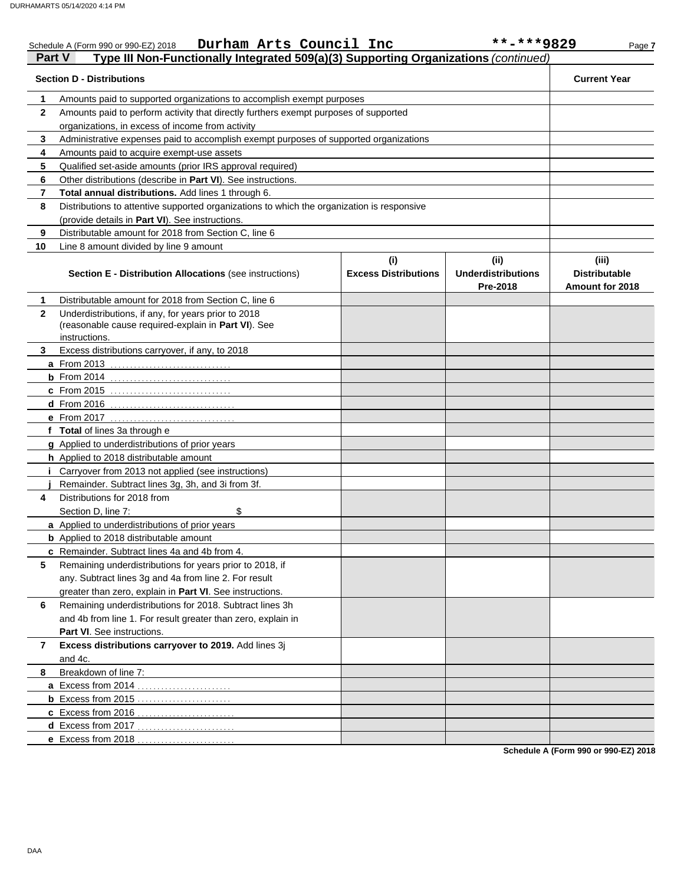|              | Durham Arts Council Inc<br>Schedule A (Form 990 or 990-EZ) 2018                                                             |                                    | **-***9829                                    | Page 7                                           |
|--------------|-----------------------------------------------------------------------------------------------------------------------------|------------------------------------|-----------------------------------------------|--------------------------------------------------|
| Part V       | Type III Non-Functionally Integrated 509(a)(3) Supporting Organizations (continued)                                         |                                    |                                               |                                                  |
|              | <b>Section D - Distributions</b>                                                                                            |                                    |                                               | <b>Current Year</b>                              |
| 1            | Amounts paid to supported organizations to accomplish exempt purposes                                                       |                                    |                                               |                                                  |
| $\mathbf{2}$ | Amounts paid to perform activity that directly furthers exempt purposes of supported                                        |                                    |                                               |                                                  |
|              | organizations, in excess of income from activity                                                                            |                                    |                                               |                                                  |
| 3            | Administrative expenses paid to accomplish exempt purposes of supported organizations                                       |                                    |                                               |                                                  |
| 4            | Amounts paid to acquire exempt-use assets                                                                                   |                                    |                                               |                                                  |
| 5            | Qualified set-aside amounts (prior IRS approval required)                                                                   |                                    |                                               |                                                  |
| 6            | Other distributions (describe in Part VI). See instructions.                                                                |                                    |                                               |                                                  |
| 7            | Total annual distributions. Add lines 1 through 6.                                                                          |                                    |                                               |                                                  |
| 8            | Distributions to attentive supported organizations to which the organization is responsive                                  |                                    |                                               |                                                  |
|              | (provide details in Part VI). See instructions.                                                                             |                                    |                                               |                                                  |
| 9            | Distributable amount for 2018 from Section C, line 6                                                                        |                                    |                                               |                                                  |
| 10           | Line 8 amount divided by line 9 amount                                                                                      |                                    |                                               |                                                  |
|              | <b>Section E - Distribution Allocations (see instructions)</b>                                                              | (i)<br><b>Excess Distributions</b> | (ii)<br><b>Underdistributions</b><br>Pre-2018 | (iii)<br><b>Distributable</b><br>Amount for 2018 |
| 1            | Distributable amount for 2018 from Section C, line 6                                                                        |                                    |                                               |                                                  |
| $\mathbf{2}$ | Underdistributions, if any, for years prior to 2018<br>(reasonable cause required-explain in Part VI). See<br>instructions. |                                    |                                               |                                                  |
| 3            | Excess distributions carryover, if any, to 2018                                                                             |                                    |                                               |                                                  |
|              | a From 2013                                                                                                                 |                                    |                                               |                                                  |
|              |                                                                                                                             |                                    |                                               |                                                  |
|              | c From 2015                                                                                                                 |                                    |                                               |                                                  |
|              | d From 2016                                                                                                                 |                                    |                                               |                                                  |
|              |                                                                                                                             |                                    |                                               |                                                  |
|              | f Total of lines 3a through e                                                                                               |                                    |                                               |                                                  |
|              | g Applied to underdistributions of prior years                                                                              |                                    |                                               |                                                  |
|              | h Applied to 2018 distributable amount                                                                                      |                                    |                                               |                                                  |
|              | Carryover from 2013 not applied (see instructions)                                                                          |                                    |                                               |                                                  |
|              | Remainder. Subtract lines 3g, 3h, and 3i from 3f.                                                                           |                                    |                                               |                                                  |
| 4            | Distributions for 2018 from                                                                                                 |                                    |                                               |                                                  |
|              | \$<br>Section D, line 7:                                                                                                    |                                    |                                               |                                                  |
|              | a Applied to underdistributions of prior years                                                                              |                                    |                                               |                                                  |
|              | <b>b</b> Applied to 2018 distributable amount                                                                               |                                    |                                               |                                                  |
|              | c Remainder. Subtract lines 4a and 4b from 4.                                                                               |                                    |                                               |                                                  |
| 5            | Remaining underdistributions for years prior to 2018, if                                                                    |                                    |                                               |                                                  |
|              | any. Subtract lines 3g and 4a from line 2. For result                                                                       |                                    |                                               |                                                  |
|              | greater than zero, explain in Part VI. See instructions.                                                                    |                                    |                                               |                                                  |
| 6            | Remaining underdistributions for 2018. Subtract lines 3h                                                                    |                                    |                                               |                                                  |
|              | and 4b from line 1. For result greater than zero, explain in                                                                |                                    |                                               |                                                  |
|              | Part VI. See instructions.                                                                                                  |                                    |                                               |                                                  |
| 7            | Excess distributions carryover to 2019. Add lines 3j                                                                        |                                    |                                               |                                                  |
|              | and 4c.                                                                                                                     |                                    |                                               |                                                  |
| 8            | Breakdown of line 7:                                                                                                        |                                    |                                               |                                                  |
|              | a Excess from 2014.                                                                                                         |                                    |                                               |                                                  |
|              |                                                                                                                             |                                    |                                               |                                                  |
|              | c Excess from 2016                                                                                                          |                                    |                                               |                                                  |
|              | d Excess from 2017.                                                                                                         |                                    |                                               |                                                  |
|              | e Excess from 2018                                                                                                          |                                    |                                               |                                                  |
|              |                                                                                                                             |                                    |                                               |                                                  |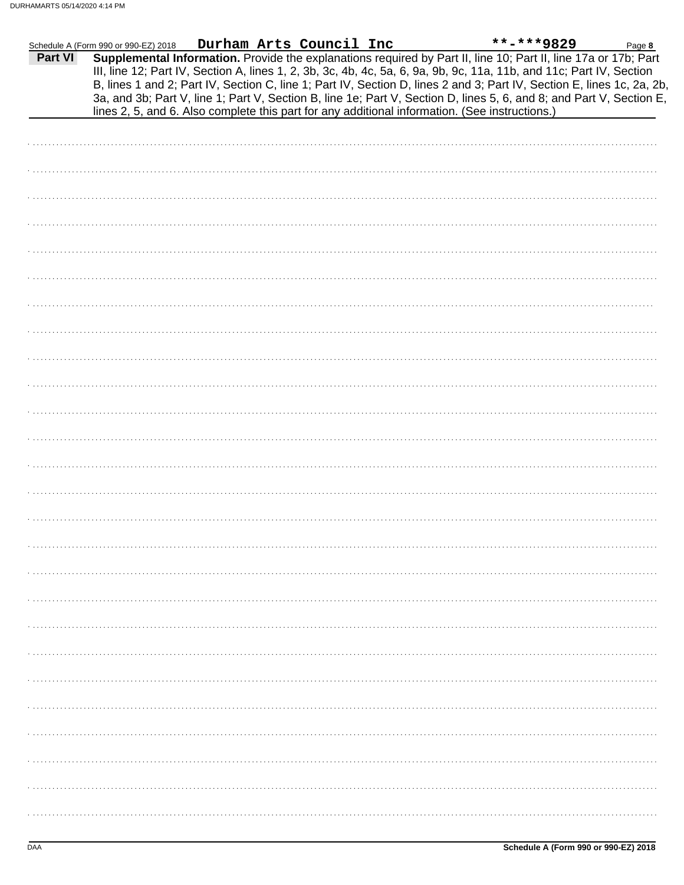|                | Schedule A (Form 990 or 990-EZ) 2018                                                                                                                                                                                                                                                                                                                                                                                                                                                                                                                                                        |  | Durham Arts Council Inc |  | **-***9829 | Page 8 |
|----------------|---------------------------------------------------------------------------------------------------------------------------------------------------------------------------------------------------------------------------------------------------------------------------------------------------------------------------------------------------------------------------------------------------------------------------------------------------------------------------------------------------------------------------------------------------------------------------------------------|--|-------------------------|--|------------|--------|
| <b>Part VI</b> | Supplemental Information. Provide the explanations required by Part II, line 10; Part II, line 17a or 17b; Part<br>III, line 12; Part IV, Section A, lines 1, 2, 3b, 3c, 4b, 4c, 5a, 6, 9a, 9b, 9c, 11a, 11b, and 11c; Part IV, Section<br>B, lines 1 and 2; Part IV, Section C, line 1; Part IV, Section D, lines 2 and 3; Part IV, Section E, lines 1c, 2a, 2b,<br>3a, and 3b; Part V, line 1; Part V, Section B, line 1e; Part V, Section D, lines 5, 6, and 8; and Part V, Section E,<br>lines 2, 5, and 6. Also complete this part for any additional information. (See instructions.) |  |                         |  |            |        |
|                |                                                                                                                                                                                                                                                                                                                                                                                                                                                                                                                                                                                             |  |                         |  |            |        |
|                |                                                                                                                                                                                                                                                                                                                                                                                                                                                                                                                                                                                             |  |                         |  |            |        |
|                |                                                                                                                                                                                                                                                                                                                                                                                                                                                                                                                                                                                             |  |                         |  |            |        |
|                |                                                                                                                                                                                                                                                                                                                                                                                                                                                                                                                                                                                             |  |                         |  |            |        |
|                |                                                                                                                                                                                                                                                                                                                                                                                                                                                                                                                                                                                             |  |                         |  |            |        |
|                |                                                                                                                                                                                                                                                                                                                                                                                                                                                                                                                                                                                             |  |                         |  |            |        |
|                |                                                                                                                                                                                                                                                                                                                                                                                                                                                                                                                                                                                             |  |                         |  |            |        |
|                |                                                                                                                                                                                                                                                                                                                                                                                                                                                                                                                                                                                             |  |                         |  |            |        |
|                |                                                                                                                                                                                                                                                                                                                                                                                                                                                                                                                                                                                             |  |                         |  |            |        |
|                |                                                                                                                                                                                                                                                                                                                                                                                                                                                                                                                                                                                             |  |                         |  |            |        |
|                |                                                                                                                                                                                                                                                                                                                                                                                                                                                                                                                                                                                             |  |                         |  |            |        |
|                |                                                                                                                                                                                                                                                                                                                                                                                                                                                                                                                                                                                             |  |                         |  |            |        |
|                |                                                                                                                                                                                                                                                                                                                                                                                                                                                                                                                                                                                             |  |                         |  |            |        |
|                |                                                                                                                                                                                                                                                                                                                                                                                                                                                                                                                                                                                             |  |                         |  |            |        |
|                |                                                                                                                                                                                                                                                                                                                                                                                                                                                                                                                                                                                             |  |                         |  |            |        |
|                |                                                                                                                                                                                                                                                                                                                                                                                                                                                                                                                                                                                             |  |                         |  |            |        |
|                |                                                                                                                                                                                                                                                                                                                                                                                                                                                                                                                                                                                             |  |                         |  |            |        |
|                |                                                                                                                                                                                                                                                                                                                                                                                                                                                                                                                                                                                             |  |                         |  |            |        |
|                |                                                                                                                                                                                                                                                                                                                                                                                                                                                                                                                                                                                             |  |                         |  |            |        |
|                |                                                                                                                                                                                                                                                                                                                                                                                                                                                                                                                                                                                             |  |                         |  |            |        |
|                |                                                                                                                                                                                                                                                                                                                                                                                                                                                                                                                                                                                             |  |                         |  |            |        |
|                |                                                                                                                                                                                                                                                                                                                                                                                                                                                                                                                                                                                             |  |                         |  |            |        |
|                |                                                                                                                                                                                                                                                                                                                                                                                                                                                                                                                                                                                             |  |                         |  |            |        |
|                |                                                                                                                                                                                                                                                                                                                                                                                                                                                                                                                                                                                             |  |                         |  |            |        |
|                |                                                                                                                                                                                                                                                                                                                                                                                                                                                                                                                                                                                             |  |                         |  |            |        |
|                |                                                                                                                                                                                                                                                                                                                                                                                                                                                                                                                                                                                             |  |                         |  |            |        |
|                |                                                                                                                                                                                                                                                                                                                                                                                                                                                                                                                                                                                             |  |                         |  |            |        |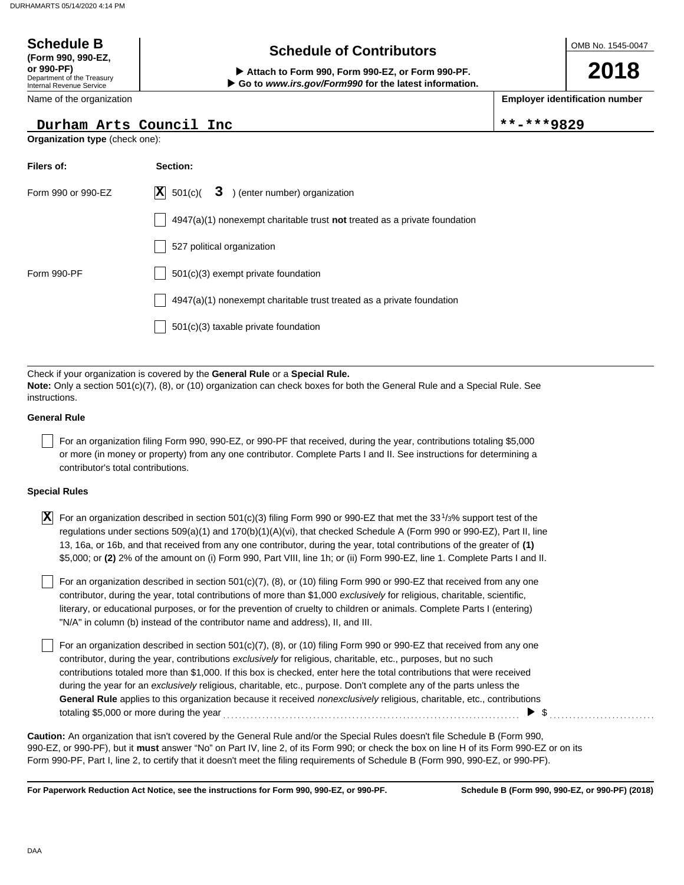**(Form 990, 990-EZ,**

## **Schedule of Contributors Schedule B**

OMB No. 1545-0047

**2018**

**Employer identification number**

\*\*-\*\*\*9829

| or 990-PF)<br>Attach to Form 990, Form 990-EZ, or Form 990-PF.<br>Department of the Treasury<br>Go to www.irs.gov/Form990 for the latest information.<br>Internal Revenue Service |                                                                                                                                                                                                                                                                                                                                                                                                                                                                                                                                                                                                                        |            |  |  |  |  |
|-----------------------------------------------------------------------------------------------------------------------------------------------------------------------------------|------------------------------------------------------------------------------------------------------------------------------------------------------------------------------------------------------------------------------------------------------------------------------------------------------------------------------------------------------------------------------------------------------------------------------------------------------------------------------------------------------------------------------------------------------------------------------------------------------------------------|------------|--|--|--|--|
| Name of the organization                                                                                                                                                          |                                                                                                                                                                                                                                                                                                                                                                                                                                                                                                                                                                                                                        | Employer i |  |  |  |  |
|                                                                                                                                                                                   | Durham Arts Council Inc                                                                                                                                                                                                                                                                                                                                                                                                                                                                                                                                                                                                | **_***     |  |  |  |  |
| Organization type (check one):                                                                                                                                                    |                                                                                                                                                                                                                                                                                                                                                                                                                                                                                                                                                                                                                        |            |  |  |  |  |
| Filers of:                                                                                                                                                                        | Section:                                                                                                                                                                                                                                                                                                                                                                                                                                                                                                                                                                                                               |            |  |  |  |  |
| Form 990 or 990-EZ                                                                                                                                                                | 3 ) (enter number) organization<br>$ \mathbf{X} $ 501(c)(                                                                                                                                                                                                                                                                                                                                                                                                                                                                                                                                                              |            |  |  |  |  |
|                                                                                                                                                                                   | $4947(a)(1)$ nonexempt charitable trust not treated as a private foundation                                                                                                                                                                                                                                                                                                                                                                                                                                                                                                                                            |            |  |  |  |  |
|                                                                                                                                                                                   | 527 political organization                                                                                                                                                                                                                                                                                                                                                                                                                                                                                                                                                                                             |            |  |  |  |  |
| Form 990-PF                                                                                                                                                                       | 501(c)(3) exempt private foundation                                                                                                                                                                                                                                                                                                                                                                                                                                                                                                                                                                                    |            |  |  |  |  |
|                                                                                                                                                                                   | $4947(a)(1)$ nonexempt charitable trust treated as a private foundation                                                                                                                                                                                                                                                                                                                                                                                                                                                                                                                                                |            |  |  |  |  |
|                                                                                                                                                                                   | $501(c)(3)$ taxable private foundation                                                                                                                                                                                                                                                                                                                                                                                                                                                                                                                                                                                 |            |  |  |  |  |
|                                                                                                                                                                                   |                                                                                                                                                                                                                                                                                                                                                                                                                                                                                                                                                                                                                        |            |  |  |  |  |
| instructions.<br><b>General Rule</b>                                                                                                                                              | Check if your organization is covered by the General Rule or a Special Rule.<br>Note: Only a section 501(c)(7), (8), or (10) organization can check boxes for both the General Rule and a Special Rule. See                                                                                                                                                                                                                                                                                                                                                                                                            |            |  |  |  |  |
| contributor's total contributions.                                                                                                                                                | For an organization filing Form 990, 990-EZ, or 990-PF that received, during the year, contributions totaling \$5,000<br>or more (in money or property) from any one contributor. Complete Parts I and II. See instructions for determining a                                                                                                                                                                                                                                                                                                                                                                          |            |  |  |  |  |
| <b>Special Rules</b>                                                                                                                                                              |                                                                                                                                                                                                                                                                                                                                                                                                                                                                                                                                                                                                                        |            |  |  |  |  |
| $ {\bf X} $                                                                                                                                                                       | For an organization described in section 501(c)(3) filing Form 990 or 990-EZ that met the 33 <sup>1</sup> /3% support test of the<br>regulations under sections 509(a)(1) and 170(b)(1)(A)(vi), that checked Schedule A (Form 990 or 990-EZ), Part II, line<br>13, 16a, or 16b, and that received from any one contributor, during the year, total contributions of the greater of (1)<br>\$5,000; or (2) 2% of the amount on (i) Form 990, Part VIII, line 1h; or (ii) Form 990-EZ, line 1. Complete Parts I and II.                                                                                                  |            |  |  |  |  |
|                                                                                                                                                                                   | For an organization described in section 501(c)(7), (8), or (10) filing Form 990 or 990-EZ that received from any one<br>contributor, during the year, total contributions of more than \$1,000 exclusively for religious, charitable, scientific,<br>literary, or educational purposes, or for the prevention of cruelty to children or animals. Complete Parts I (entering)<br>"N/A" in column (b) instead of the contributor name and address), II, and III.                                                                                                                                                        |            |  |  |  |  |
|                                                                                                                                                                                   | For an organization described in section $501(c)(7)$ , (8), or (10) filing Form 990 or 990-EZ that received from any one<br>contributor, during the year, contributions exclusively for religious, charitable, etc., purposes, but no such<br>contributions totaled more than \$1,000. If this box is checked, enter here the total contributions that were received<br>during the year for an exclusively religious, charitable, etc., purpose. Don't complete any of the parts unless the<br>General Rule applies to this organization because it received nonexclusively religious, charitable, etc., contributions |            |  |  |  |  |

totaling \$5,000 or more during the year . . . . . . . . . . . . . . . . . . . . . . . . . . . . . . . . . . . . . . . . . . . . . . . . . . . . . . . . . . . . . . . . . . . . . . . . . . . . \$ . . . . . . . . . . . . . . . . . . . . . . . . . . .

990-EZ, or 990-PF), but it **must** answer "No" on Part IV, line 2, of its Form 990; or check the box on line H of its Form 990-EZ or on its Form 990-PF, Part I, line 2, to certify that it doesn't meet the filing requirements of Schedule B (Form 990, 990-EZ, or 990-PF). **Caution:** An organization that isn't covered by the General Rule and/or the Special Rules doesn't file Schedule B (Form 990,

**For Paperwork Reduction Act Notice, see the instructions for Form 990, 990-EZ, or 990-PF.**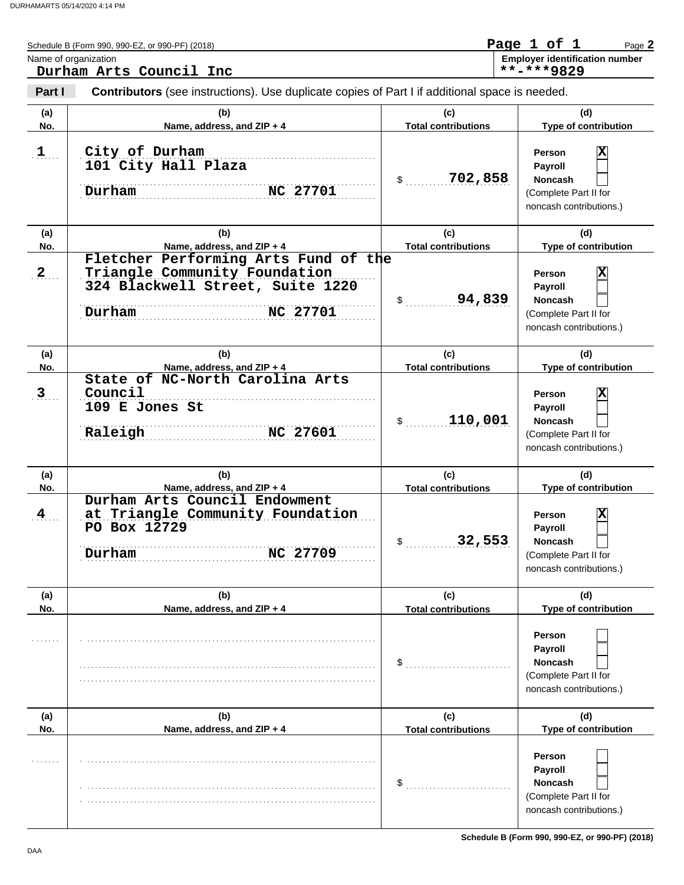|                              | Name of organization<br>Durham Arts Council Inc                                                                                        |                                            | <b>Employer identification number</b><br>**-***9829                                                                                          |
|------------------------------|----------------------------------------------------------------------------------------------------------------------------------------|--------------------------------------------|----------------------------------------------------------------------------------------------------------------------------------------------|
| Part I                       | <b>Contributors</b> (see instructions). Use duplicate copies of Part I if additional space is needed.                                  |                                            |                                                                                                                                              |
| (a)<br>No.                   | (b)<br>Name, address, and ZIP + 4                                                                                                      | (c)<br><b>Total contributions</b>          | (d)<br>Type of contribution                                                                                                                  |
| $1$                          | City of Durham<br>101 City Hall Plaza<br>Durham<br>NC 27701                                                                            | 702,858<br>$\updownarrow$                  | $\overline{\mathbf{x}}$<br><b>Person</b><br>Payroll<br><b>Noncash</b><br>(Complete Part II for<br>noncash contributions.)                    |
| (a)<br>No.                   | (b)<br>Name, address, and ZIP + 4                                                                                                      | (c)<br><b>Total contributions</b>          | (d)<br>Type of contribution                                                                                                                  |
| 2                            | Fletcher Performing Arts Fund of the<br>Triangle Community Foundation<br>324 Blackwell Street, Suite 1220<br>Durham<br><b>NC 27701</b> | 94,839<br>$\sim$                           | $\overline{\mathbf{x}}$<br><b>Person</b><br>Payroll<br>Noncash<br>(Complete Part II for<br>noncash contributions.)                           |
| (a)                          | (b)                                                                                                                                    | (c)                                        | (d)                                                                                                                                          |
| No.                          | Name, address, and ZIP + 4<br>State of NC-North Carolina Arts                                                                          | <b>Total contributions</b>                 | Type of contribution                                                                                                                         |
| $3$                          | Council<br>109 E Jones St<br>Raleigh<br><b>NC 27601</b>                                                                                | 110,001<br>$\sim$                          | $\overline{\mathbf{x}}$<br><b>Person</b><br>Payroll<br>Noncash<br>(Complete Part II for<br>noncash contributions.)                           |
| (a)                          | (b)                                                                                                                                    | (c)                                        | (d)                                                                                                                                          |
| No.<br>$\mathbf{4}_{\ldots}$ | Name, address, and ZIP + 4<br>Durham Arts Council Endowment<br>at Triangle Community Foundation<br>PO Box 12729<br>Durham<br>NC 27709  | <b>Total contributions</b><br>32,553<br>\$ | Type of contribution<br>$ \overline{\mathbf{X}} $<br>Person<br>Payroll<br><b>Noncash</b><br>(Complete Part II for<br>noncash contributions.) |
| (a)<br>No.                   | (b)<br>Name, address, and ZIP + 4                                                                                                      | (c)<br><b>Total contributions</b>          | (d)<br>Type of contribution                                                                                                                  |
|                              |                                                                                                                                        | \$                                         | Person<br>Payroll<br><b>Noncash</b><br>(Complete Part II for<br>noncash contributions.)                                                      |
| (a)                          | (b)                                                                                                                                    | (c)                                        | (d)                                                                                                                                          |
| No.                          | Name, address, and ZIP + 4                                                                                                             | <b>Total contributions</b><br>\$           | Type of contribution<br>Person<br>Payroll<br><b>Noncash</b><br>(Complete Part II for<br>noncash contributions.)                              |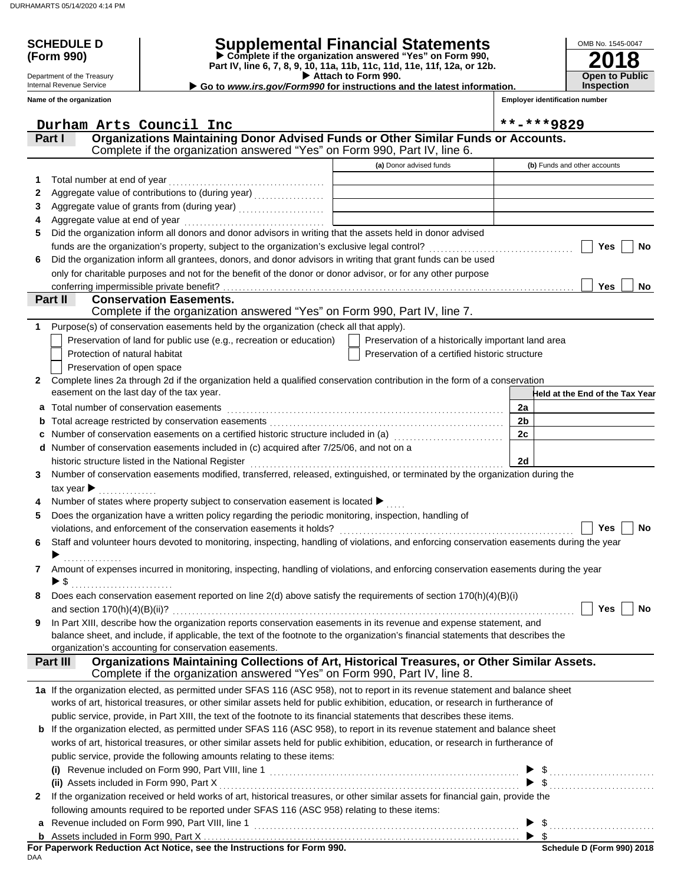Department of the Treasury Internal Revenue Service

## **SCHEDULE D Supplemental Financial Statements**

 **Attach to Form 990. (Form 990) Part IV, line 6, 7, 8, 9, 10, 11a, 11b, 11c, 11d, 11e, 11f, 12a, or 12b. Complete if the organization answered "Yes" on Form 990,**

▶ Go to *www.irs.gov/Form990* for instructions and the latest information.

**2018 Open to Public Inspection**

OMB No. 1545-0047

**Employer identification number**

| Name of the organization                                                                                                                                                           |                                                    | <b>Employer identification number</b>       |
|------------------------------------------------------------------------------------------------------------------------------------------------------------------------------------|----------------------------------------------------|---------------------------------------------|
| Durham Arts Council Inc                                                                                                                                                            |                                                    | **-***9829                                  |
| Organizations Maintaining Donor Advised Funds or Other Similar Funds or Accounts.<br>Part I<br>Complete if the organization answered "Yes" on Form 990, Part IV, line 6.           |                                                    |                                             |
|                                                                                                                                                                                    | (a) Donor advised funds                            | (b) Funds and other accounts                |
| Total number at end of year<br>1                                                                                                                                                   |                                                    |                                             |
| 2                                                                                                                                                                                  |                                                    |                                             |
| 3                                                                                                                                                                                  |                                                    |                                             |
| 4                                                                                                                                                                                  |                                                    |                                             |
| Did the organization inform all donors and donor advisors in writing that the assets held in donor advised<br>5                                                                    |                                                    |                                             |
|                                                                                                                                                                                    |                                                    | Yes<br><b>No</b>                            |
| Did the organization inform all grantees, donors, and donor advisors in writing that grant funds can be used<br>6                                                                  |                                                    |                                             |
| only for charitable purposes and not for the benefit of the donor or donor advisor, or for any other purpose                                                                       |                                                    |                                             |
|                                                                                                                                                                                    |                                                    | Yes<br>No                                   |
| Part II<br><b>Conservation Easements.</b>                                                                                                                                          |                                                    |                                             |
| Complete if the organization answered "Yes" on Form 990, Part IV, line 7.                                                                                                          |                                                    |                                             |
| Purpose(s) of conservation easements held by the organization (check all that apply).<br>1.                                                                                        |                                                    |                                             |
| Preservation of land for public use (e.g., recreation or education)                                                                                                                | Preservation of a historically important land area |                                             |
| Protection of natural habitat                                                                                                                                                      | Preservation of a certified historic structure     |                                             |
| Preservation of open space                                                                                                                                                         |                                                    |                                             |
| Complete lines 2a through 2d if the organization held a qualified conservation contribution in the form of a conservation<br>2                                                     |                                                    |                                             |
| easement on the last day of the tax year.                                                                                                                                          |                                                    | Held at the End of the Tax Year             |
| Total number of conservation easements<br>a                                                                                                                                        |                                                    | 2a                                          |
| b                                                                                                                                                                                  |                                                    | 2 <sub>b</sub>                              |
| Number of conservation easements on a certified historic structure included in (a) [11] Number of conservation<br>с                                                                |                                                    | 2c                                          |
| Number of conservation easements included in (c) acquired after 7/25/06, and not on a<br>d                                                                                         |                                                    |                                             |
| historic structure listed in the National Register                                                                                                                                 |                                                    | 2d                                          |
| Number of conservation easements modified, transferred, released, extinguished, or terminated by the organization during the<br>3                                                  |                                                    |                                             |
| tax year $\blacktriangleright$                                                                                                                                                     |                                                    |                                             |
| Number of states where property subject to conservation easement is located ▶                                                                                                      |                                                    |                                             |
| Does the organization have a written policy regarding the periodic monitoring, inspection, handling of<br>5<br>violations, and enforcement of the conservation easements it holds? |                                                    | Yes<br>No                                   |
| Staff and volunteer hours devoted to monitoring, inspecting, handling of violations, and enforcing conservation easements during the year<br>6                                     |                                                    |                                             |
|                                                                                                                                                                                    |                                                    |                                             |
| Amount of expenses incurred in monitoring, inspecting, handling of violations, and enforcing conservation easements during the year<br>7                                           |                                                    |                                             |
| $\blacktriangleright$ \$                                                                                                                                                           |                                                    |                                             |
| Does each conservation easement reported on line 2(d) above satisfy the requirements of section 170(h)(4)(B)(i)                                                                    |                                                    |                                             |
|                                                                                                                                                                                    |                                                    | Yes<br>No                                   |
| In Part XIII, describe how the organization reports conservation easements in its revenue and expense statement, and<br>9                                                          |                                                    |                                             |
| balance sheet, and include, if applicable, the text of the footnote to the organization's financial statements that describes the                                                  |                                                    |                                             |
| organization's accounting for conservation easements.                                                                                                                              |                                                    |                                             |
| Organizations Maintaining Collections of Art, Historical Treasures, or Other Similar Assets.<br>Part III                                                                           |                                                    |                                             |
| Complete if the organization answered "Yes" on Form 990, Part IV, line 8.                                                                                                          |                                                    |                                             |
| 1a If the organization elected, as permitted under SFAS 116 (ASC 958), not to report in its revenue statement and balance sheet                                                    |                                                    |                                             |
| works of art, historical treasures, or other similar assets held for public exhibition, education, or research in furtherance of                                                   |                                                    |                                             |
| public service, provide, in Part XIII, the text of the footnote to its financial statements that describes these items.                                                            |                                                    |                                             |
| <b>b</b> If the organization elected, as permitted under SFAS 116 (ASC 958), to report in its revenue statement and balance sheet                                                  |                                                    |                                             |
| works of art, historical treasures, or other similar assets held for public exhibition, education, or research in furtherance of                                                   |                                                    |                                             |
| public service, provide the following amounts relating to these items:                                                                                                             |                                                    |                                             |
|                                                                                                                                                                                    |                                                    |                                             |
| (ii) Assets included in Form 990, Part X                                                                                                                                           |                                                    | $\mathsf{\$}\dots\dots\dots\dots\dots\dots$ |
| If the organization received or held works of art, historical treasures, or other similar assets for financial gain, provide the<br>2                                              |                                                    |                                             |
| following amounts required to be reported under SFAS 116 (ASC 958) relating to these items:                                                                                        |                                                    |                                             |
| Revenue included on Form 990, Part VIII, line 1<br>a                                                                                                                               |                                                    | \$<br>- \$                                  |
| b<br>For Paperwork Reduction Act Notice, see the Instructions for Form 990.                                                                                                        |                                                    | Schedule D (Form 990) 2018                  |

| For Paperwork Reduction Act Notice, see the Instructions for Form 990. |  |  |  |
|------------------------------------------------------------------------|--|--|--|
| DAA                                                                    |  |  |  |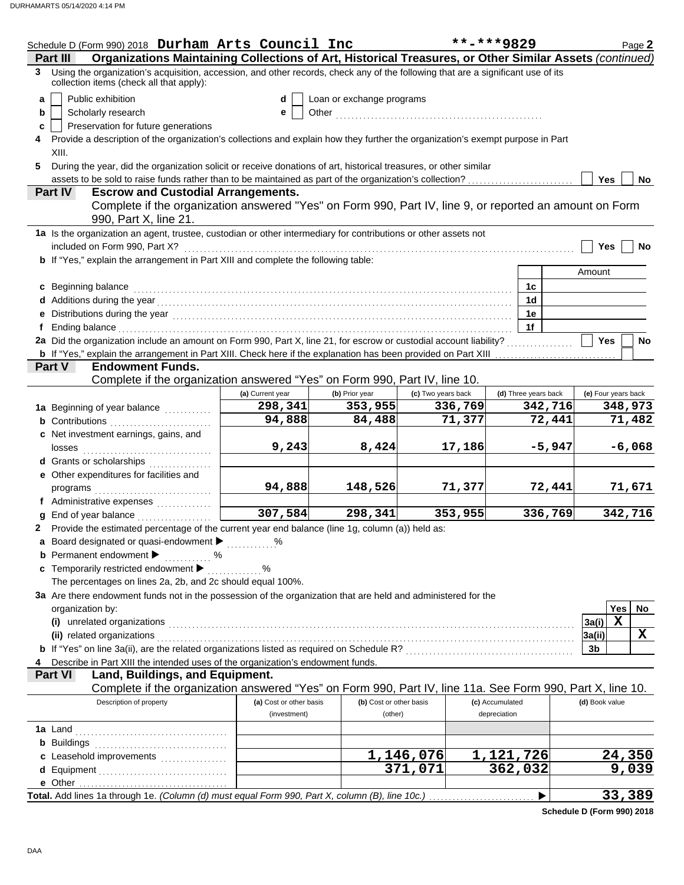|   | Schedule D (Form 990) 2018 Durham Arts Council Inc                                                                                                                                                                                  |                                         |                                    |                    | **-***9829                      | Page 2               |
|---|-------------------------------------------------------------------------------------------------------------------------------------------------------------------------------------------------------------------------------------|-----------------------------------------|------------------------------------|--------------------|---------------------------------|----------------------|
|   | Organizations Maintaining Collections of Art, Historical Treasures, or Other Similar Assets (continued)<br>Part III                                                                                                                 |                                         |                                    |                    |                                 |                      |
| 3 | Using the organization's acquisition, accession, and other records, check any of the following that are a significant use of its<br>collection items (check all that apply):                                                        |                                         |                                    |                    |                                 |                      |
| a | Public exhibition                                                                                                                                                                                                                   | d                                       | Loan or exchange programs          |                    |                                 |                      |
| b | Scholarly research                                                                                                                                                                                                                  | е                                       |                                    |                    |                                 |                      |
| c | Preservation for future generations                                                                                                                                                                                                 |                                         |                                    |                    |                                 |                      |
| 4 | Provide a description of the organization's collections and explain how they further the organization's exempt purpose in Part                                                                                                      |                                         |                                    |                    |                                 |                      |
|   | XIII.                                                                                                                                                                                                                               |                                         |                                    |                    |                                 |                      |
| 5 | During the year, did the organization solicit or receive donations of art, historical treasures, or other similar                                                                                                                   |                                         |                                    |                    |                                 |                      |
|   | assets to be sold to raise funds rather than to be maintained as part of the organization's collection?                                                                                                                             |                                         |                                    |                    |                                 | <b>Yes</b><br>No     |
|   | <b>Part IV</b><br><b>Escrow and Custodial Arrangements.</b>                                                                                                                                                                         |                                         |                                    |                    |                                 |                      |
|   | Complete if the organization answered "Yes" on Form 990, Part IV, line 9, or reported an amount on Form<br>990, Part X, line 21.                                                                                                    |                                         |                                    |                    |                                 |                      |
|   | 1a Is the organization an agent, trustee, custodian or other intermediary for contributions or other assets not                                                                                                                     |                                         |                                    |                    |                                 |                      |
|   | included on Form 990, Part X?                                                                                                                                                                                                       |                                         |                                    |                    |                                 | <b>Yes</b><br>No     |
|   | b If "Yes," explain the arrangement in Part XIII and complete the following table:                                                                                                                                                  |                                         |                                    |                    |                                 |                      |
|   |                                                                                                                                                                                                                                     |                                         |                                    |                    |                                 | Amount               |
|   | c Beginning balance                                                                                                                                                                                                                 |                                         |                                    |                    | 1c                              |                      |
|   |                                                                                                                                                                                                                                     |                                         |                                    |                    | 1 <sub>d</sub>                  |                      |
|   |                                                                                                                                                                                                                                     |                                         |                                    |                    | 1e                              |                      |
|   |                                                                                                                                                                                                                                     |                                         |                                    |                    | 1f                              |                      |
|   | 2a Did the organization include an amount on Form 990, Part X, line 21, for escrow or custodial account liability?                                                                                                                  |                                         |                                    |                    |                                 | <b>Yes</b><br>No     |
|   | <b>b</b> If "Yes," explain the arrangement in Part XIII. Check here if the explanation has been provided on Part XIII                                                                                                               |                                         |                                    |                    |                                 |                      |
|   | <b>Endowment Funds.</b><br><b>Part V</b>                                                                                                                                                                                            |                                         |                                    |                    |                                 |                      |
|   | Complete if the organization answered "Yes" on Form 990, Part IV, line 10.                                                                                                                                                          |                                         |                                    |                    |                                 |                      |
|   |                                                                                                                                                                                                                                     | (a) Current year                        | (b) Prior year                     | (c) Two years back | (d) Three years back            | (e) Four years back  |
|   | 1a Beginning of year balance                                                                                                                                                                                                        | 298,341                                 | 353,955                            | 336,769            | 342,716                         | 348,973              |
|   | <b>b</b> Contributions                                                                                                                                                                                                              | 94,888                                  | 84,488                             | 71,377             | 72,441                          | 71,482               |
|   | c Net investment earnings, gains, and                                                                                                                                                                                               |                                         |                                    |                    |                                 |                      |
|   |                                                                                                                                                                                                                                     | 9,243                                   | 8,424                              | 17,186             |                                 | $-5,947$<br>$-6,068$ |
|   | d Grants or scholarships                                                                                                                                                                                                            |                                         |                                    |                    |                                 |                      |
|   | e Other expenditures for facilities and                                                                                                                                                                                             |                                         |                                    |                    |                                 |                      |
|   |                                                                                                                                                                                                                                     | 94,888                                  | 148,526                            | 71,377             |                                 | 72,441<br>71,671     |
|   | f Administrative expenses                                                                                                                                                                                                           |                                         |                                    |                    |                                 |                      |
|   | <b>g</b> End of year balance $\ldots$                                                                                                                                                                                               | 307,584                                 | 298,341                            | 353,955            | 336,769                         | 342,716              |
|   | 2 Provide the estimated percentage of the current year end balance (line 1g, column (a)) held as:                                                                                                                                   |                                         |                                    |                    |                                 |                      |
|   | a Board designated or quasi-endowment >                                                                                                                                                                                             |                                         |                                    |                    |                                 |                      |
|   | <b>b</b> Permanent endowment $\blacktriangleright$<br>. %                                                                                                                                                                           |                                         |                                    |                    |                                 |                      |
|   | c Temporarily restricted endowment >                                                                                                                                                                                                | $\ldots$ %                              |                                    |                    |                                 |                      |
|   | The percentages on lines 2a, 2b, and 2c should equal 100%.                                                                                                                                                                          |                                         |                                    |                    |                                 |                      |
|   | 3a Are there endowment funds not in the possession of the organization that are held and administered for the                                                                                                                       |                                         |                                    |                    |                                 |                      |
|   | organization by:                                                                                                                                                                                                                    |                                         |                                    |                    |                                 | Yes<br>No.           |
|   |                                                                                                                                                                                                                                     |                                         |                                    |                    |                                 | $\mathbf x$<br>3a(i) |
|   | (ii) related organizations <b>contracts</b> and all the contracts of the contract of the contract of the contract of the contract of the contract of the contract of the contract of the contract of the contract of the contract o |                                         |                                    |                    |                                 | X<br>3a(ii)          |
|   | b If "Yes" on line 3a(ii), are the related organizations listed as required on Schedule R? [[[[[[[[[[[[[[[[[[[                                                                                                                      |                                         |                                    |                    |                                 | 3b                   |
|   | Describe in Part XIII the intended uses of the organization's endowment funds.                                                                                                                                                      |                                         |                                    |                    |                                 |                      |
|   | Land, Buildings, and Equipment.<br><b>Part VI</b>                                                                                                                                                                                   |                                         |                                    |                    |                                 |                      |
|   | Complete if the organization answered "Yes" on Form 990, Part IV, line 11a. See Form 990, Part X, line 10.                                                                                                                          |                                         |                                    |                    |                                 |                      |
|   | Description of property                                                                                                                                                                                                             | (a) Cost or other basis<br>(investment) | (b) Cost or other basis<br>(other) |                    | (c) Accumulated<br>depreciation | (d) Book value       |
|   |                                                                                                                                                                                                                                     |                                         |                                    |                    |                                 |                      |
|   |                                                                                                                                                                                                                                     |                                         |                                    |                    |                                 |                      |
|   |                                                                                                                                                                                                                                     |                                         |                                    |                    |                                 |                      |
|   | c Leasehold improvements [11] [11] [11] Leasehold improvements                                                                                                                                                                      |                                         |                                    | 1,146,076          | 1,121,726                       | 24,350               |
|   |                                                                                                                                                                                                                                     |                                         |                                    | 371,071            | 362,032                         | 9,039                |
|   |                                                                                                                                                                                                                                     |                                         |                                    |                    |                                 |                      |
|   | Total. Add lines 1a through 1e. (Column (d) must equal Form 990, Part X, column (B), line 10c.)                                                                                                                                     |                                         |                                    |                    | ▶                               | 33,389               |

**Schedule D (Form 990) 2018**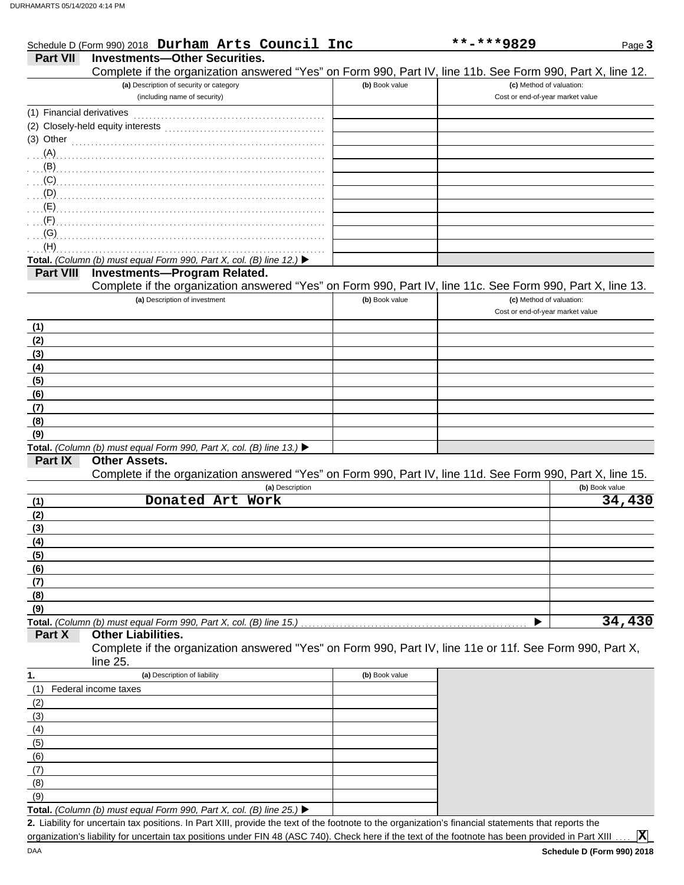|                           | Schedule D (Form 990) 2018 Durham Arts Council Inc                                                         |                | **-***9829                       | Page 3         |
|---------------------------|------------------------------------------------------------------------------------------------------------|----------------|----------------------------------|----------------|
| <b>Part VII</b>           | <b>Investments-Other Securities.</b>                                                                       |                |                                  |                |
|                           | Complete if the organization answered "Yes" on Form 990, Part IV, line 11b. See Form 990, Part X, line 12. |                |                                  |                |
|                           | (a) Description of security or category                                                                    | (b) Book value | (c) Method of valuation:         |                |
|                           | (including name of security)                                                                               |                | Cost or end-of-year market value |                |
| (1) Financial derivatives |                                                                                                            |                |                                  |                |
|                           |                                                                                                            |                |                                  |                |
| $(3)$ Other               |                                                                                                            |                |                                  |                |
| (A)                       |                                                                                                            |                |                                  |                |
| (B)                       |                                                                                                            |                |                                  |                |
| (C)                       |                                                                                                            |                |                                  |                |
| (D)                       |                                                                                                            |                |                                  |                |
| (E)                       |                                                                                                            |                |                                  |                |
| (F)                       |                                                                                                            |                |                                  |                |
| (G)                       |                                                                                                            |                |                                  |                |
| (H)                       |                                                                                                            |                |                                  |                |
|                           | Total. (Column (b) must equal Form 990, Part X, col. (B) line 12.) $\blacktriangleright$                   |                |                                  |                |
| <b>Part VIII</b>          | <b>Investments-Program Related.</b>                                                                        |                |                                  |                |
|                           | Complete if the organization answered "Yes" on Form 990, Part IV, line 11c. See Form 990, Part X, line 13. |                |                                  |                |
|                           | (a) Description of investment                                                                              | (b) Book value | (c) Method of valuation:         |                |
|                           |                                                                                                            |                | Cost or end-of-year market value |                |
| (1)                       |                                                                                                            |                |                                  |                |
| (2)                       |                                                                                                            |                |                                  |                |
| (3)                       |                                                                                                            |                |                                  |                |
| (4)                       |                                                                                                            |                |                                  |                |
| (5)                       |                                                                                                            |                |                                  |                |
| (6)                       |                                                                                                            |                |                                  |                |
| (7)                       |                                                                                                            |                |                                  |                |
| (8)                       |                                                                                                            |                |                                  |                |
| (9)                       |                                                                                                            |                |                                  |                |
|                           | Total. (Column (b) must equal Form 990, Part X, col. (B) line 13.) ▶                                       |                |                                  |                |
| Part IX                   | <b>Other Assets.</b>                                                                                       |                |                                  |                |
|                           | Complete if the organization answered "Yes" on Form 990, Part IV, line 11d. See Form 990, Part X, line 15. |                |                                  |                |
|                           | (a) Description<br>Donated Art Work                                                                        |                |                                  | (b) Book value |
| (1)                       |                                                                                                            |                |                                  | 34,430         |
| (2)                       |                                                                                                            |                |                                  |                |
| (3)                       |                                                                                                            |                |                                  |                |
| (4)                       |                                                                                                            |                |                                  |                |
| (5)                       |                                                                                                            |                |                                  |                |
| (6)                       |                                                                                                            |                |                                  |                |
| (7)                       |                                                                                                            |                |                                  |                |
| (8)<br>(9)                |                                                                                                            |                |                                  |                |
|                           | Total. (Column (b) must equal Form 990, Part X, col. (B) line 15.)                                         |                |                                  | 34,430         |
| Part X                    | <b>Other Liabilities.</b>                                                                                  |                |                                  |                |
|                           | Complete if the organization answered "Yes" on Form 990, Part IV, line 11e or 11f. See Form 990, Part X,   |                |                                  |                |
|                           | line 25.                                                                                                   |                |                                  |                |
| 1.                        | (a) Description of liability                                                                               | (b) Book value |                                  |                |
| (1)                       | Federal income taxes                                                                                       |                |                                  |                |
| (2)                       |                                                                                                            |                |                                  |                |
| (3)                       |                                                                                                            |                |                                  |                |
| (4)                       |                                                                                                            |                |                                  |                |
| (5)                       |                                                                                                            |                |                                  |                |
| (6)                       |                                                                                                            |                |                                  |                |
|                           |                                                                                                            |                |                                  |                |

Liability for uncertain tax positions. In Part XIII, provide the text of the footnote to the organization's financial statements that reports the **2.** organization's liability for uncertain tax positions under FIN 48 (ASC 740). Check here if the text of the footnote has been provided in Part XIII

**X**

 $(9)$ (8) (7)

**Total.** *(Column (b) must equal Form 990, Part X, col. (B) line 25.)*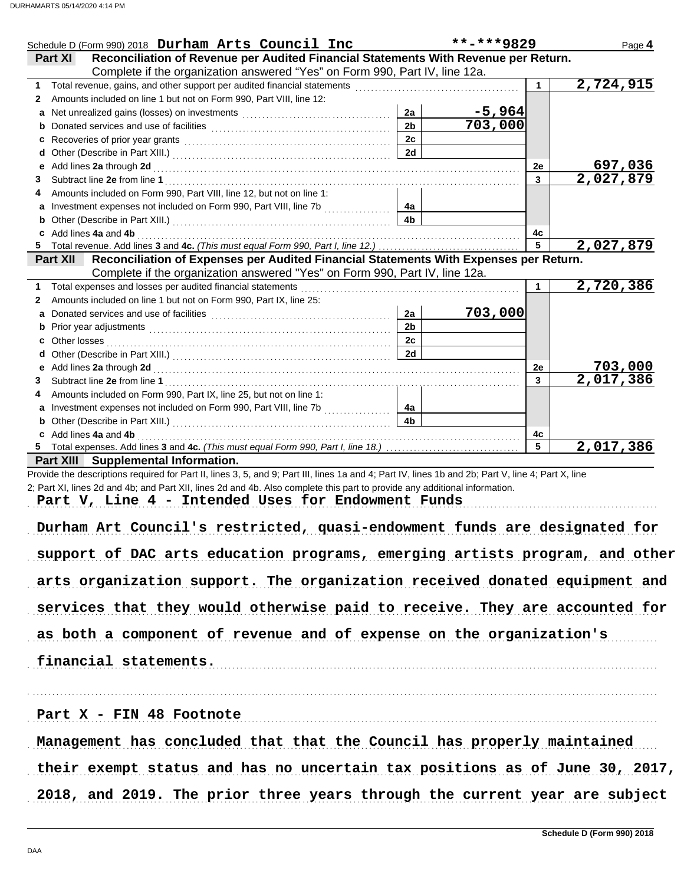| Schedule D (Form 990) 2018 Durham Arts Council Inc                                                                                                                                                                              |                      | **-***9829               |                       | Page 4                      |
|---------------------------------------------------------------------------------------------------------------------------------------------------------------------------------------------------------------------------------|----------------------|--------------------------|-----------------------|-----------------------------|
| Reconciliation of Revenue per Audited Financial Statements With Revenue per Return.<br>Part XI                                                                                                                                  |                      |                          |                       |                             |
| Complete if the organization answered "Yes" on Form 990, Part IV, line 12a.                                                                                                                                                     |                      |                          |                       |                             |
|                                                                                                                                                                                                                                 |                      |                          | 1                     | 2,724,915                   |
| Amounts included on line 1 but not on Form 990, Part VIII, line 12:<br>2                                                                                                                                                        |                      |                          |                       |                             |
|                                                                                                                                                                                                                                 | 2a                   | $\frac{-5,964}{703,000}$ |                       |                             |
|                                                                                                                                                                                                                                 | 2 <sub>b</sub>       |                          |                       |                             |
| Recoveries of prior year grants [11] Martin Martin Martin Martin Martin Martin Martin Martin Martin Martin Mar<br>c                                                                                                             | 2c                   |                          |                       |                             |
|                                                                                                                                                                                                                                 | 2d                   |                          |                       |                             |
| Add lines 2a through 2d [[[[[[[[[[[[[[[[[[[[[[[[[]]]]]]]]]] Add lines 2a through 2d                                                                                                                                             |                      |                          | 2e                    | $\frac{697,036}{2,027,879}$ |
| 3                                                                                                                                                                                                                               |                      |                          | 3                     |                             |
| Amounts included on Form 990, Part VIII, line 12, but not on line 1:                                                                                                                                                            |                      |                          |                       |                             |
|                                                                                                                                                                                                                                 | 4a<br>4 <sub>b</sub> |                          |                       |                             |
|                                                                                                                                                                                                                                 |                      |                          |                       |                             |
| c Add lines 4a and 4b                                                                                                                                                                                                           |                      |                          | 4с<br>$5\phantom{.0}$ | 2,027,879                   |
| Reconciliation of Expenses per Audited Financial Statements With Expenses per Return.                                                                                                                                           |                      |                          |                       |                             |
| <b>Part XII</b><br>Complete if the organization answered "Yes" on Form 990, Part IV, line 12a.                                                                                                                                  |                      |                          |                       |                             |
| Total expenses and losses per audited financial statements                                                                                                                                                                      |                      |                          | $\mathbf 1$           | 2,720,386                   |
| Amounts included on line 1 but not on Form 990, Part IX, line 25:<br>2                                                                                                                                                          |                      |                          |                       |                             |
|                                                                                                                                                                                                                                 | 2a                   | 703,000                  |                       |                             |
|                                                                                                                                                                                                                                 | 2 <sub>b</sub>       |                          |                       |                             |
|                                                                                                                                                                                                                                 | 2c                   |                          |                       |                             |
| Other losses <b>contracts Other losses</b>                                                                                                                                                                                      | 2d                   |                          |                       |                             |
|                                                                                                                                                                                                                                 |                      |                          | 2e                    | 703,000                     |
| 3                                                                                                                                                                                                                               |                      |                          | $\overline{3}$        | $\overline{2,017}$ , 386    |
| Amounts included on Form 990, Part IX, line 25, but not on line 1:                                                                                                                                                              |                      |                          |                       |                             |
| a Investment expenses not included on Form 990, Part VIII, line 7b [                                                                                                                                                            | 4a                   |                          |                       |                             |
|                                                                                                                                                                                                                                 |                      |                          |                       |                             |
|                                                                                                                                                                                                                                 |                      |                          |                       |                             |
|                                                                                                                                                                                                                                 | 4 <sub>b</sub>       |                          |                       |                             |
| c Add lines 4a and 4b                                                                                                                                                                                                           |                      |                          | 4с<br>5               |                             |
| Part XIII Supplemental Information.                                                                                                                                                                                             |                      |                          |                       | 2,017,386                   |
| Provide the descriptions required for Part II, lines 3, 5, and 9; Part III, lines 1a and 4; Part IV, lines 1b and 2b; Part V, line 4; Part X, line                                                                              |                      |                          |                       |                             |
| 2; Part XI, lines 2d and 4b; and Part XII, lines 2d and 4b. Also complete this part to provide any additional information.                                                                                                      |                      |                          |                       |                             |
| Part V, Line 4 - Intended Uses for Endowment Funds                                                                                                                                                                              |                      |                          |                       |                             |
|                                                                                                                                                                                                                                 |                      |                          |                       |                             |
| Durham Art Council's restricted, quasi-endowment funds are designated for                                                                                                                                                       |                      |                          |                       |                             |
|                                                                                                                                                                                                                                 |                      |                          |                       |                             |
| support of DAC arts education programs, emerging artists program, and other                                                                                                                                                     |                      |                          |                       |                             |
|                                                                                                                                                                                                                                 |                      |                          |                       |                             |
|                                                                                                                                                                                                                                 |                      |                          |                       |                             |
|                                                                                                                                                                                                                                 |                      |                          |                       |                             |
|                                                                                                                                                                                                                                 |                      |                          |                       |                             |
|                                                                                                                                                                                                                                 |                      |                          |                       |                             |
| arts organization support. The organization received donated equipment and<br>services that they would otherwise paid to receive. They are accounted for<br>as both a component of revenue and of expense on the organization's |                      |                          |                       |                             |
|                                                                                                                                                                                                                                 |                      |                          |                       |                             |
|                                                                                                                                                                                                                                 |                      |                          |                       |                             |
|                                                                                                                                                                                                                                 |                      |                          |                       |                             |
| financial statements.                                                                                                                                                                                                           |                      |                          |                       |                             |
|                                                                                                                                                                                                                                 |                      |                          |                       |                             |
|                                                                                                                                                                                                                                 |                      |                          |                       |                             |
|                                                                                                                                                                                                                                 |                      |                          |                       |                             |
| Part X - FIN 48 Footnote<br>Management has concluded that that the Council has properly maintained                                                                                                                              |                      |                          |                       |                             |
| their exempt status and has no uncertain tax positions as of June 30, 2017,                                                                                                                                                     |                      |                          |                       |                             |
| 2018, and 2019. The prior three years through the current year are subject                                                                                                                                                      |                      |                          |                       |                             |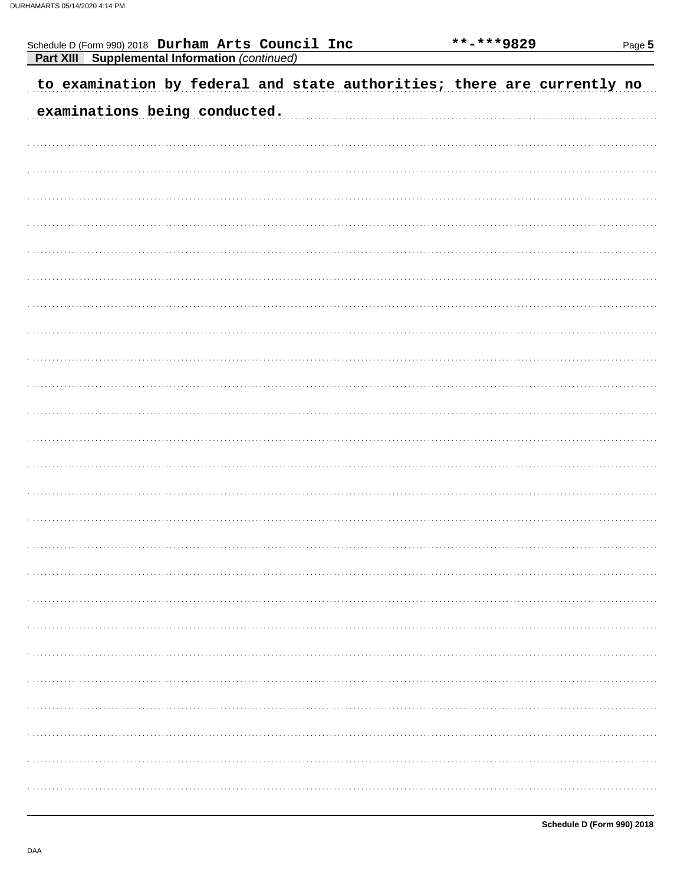| Schedule D (Form 990) 2018 Durham Arts Council Inc<br><b>Part XIII</b> Supplemental Information (continued) |                               |  |                                                                         | **-***9829 | Page 5 |
|-------------------------------------------------------------------------------------------------------------|-------------------------------|--|-------------------------------------------------------------------------|------------|--------|
|                                                                                                             |                               |  | to examination by federal and state authorities; there are currently no |            |        |
|                                                                                                             | examinations being conducted. |  |                                                                         |            |        |
|                                                                                                             |                               |  |                                                                         |            |        |
|                                                                                                             |                               |  |                                                                         |            |        |
|                                                                                                             |                               |  |                                                                         |            |        |
|                                                                                                             |                               |  |                                                                         |            |        |
|                                                                                                             |                               |  |                                                                         |            |        |
|                                                                                                             |                               |  |                                                                         |            |        |
|                                                                                                             |                               |  |                                                                         |            |        |
|                                                                                                             |                               |  |                                                                         |            |        |
|                                                                                                             |                               |  |                                                                         |            |        |
|                                                                                                             |                               |  |                                                                         |            |        |
|                                                                                                             |                               |  |                                                                         |            |        |
|                                                                                                             |                               |  |                                                                         |            |        |
|                                                                                                             |                               |  |                                                                         |            |        |
|                                                                                                             |                               |  |                                                                         |            |        |
|                                                                                                             |                               |  |                                                                         |            |        |
|                                                                                                             |                               |  |                                                                         |            |        |
|                                                                                                             |                               |  |                                                                         |            |        |
|                                                                                                             |                               |  |                                                                         |            |        |
|                                                                                                             |                               |  |                                                                         |            |        |
|                                                                                                             |                               |  |                                                                         |            |        |
|                                                                                                             |                               |  |                                                                         |            |        |
|                                                                                                             |                               |  |                                                                         |            |        |
|                                                                                                             |                               |  |                                                                         |            |        |
|                                                                                                             |                               |  |                                                                         |            |        |
|                                                                                                             |                               |  |                                                                         |            |        |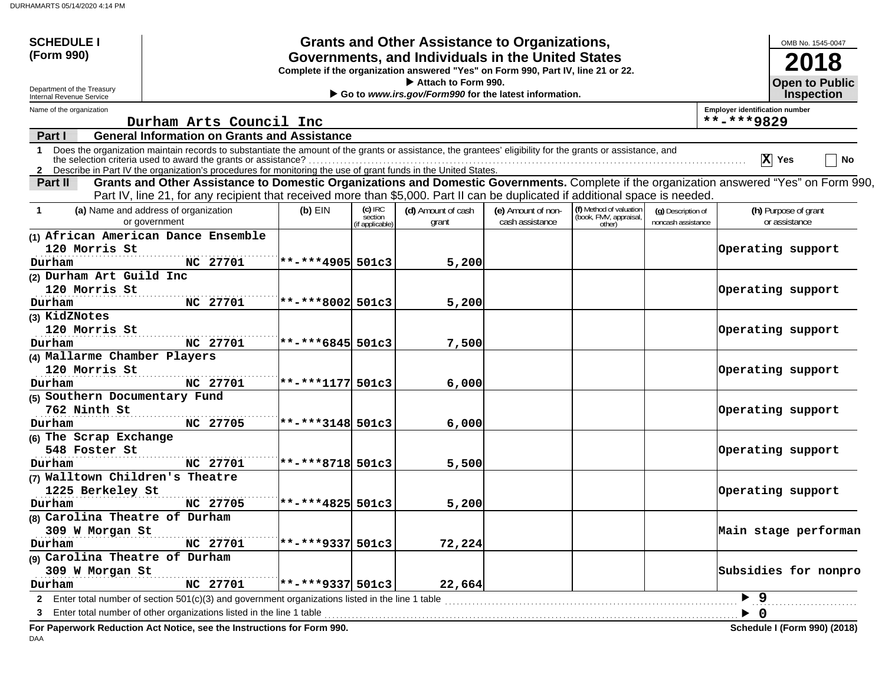| <b>SCHEDULE I</b>                                                                                                                                   |                                                                                                                                                                                                                                                                                                                                                 |                        |                      | <b>Grants and Other Assistance to Organizations,</b> |                    |                                                             |                    |                                       | OMB No. 1545-0047                   |
|-----------------------------------------------------------------------------------------------------------------------------------------------------|-------------------------------------------------------------------------------------------------------------------------------------------------------------------------------------------------------------------------------------------------------------------------------------------------------------------------------------------------|------------------------|----------------------|------------------------------------------------------|--------------------|-------------------------------------------------------------|--------------------|---------------------------------------|-------------------------------------|
| (Form 990)<br>Governments, and Individuals in the United States<br>Complete if the organization answered "Yes" on Form 990, Part IV, line 21 or 22. |                                                                                                                                                                                                                                                                                                                                                 |                        |                      |                                                      |                    |                                                             |                    |                                       | 2018                                |
| Department of the Treasury<br>Internal Revenue Service                                                                                              | Attach to Form 990.<br>Go to www.irs.gov/Form990 for the latest information.                                                                                                                                                                                                                                                                    |                        |                      |                                                      |                    |                                                             |                    |                                       |                                     |
| Name of the organization                                                                                                                            |                                                                                                                                                                                                                                                                                                                                                 |                        |                      |                                                      |                    |                                                             |                    | <b>Employer identification number</b> |                                     |
|                                                                                                                                                     | Durham Arts Council Inc                                                                                                                                                                                                                                                                                                                         |                        |                      |                                                      |                    |                                                             |                    | **-***9829                            |                                     |
| Part I                                                                                                                                              | <b>General Information on Grants and Assistance</b>                                                                                                                                                                                                                                                                                             |                        |                      |                                                      |                    |                                                             |                    |                                       |                                     |
| 1.                                                                                                                                                  | Does the organization maintain records to substantiate the amount of the grants or assistance, the grantees' eligibility for the grants or assistance, and<br>the selection criteria used to award the grants or assistance?<br>2 Describe in Part IV the organization's procedures for monitoring the use of grant funds in the United States. |                        |                      |                                                      |                    |                                                             |                    |                                       | $\overline{X}$ Yes<br>No            |
| Part II                                                                                                                                             | Grants and Other Assistance to Domestic Organizations and Domestic Governments. Complete if the organization answered "Yes" on Form 990,<br>Part IV, line 21, for any recipient that received more than \$5,000. Part II can be duplicated if additional space is needed.                                                                       |                        |                      |                                                      |                    |                                                             |                    |                                       |                                     |
| $\mathbf{1}$                                                                                                                                        | (a) Name and address of organization                                                                                                                                                                                                                                                                                                            | $(b)$ EIN              | $(c)$ IRC<br>section | (d) Amount of cash                                   | (e) Amount of non- | (f) Method of valuation<br>(book, FMV, appraisal,<br>other) | (g) Description of |                                       | (h) Purpose of grant                |
|                                                                                                                                                     | or government                                                                                                                                                                                                                                                                                                                                   |                        | if applicable)       | grant                                                | cash assistance    |                                                             | noncash assistance |                                       | or assistance                       |
|                                                                                                                                                     | (1) African American Dance Ensemble                                                                                                                                                                                                                                                                                                             |                        |                      |                                                      |                    |                                                             |                    |                                       |                                     |
| 120 Morris St                                                                                                                                       |                                                                                                                                                                                                                                                                                                                                                 |                        |                      |                                                      |                    |                                                             |                    |                                       | Operating support                   |
| Durham                                                                                                                                              | NC 27701                                                                                                                                                                                                                                                                                                                                        | **-***4905 501c3       |                      | 5,200                                                |                    |                                                             |                    |                                       |                                     |
| (2) Durham Art Guild Inc                                                                                                                            |                                                                                                                                                                                                                                                                                                                                                 |                        |                      |                                                      |                    |                                                             |                    |                                       |                                     |
| 120 Morris St                                                                                                                                       |                                                                                                                                                                                                                                                                                                                                                 |                        |                      |                                                      |                    |                                                             |                    |                                       | Operating support                   |
| Durham                                                                                                                                              | NC 27701                                                                                                                                                                                                                                                                                                                                        | $**-**8002$ 501c3      |                      | 5,200                                                |                    |                                                             |                    |                                       |                                     |
| (3) KidZNotes                                                                                                                                       |                                                                                                                                                                                                                                                                                                                                                 |                        |                      |                                                      |                    |                                                             |                    |                                       |                                     |
| 120 Morris St                                                                                                                                       |                                                                                                                                                                                                                                                                                                                                                 |                        |                      |                                                      |                    |                                                             |                    |                                       | Operating support                   |
| Durham                                                                                                                                              | NC 27701                                                                                                                                                                                                                                                                                                                                        | $**-***6845501c3$      |                      | 7,500                                                |                    |                                                             |                    |                                       |                                     |
| (4) Mallarme Chamber Players                                                                                                                        |                                                                                                                                                                                                                                                                                                                                                 |                        |                      |                                                      |                    |                                                             |                    |                                       |                                     |
| 120 Morris St                                                                                                                                       |                                                                                                                                                                                                                                                                                                                                                 |                        |                      |                                                      |                    |                                                             |                    |                                       | Operating support                   |
| Durham                                                                                                                                              | NC 27701                                                                                                                                                                                                                                                                                                                                        | $**-**1177501c3$       |                      | 6,000                                                |                    |                                                             |                    |                                       |                                     |
| (5) Southern Documentary Fund<br>762 Ninth St                                                                                                       |                                                                                                                                                                                                                                                                                                                                                 |                        |                      |                                                      |                    |                                                             |                    |                                       | Operating support                   |
| Durham                                                                                                                                              | NC 27705                                                                                                                                                                                                                                                                                                                                        | $**-**3148501c3$       |                      | 6,000                                                |                    |                                                             |                    |                                       |                                     |
| (6) The Scrap Exchange                                                                                                                              |                                                                                                                                                                                                                                                                                                                                                 |                        |                      |                                                      |                    |                                                             |                    |                                       |                                     |
| 548 Foster St                                                                                                                                       |                                                                                                                                                                                                                                                                                                                                                 |                        |                      |                                                      |                    |                                                             |                    |                                       | Operating support                   |
| Durham                                                                                                                                              | NC 27701                                                                                                                                                                                                                                                                                                                                        | **-***8718 501c3       |                      | 5,500                                                |                    |                                                             |                    |                                       |                                     |
| (7) Walltown Children's Theatre                                                                                                                     |                                                                                                                                                                                                                                                                                                                                                 |                        |                      |                                                      |                    |                                                             |                    |                                       |                                     |
| 1225 Berkeley St                                                                                                                                    |                                                                                                                                                                                                                                                                                                                                                 |                        |                      |                                                      |                    |                                                             |                    |                                       | Operating support                   |
| Durham                                                                                                                                              | NC 27705                                                                                                                                                                                                                                                                                                                                        | $**-***48255501c3$     |                      | 5,200                                                |                    |                                                             |                    |                                       |                                     |
| (8) Carolina Theatre of Durham                                                                                                                      |                                                                                                                                                                                                                                                                                                                                                 |                        |                      |                                                      |                    |                                                             |                    |                                       |                                     |
| 309 W Morgan St                                                                                                                                     |                                                                                                                                                                                                                                                                                                                                                 |                        |                      |                                                      |                    |                                                             |                    |                                       | Main stage performan                |
| Durham                                                                                                                                              | NC 27701                                                                                                                                                                                                                                                                                                                                        | $ ***$ **** 9337 501c3 |                      | 72,224                                               |                    |                                                             |                    |                                       |                                     |
| (9) Carolina Theatre of Durham                                                                                                                      |                                                                                                                                                                                                                                                                                                                                                 |                        |                      |                                                      |                    |                                                             |                    |                                       |                                     |
| 309 W Morgan St                                                                                                                                     |                                                                                                                                                                                                                                                                                                                                                 |                        |                      |                                                      |                    |                                                             |                    |                                       | Subsidies for nonpro                |
| Durham                                                                                                                                              | NC 27701                                                                                                                                                                                                                                                                                                                                        | $**-***9337501c3$      |                      | 22,664                                               |                    |                                                             |                    |                                       |                                     |
| $\mathbf{2}$                                                                                                                                        | Enter total number of section $501(c)(3)$ and government organizations listed in the line 1 table                                                                                                                                                                                                                                               |                        |                      |                                                      |                    |                                                             |                    | $\blacktriangleright$ 9               |                                     |
| з                                                                                                                                                   | Enter total number of other organizations listed in the line 1 table                                                                                                                                                                                                                                                                            |                        |                      |                                                      |                    |                                                             |                    | $\blacktriangleright$ 0               |                                     |
|                                                                                                                                                     | For Paperwork Reduction Act Notice, see the Instructions for Form 990.                                                                                                                                                                                                                                                                          |                        |                      |                                                      |                    |                                                             |                    |                                       | <b>Schedule I (Form 990) (2018)</b> |

DAA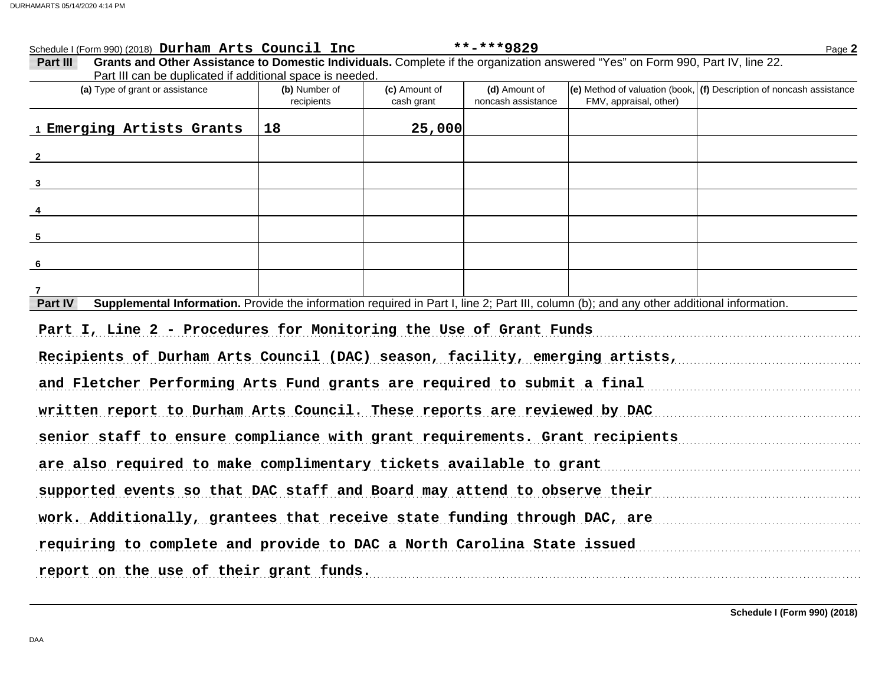| Schedule I (Form 990) (2018) Durham Arts Council Inc                                                                                                                                                                           |                             |                             | **-***9829                          |                        | Page 2                                                                 |
|--------------------------------------------------------------------------------------------------------------------------------------------------------------------------------------------------------------------------------|-----------------------------|-----------------------------|-------------------------------------|------------------------|------------------------------------------------------------------------|
| Grants and Other Assistance to Domestic Individuals. Complete if the organization answered "Yes" on Form 990, Part IV, line 22.<br>Part III<br>Part III can be duplicated if additional space is needed.                       |                             |                             |                                     |                        |                                                                        |
| (a) Type of grant or assistance                                                                                                                                                                                                | (b) Number of<br>recipients | (c) Amount of<br>cash grant | (d) Amount of<br>noncash assistance | FMV, appraisal, other) | (e) Method of valuation (book, $(f)$ Description of noncash assistance |
| 1 Emerging Artists Grants                                                                                                                                                                                                      | 18                          | 25,000                      |                                     |                        |                                                                        |
| $\overline{2}$                                                                                                                                                                                                                 |                             |                             |                                     |                        |                                                                        |
| $3^{\circ}$                                                                                                                                                                                                                    |                             |                             |                                     |                        |                                                                        |
| $\overline{4}$                                                                                                                                                                                                                 |                             |                             |                                     |                        |                                                                        |
| 5                                                                                                                                                                                                                              |                             |                             |                                     |                        |                                                                        |
| 6                                                                                                                                                                                                                              |                             |                             |                                     |                        |                                                                        |
| 7                                                                                                                                                                                                                              |                             |                             |                                     |                        |                                                                        |
| Supplemental Information. Provide the information required in Part I, line 2; Part III, column (b); and any other additional information.<br>Part IV                                                                           |                             |                             |                                     |                        |                                                                        |
| Part I, Line 2 - Procedures for Monitoring the Use of Grant Funds                                                                                                                                                              |                             |                             |                                     |                        |                                                                        |
| Recipients of Durham Arts Council (DAC) season, facility, emerging artists,                                                                                                                                                    |                             |                             |                                     |                        |                                                                        |
| and Fletcher Performing Arts Fund grants are required to submit a final                                                                                                                                                        |                             |                             |                                     |                        |                                                                        |
| written report to Durham Arts Council. These reports are reviewed by DAC                                                                                                                                                       |                             |                             |                                     |                        |                                                                        |
| senior staff to ensure compliance with grant requirements. Grant recipients                                                                                                                                                    |                             |                             |                                     |                        |                                                                        |
| are also required to make complimentary tickets available to grant                                                                                                                                                             |                             |                             |                                     |                        |                                                                        |
| supported events so that DAC staff and Board may attend to observe their manuscription of the state of the state of the state of the state of the state of the state of the state of the state of the state of the state of th |                             |                             |                                     |                        |                                                                        |
| work. Additionally, grantees that receive state funding through DAC, are                                                                                                                                                       |                             |                             |                                     |                        |                                                                        |
| requiring to complete and provide to DAC a North Carolina State issued                                                                                                                                                         |                             |                             |                                     |                        |                                                                        |
| report on the use of their grant funds.                                                                                                                                                                                        |                             |                             |                                     |                        |                                                                        |
|                                                                                                                                                                                                                                |                             |                             |                                     |                        |                                                                        |

**Schedule I (Form 990) (2018)**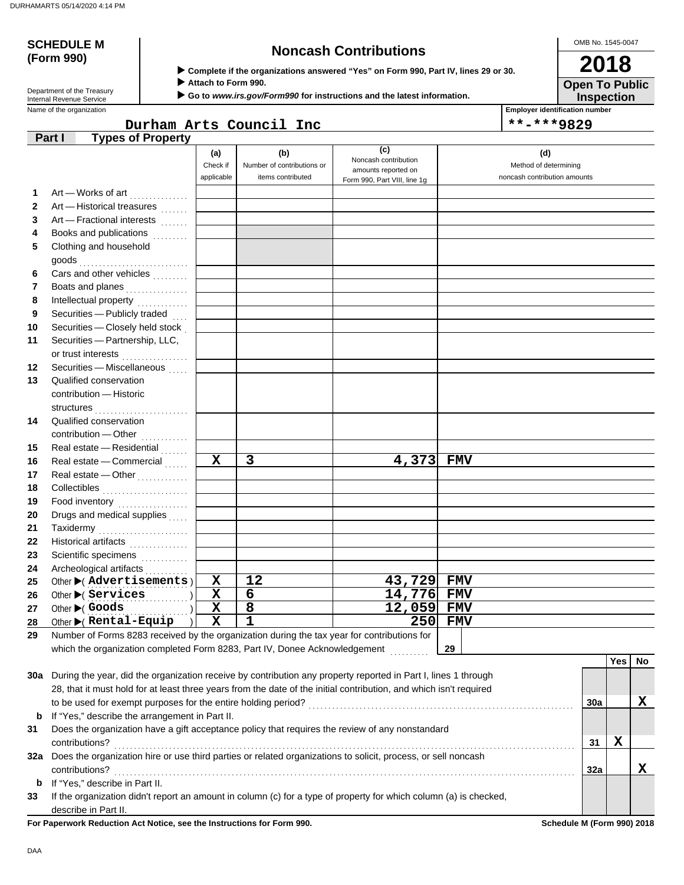# **(Form 990)**

## **SCHEDULE M Noncash Contributions**

OMB No. 1545-0047 **2018**

| Department of the Treasury |
|----------------------------|
| Internal Revenue Service   |

 **Complete if the organizations answered "Yes" on Form 990, Part IV, lines 29 or 30.**

 **Attach to Form 990.**

 **Go to** *www.irs.gov/Form990* **for instructions and the latest information.**

Name of the organization **Employer identification number Employer identification number** 

**Inspection Open To Public**

Durham Arts Council Inc  $|***9829$ 

|              | <b>Types of Property</b><br>Part I                                                                                                                  |                         |                            |                              |                              |     |     |    |
|--------------|-----------------------------------------------------------------------------------------------------------------------------------------------------|-------------------------|----------------------------|------------------------------|------------------------------|-----|-----|----|
|              |                                                                                                                                                     | (a)                     | (b)                        | (c)<br>Noncash contribution  | (d)                          |     |     |    |
|              |                                                                                                                                                     | Check if                | Number of contributions or | amounts reported on          | Method of determining        |     |     |    |
|              |                                                                                                                                                     | applicable              | items contributed          | Form 990, Part VIII, line 1g | noncash contribution amounts |     |     |    |
| 1            | Art - Works of art                                                                                                                                  |                         |                            |                              |                              |     |     |    |
| $\mathbf{2}$ | Art - Historical treasures                                                                                                                          |                         |                            |                              |                              |     |     |    |
| 3            | Art - Fractional interests                                                                                                                          |                         |                            |                              |                              |     |     |    |
| 4            | Books and publications<br>.                                                                                                                         |                         |                            |                              |                              |     |     |    |
| 5            | Clothing and household                                                                                                                              |                         |                            |                              |                              |     |     |    |
|              | goods                                                                                                                                               |                         |                            |                              |                              |     |     |    |
| 6            | Cars and other vehicles                                                                                                                             |                         |                            |                              |                              |     |     |    |
| 7            | Boats and planes                                                                                                                                    |                         |                            |                              |                              |     |     |    |
| 8            | Intellectual property                                                                                                                               |                         |                            |                              |                              |     |     |    |
| 9            | Securities - Publicly traded<br>$\sim$                                                                                                              |                         |                            |                              |                              |     |     |    |
| 10           | Securities - Closely held stock                                                                                                                     |                         |                            |                              |                              |     |     |    |
| 11           | Securities - Partnership, LLC,                                                                                                                      |                         |                            |                              |                              |     |     |    |
|              | or trust interests                                                                                                                                  |                         |                            |                              |                              |     |     |    |
| 12           | Securities - Miscellaneous                                                                                                                          |                         |                            |                              |                              |     |     |    |
| 13           | Qualified conservation                                                                                                                              |                         |                            |                              |                              |     |     |    |
|              | contribution - Historic                                                                                                                             |                         |                            |                              |                              |     |     |    |
|              | structures                                                                                                                                          |                         |                            |                              |                              |     |     |    |
| 14           | Qualified conservation                                                                                                                              |                         |                            |                              |                              |     |     |    |
|              | contribution - Other                                                                                                                                |                         |                            |                              |                              |     |     |    |
| 15           | Real estate - Residential                                                                                                                           |                         |                            |                              |                              |     |     |    |
| 16           | Real estate - Commercial                                                                                                                            | $\mathbf X$             | $\overline{\mathbf{3}}$    | 4,373                        | <b>FMV</b>                   |     |     |    |
| 17           | Real estate - Other                                                                                                                                 |                         |                            |                              |                              |     |     |    |
| 18           | Collectibles                                                                                                                                        |                         |                            |                              |                              |     |     |    |
| 19           | Food inventory                                                                                                                                      |                         |                            |                              |                              |     |     |    |
| 20           | Drugs and medical supplies                                                                                                                          |                         |                            |                              |                              |     |     |    |
| 21           | Taxidermy                                                                                                                                           |                         |                            |                              |                              |     |     |    |
| 22           | Historical artifacts<br>.                                                                                                                           |                         |                            |                              |                              |     |     |    |
| 23           | Scientific specimens<br><u>.</u><br>.                                                                                                               |                         |                            |                              |                              |     |     |    |
| 24           | Archeological artifacts                                                                                                                             |                         |                            |                              |                              |     |     |    |
| 25           | Other $\blacktriangleright$ ( Advertisements )                                                                                                      | X                       | 12                         | 43,729                       | <b>FMV</b>                   |     |     |    |
| 26           | Other $\blacktriangleright$ ( Services                                                                                                              | $\mathbf x$             | $\overline{6}$             | 14,776                       | <b>FMV</b>                   |     |     |    |
| 27           | Other $\blacktriangleright$ ( Goods                                                                                                                 | $\overline{\mathbf{x}}$ | 8<br>$\overline{1}$        | 12,059                       | <b>FMV</b>                   |     |     |    |
| 28           | Other $\blacktriangleright$ ( Rental-Equip                                                                                                          | $\mathbf x$             |                            | 250                          | <b>FMV</b>                   |     |     |    |
| 29           | Number of Forms 8283 received by the organization during the tax year for contributions for                                                         |                         |                            |                              |                              |     |     |    |
|              | which the organization completed Form 8283, Part IV, Donee Acknowledgement                                                                          |                         |                            |                              | 29                           |     | Yes |    |
|              | 30a During the year, did the organization receive by contribution any property reported in Part I, lines 1 through                                  |                         |                            |                              |                              |     |     | No |
|              |                                                                                                                                                     |                         |                            |                              |                              |     |     |    |
|              | 28, that it must hold for at least three years from the date of the initial contribution, and which isn't required                                  |                         |                            |                              |                              |     |     | X  |
|              | to be used for exempt purposes for the entire holding period?                                                                                       |                         |                            |                              |                              | 30a |     |    |
| b            | If "Yes," describe the arrangement in Part II.                                                                                                      |                         |                            |                              |                              |     |     |    |
| 31           | Does the organization have a gift acceptance policy that requires the review of any nonstandard                                                     |                         |                            |                              |                              |     | X   |    |
|              | contributions?<br>32a Does the organization hire or use third parties or related organizations to solicit, process, or sell noncash                 |                         |                            |                              |                              | 31  |     |    |
|              |                                                                                                                                                     |                         |                            |                              |                              |     |     | X  |
|              | contributions?                                                                                                                                      |                         |                            |                              |                              | 32a |     |    |
| b            | If "Yes," describe in Part II.<br>If the organization didn't report an amount in column (c) for a type of property for which column (a) is checked, |                         |                            |                              |                              |     |     |    |
| 33           |                                                                                                                                                     |                         |                            |                              |                              |     |     |    |
|              | describe in Part II.                                                                                                                                |                         |                            |                              |                              |     |     |    |

For Paperwork Reduction Act Notice, see the Instructions for Form 990. **Schedule M** (Form 990) 2018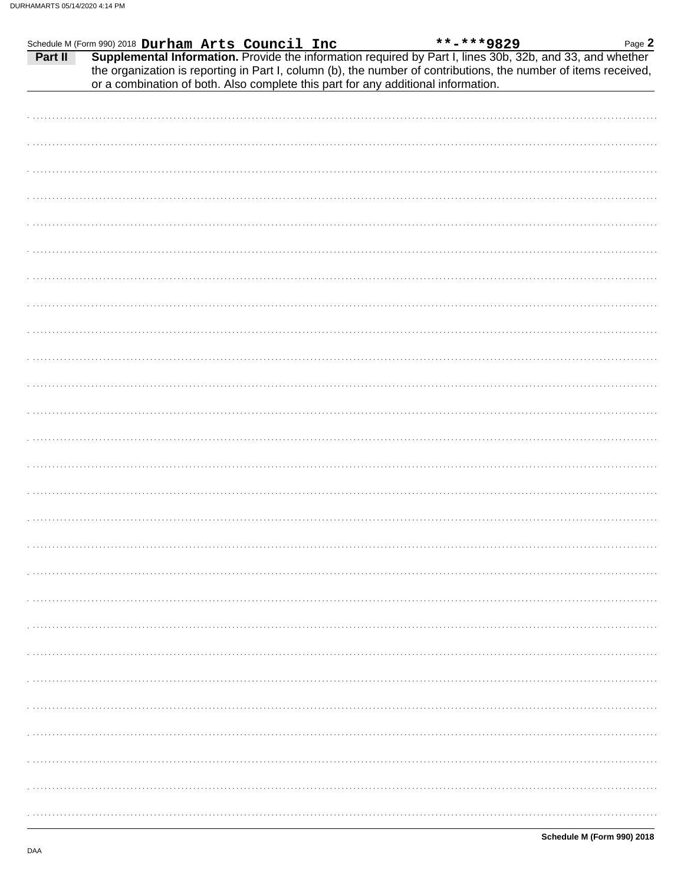|  |  |                                                                                                                                                                                                                                                                                                                                                                                                          | Page 2 |
|--|--|----------------------------------------------------------------------------------------------------------------------------------------------------------------------------------------------------------------------------------------------------------------------------------------------------------------------------------------------------------------------------------------------------------|--------|
|  |  | Schedule M (Form 990) 2018 Durham Arts Council Inc **-***9829 Page 2<br><b>Part II</b> Supplemental Information. Provide the information required by Part I, lines 30b, 32b, and 33, and whether<br>the organization is reporting in Part I, column (b), the number of contributions, the number of items received,<br>or a combination of both. Also complete this part for any additional information. |        |
|  |  |                                                                                                                                                                                                                                                                                                                                                                                                          |        |
|  |  |                                                                                                                                                                                                                                                                                                                                                                                                          |        |
|  |  |                                                                                                                                                                                                                                                                                                                                                                                                          |        |
|  |  |                                                                                                                                                                                                                                                                                                                                                                                                          |        |
|  |  |                                                                                                                                                                                                                                                                                                                                                                                                          |        |
|  |  |                                                                                                                                                                                                                                                                                                                                                                                                          |        |
|  |  |                                                                                                                                                                                                                                                                                                                                                                                                          |        |
|  |  |                                                                                                                                                                                                                                                                                                                                                                                                          |        |
|  |  |                                                                                                                                                                                                                                                                                                                                                                                                          |        |
|  |  |                                                                                                                                                                                                                                                                                                                                                                                                          |        |
|  |  |                                                                                                                                                                                                                                                                                                                                                                                                          |        |
|  |  |                                                                                                                                                                                                                                                                                                                                                                                                          |        |
|  |  |                                                                                                                                                                                                                                                                                                                                                                                                          |        |
|  |  |                                                                                                                                                                                                                                                                                                                                                                                                          |        |
|  |  |                                                                                                                                                                                                                                                                                                                                                                                                          |        |
|  |  |                                                                                                                                                                                                                                                                                                                                                                                                          |        |
|  |  |                                                                                                                                                                                                                                                                                                                                                                                                          |        |
|  |  |                                                                                                                                                                                                                                                                                                                                                                                                          |        |
|  |  |                                                                                                                                                                                                                                                                                                                                                                                                          |        |
|  |  |                                                                                                                                                                                                                                                                                                                                                                                                          |        |
|  |  |                                                                                                                                                                                                                                                                                                                                                                                                          |        |
|  |  |                                                                                                                                                                                                                                                                                                                                                                                                          |        |
|  |  |                                                                                                                                                                                                                                                                                                                                                                                                          |        |
|  |  |                                                                                                                                                                                                                                                                                                                                                                                                          |        |
|  |  |                                                                                                                                                                                                                                                                                                                                                                                                          |        |
|  |  |                                                                                                                                                                                                                                                                                                                                                                                                          |        |
|  |  |                                                                                                                                                                                                                                                                                                                                                                                                          |        |
|  |  |                                                                                                                                                                                                                                                                                                                                                                                                          |        |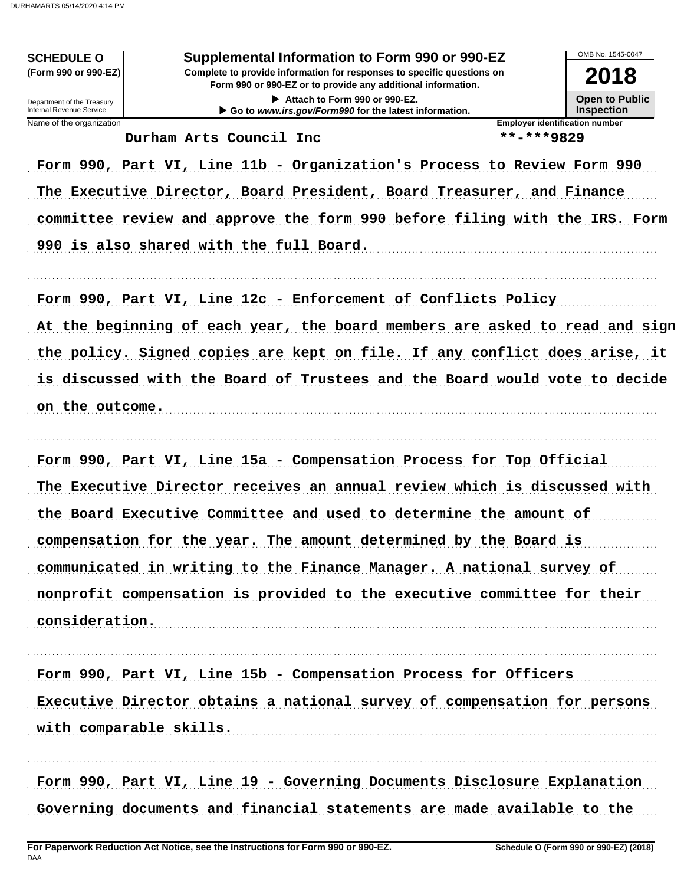**SCHEDULE O** (Form 990 or 990-EZ)

Department of the Treasury Internal Revenue Service

#### Supplemental Information to Form 990 or 990-EZ

Complete to provide information for responses to specific questions on Form 990 or 990-EZ or to provide any additional information.

> Attach to Form 990 or 990-EZ. Go to www.irs.gov/Form990 for the latest information.

OMB No 1545-0047

2018 **Open to Public Inspection** 

Name of the organization Durham Arts Council Inc

\*\*-\*\*\*9829

**Employer identification number** 

Form 990, Part VI, Line 11b - Organization's Process to Review Form 990 The Executive Director, Board President, Board Treasurer, and Finance committee review and approve the form 990 before filing with the IRS. Form 990 is also shared with the full Board.

Form 990, Part VI, Line 12c - Enforcement of Conflicts Policy

At the beginning of each year, the board members are asked to read and sign the policy. Signed copies are kept on file. If any conflict does arise, it is discussed with the Board of Trustees and the Board would vote to decide on the outcome.

Form 990, Part VI, Line 15a - Compensation Process for Top Official The Executive Director receives an annual review which is discussed with the Board Executive Committee and used to determine the amount of compensation for the year. The amount determined by the Board is communicated in writing to the Finance Manager. A national survey of nonprofit compensation is provided to the executive committee for their consideration.

Form 990, Part VI, Line 15b - Compensation Process for Officers Executive Director obtains a national survey of compensation for persons with comparable skills.

Form 990, Part VI, Line 19 - Governing Documents Disclosure Explanation Governing documents and financial statements are made available to the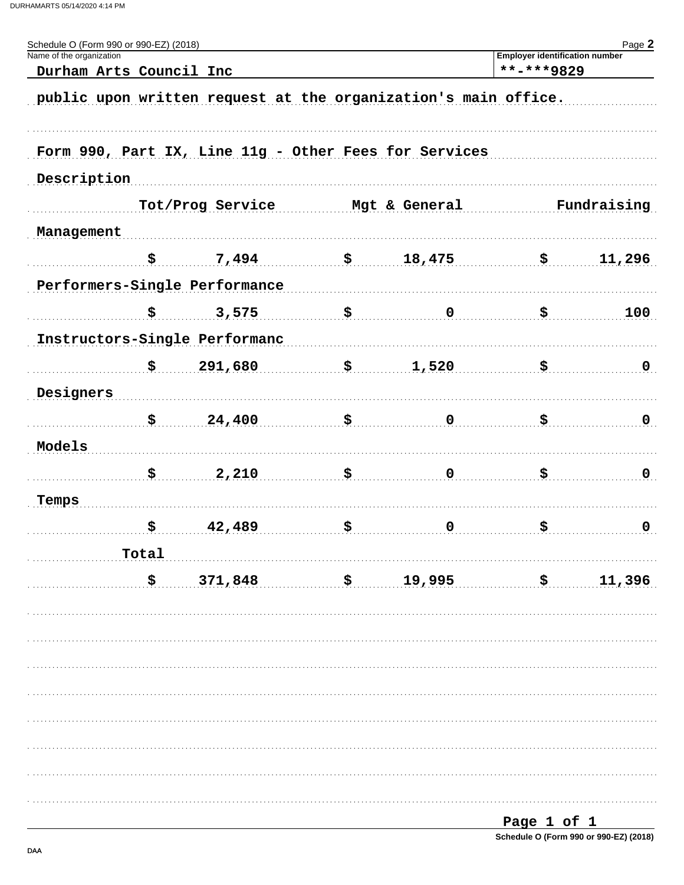| Schedule O (Form 990 or 990-EZ) (2018)<br>Name of the organization |                  |                               |                                                                | <b>Employer identification number</b> | Page 2      |  |
|--------------------------------------------------------------------|------------------|-------------------------------|----------------------------------------------------------------|---------------------------------------|-------------|--|
| Durham Arts Council Inc                                            |                  |                               |                                                                | **-***9829                            |             |  |
|                                                                    |                  |                               | public upon written request at the organization's main office. |                                       |             |  |
|                                                                    |                  |                               |                                                                |                                       |             |  |
|                                                                    |                  |                               | Form 990, Part IX, Line 11g - Other Fees for Services          |                                       |             |  |
| Description                                                        |                  |                               |                                                                |                                       |             |  |
|                                                                    | Tot/Prog Service |                               | Mgt & General                                                  | Fundraising                           |             |  |
| Management                                                         |                  |                               |                                                                |                                       |             |  |
|                                                                    | \$               | 7,494                         | \$18,475                                                       | \$                                    | 11,296      |  |
|                                                                    |                  | Performers-Single Performance |                                                                |                                       |             |  |
|                                                                    | \$               | 3,575                         | \$<br>$\mathbf 0$                                              | \$                                    | 100         |  |
|                                                                    |                  | Instructors-Single Performanc |                                                                |                                       |             |  |
|                                                                    | \$               | 291,680                       | \$<br>1,520                                                    | \$                                    | $\mathbf 0$ |  |
| Designers                                                          |                  |                               |                                                                |                                       |             |  |
|                                                                    | \$               | 24,400                        | \$<br>$\mathbf 0$                                              | \$                                    | 0           |  |
| Models                                                             |                  |                               |                                                                |                                       |             |  |
|                                                                    |                  |                               |                                                                |                                       |             |  |
|                                                                    | \$               | 2,210                         | \$<br>$\mathbf 0$                                              | \$                                    | $\mathbf 0$ |  |
| Temps                                                              |                  |                               |                                                                |                                       |             |  |
|                                                                    | \$               | 42,489                        | \$<br>$\mathbf 0$                                              | \$                                    | $\mathbf 0$ |  |
|                                                                    | Total            |                               |                                                                |                                       |             |  |
|                                                                    | \$               | 371,848                       | $\frac{19,995}{2}$                                             | \$                                    | 11,396      |  |
|                                                                    |                  |                               |                                                                |                                       |             |  |
|                                                                    |                  |                               |                                                                |                                       |             |  |
|                                                                    |                  |                               |                                                                |                                       |             |  |
|                                                                    |                  |                               |                                                                |                                       |             |  |
|                                                                    |                  |                               |                                                                |                                       |             |  |
|                                                                    |                  |                               |                                                                |                                       |             |  |
|                                                                    |                  |                               |                                                                |                                       |             |  |
|                                                                    |                  |                               |                                                                |                                       |             |  |
|                                                                    |                  |                               |                                                                |                                       |             |  |

| Page 1 of 1                            |  |  |
|----------------------------------------|--|--|
| Schedule O (Form 990 or 990-EZ) (2018) |  |  |